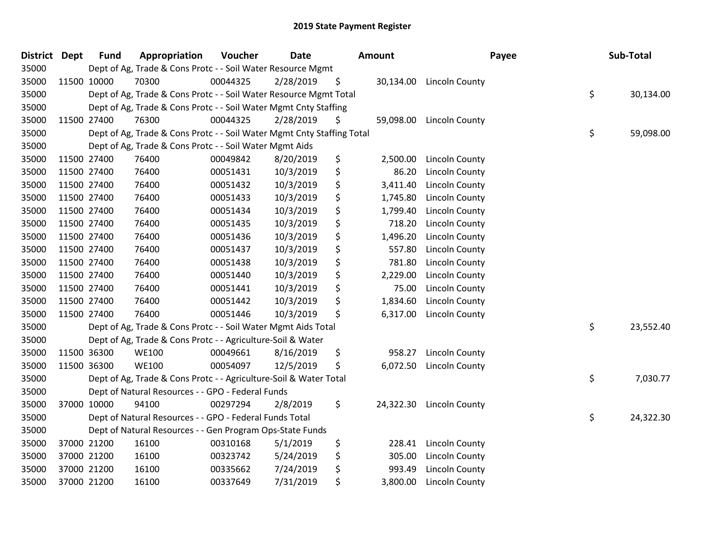| <b>District Dept</b> |             | <b>Fund</b> | Appropriation                                                          | Voucher  | <b>Date</b> | <b>Amount</b>   |                       | Payee | Sub-Total |
|----------------------|-------------|-------------|------------------------------------------------------------------------|----------|-------------|-----------------|-----------------------|-------|-----------|
| 35000                |             |             | Dept of Ag, Trade & Cons Protc - - Soil Water Resource Mgmt            |          |             |                 |                       |       |           |
| 35000                |             | 11500 10000 | 70300                                                                  | 00044325 | 2/28/2019   | \$<br>30,134.00 | <b>Lincoln County</b> |       |           |
| 35000                |             |             | Dept of Ag, Trade & Cons Protc - - Soil Water Resource Mgmt Total      |          |             |                 |                       | \$    | 30,134.00 |
| 35000                |             |             | Dept of Ag, Trade & Cons Protc - - Soil Water Mgmt Cnty Staffing       |          |             |                 |                       |       |           |
| 35000                |             | 11500 27400 | 76300                                                                  | 00044325 | 2/28/2019   | \$<br>59,098.00 | Lincoln County        |       |           |
| 35000                |             |             | Dept of Ag, Trade & Cons Protc - - Soil Water Mgmt Cnty Staffing Total |          |             |                 |                       | \$    | 59,098.00 |
| 35000                |             |             | Dept of Ag, Trade & Cons Protc - - Soil Water Mgmt Aids                |          |             |                 |                       |       |           |
| 35000                |             | 11500 27400 | 76400                                                                  | 00049842 | 8/20/2019   | \$<br>2,500.00  | <b>Lincoln County</b> |       |           |
| 35000                |             | 11500 27400 | 76400                                                                  | 00051431 | 10/3/2019   | \$<br>86.20     | Lincoln County        |       |           |
| 35000                |             | 11500 27400 | 76400                                                                  | 00051432 | 10/3/2019   | \$<br>3,411.40  | Lincoln County        |       |           |
| 35000                |             | 11500 27400 | 76400                                                                  | 00051433 | 10/3/2019   | \$<br>1,745.80  | <b>Lincoln County</b> |       |           |
| 35000                |             | 11500 27400 | 76400                                                                  | 00051434 | 10/3/2019   | \$<br>1,799.40  | <b>Lincoln County</b> |       |           |
| 35000                |             | 11500 27400 | 76400                                                                  | 00051435 | 10/3/2019   | \$<br>718.20    | <b>Lincoln County</b> |       |           |
| 35000                |             | 11500 27400 | 76400                                                                  | 00051436 | 10/3/2019   | \$<br>1,496.20  | Lincoln County        |       |           |
| 35000                | 11500 27400 |             | 76400                                                                  | 00051437 | 10/3/2019   | \$<br>557.80    | Lincoln County        |       |           |
| 35000                |             | 11500 27400 | 76400                                                                  | 00051438 | 10/3/2019   | \$<br>781.80    | <b>Lincoln County</b> |       |           |
| 35000                |             | 11500 27400 | 76400                                                                  | 00051440 | 10/3/2019   | \$<br>2,229.00  | <b>Lincoln County</b> |       |           |
| 35000                |             | 11500 27400 | 76400                                                                  | 00051441 | 10/3/2019   | \$<br>75.00     | <b>Lincoln County</b> |       |           |
| 35000                |             | 11500 27400 | 76400                                                                  | 00051442 | 10/3/2019   | \$<br>1,834.60  | <b>Lincoln County</b> |       |           |
| 35000                |             | 11500 27400 | 76400                                                                  | 00051446 | 10/3/2019   | \$<br>6,317.00  | Lincoln County        |       |           |
| 35000                |             |             | Dept of Ag, Trade & Cons Protc - - Soil Water Mgmt Aids Total          |          |             |                 |                       | \$    | 23,552.40 |
| 35000                |             |             | Dept of Ag, Trade & Cons Protc - - Agriculture-Soil & Water            |          |             |                 |                       |       |           |
| 35000                |             | 11500 36300 | <b>WE100</b>                                                           | 00049661 | 8/16/2019   | \$<br>958.27    | <b>Lincoln County</b> |       |           |
| 35000                |             | 11500 36300 | <b>WE100</b>                                                           | 00054097 | 12/5/2019   | \$<br>6,072.50  | <b>Lincoln County</b> |       |           |
| 35000                |             |             | Dept of Ag, Trade & Cons Protc - - Agriculture-Soil & Water Total      |          |             |                 |                       | \$    | 7,030.77  |
| 35000                |             |             | Dept of Natural Resources - - GPO - Federal Funds                      |          |             |                 |                       |       |           |
| 35000                |             | 37000 10000 | 94100                                                                  | 00297294 | 2/8/2019    | \$<br>24,322.30 | Lincoln County        |       |           |
| 35000                |             |             | Dept of Natural Resources - - GPO - Federal Funds Total                |          |             |                 |                       | \$    | 24,322.30 |
| 35000                |             |             | Dept of Natural Resources - - Gen Program Ops-State Funds              |          |             |                 |                       |       |           |
| 35000                |             | 37000 21200 | 16100                                                                  | 00310168 | 5/1/2019    | \$<br>228.41    | Lincoln County        |       |           |
| 35000                |             | 37000 21200 | 16100                                                                  | 00323742 | 5/24/2019   | \$<br>305.00    | Lincoln County        |       |           |
| 35000                |             | 37000 21200 | 16100                                                                  | 00335662 | 7/24/2019   | \$<br>993.49    | <b>Lincoln County</b> |       |           |
| 35000                |             | 37000 21200 | 16100                                                                  | 00337649 | 7/31/2019   | \$<br>3,800.00  | <b>Lincoln County</b> |       |           |
|                      |             |             |                                                                        |          |             |                 |                       |       |           |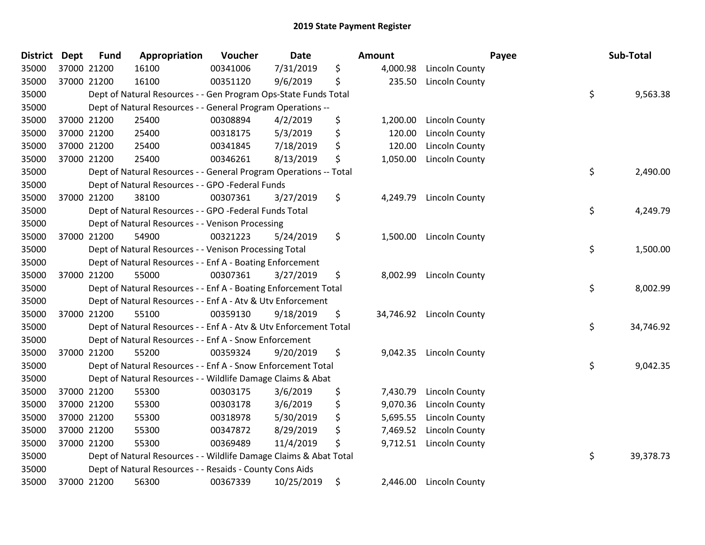| <b>District</b> | <b>Dept</b> | <b>Fund</b> | Appropriation                                                     | Voucher  | <b>Date</b> | <b>Amount</b>   |                       | Payee | Sub-Total |
|-----------------|-------------|-------------|-------------------------------------------------------------------|----------|-------------|-----------------|-----------------------|-------|-----------|
| 35000           |             | 37000 21200 | 16100                                                             | 00341006 | 7/31/2019   | \$<br>4,000.98  | Lincoln County        |       |           |
| 35000           |             | 37000 21200 | 16100                                                             | 00351120 | 9/6/2019    | \$<br>235.50    | Lincoln County        |       |           |
| 35000           |             |             | Dept of Natural Resources - - Gen Program Ops-State Funds Total   |          |             |                 |                       | \$    | 9,563.38  |
| 35000           |             |             | Dept of Natural Resources - - General Program Operations --       |          |             |                 |                       |       |           |
| 35000           |             | 37000 21200 | 25400                                                             | 00308894 | 4/2/2019    | \$<br>1,200.00  | Lincoln County        |       |           |
| 35000           |             | 37000 21200 | 25400                                                             | 00318175 | 5/3/2019    | \$<br>120.00    | Lincoln County        |       |           |
| 35000           |             | 37000 21200 | 25400                                                             | 00341845 | 7/18/2019   | \$<br>120.00    | Lincoln County        |       |           |
| 35000           |             | 37000 21200 | 25400                                                             | 00346261 | 8/13/2019   | \$<br>1,050.00  | Lincoln County        |       |           |
| 35000           |             |             | Dept of Natural Resources - - General Program Operations -- Total |          |             |                 |                       | \$    | 2,490.00  |
| 35000           |             |             | Dept of Natural Resources - - GPO -Federal Funds                  |          |             |                 |                       |       |           |
| 35000           |             | 37000 21200 | 38100                                                             | 00307361 | 3/27/2019   | \$<br>4,249.79  | <b>Lincoln County</b> |       |           |
| 35000           |             |             | Dept of Natural Resources - - GPO -Federal Funds Total            |          |             |                 |                       | \$    | 4,249.79  |
| 35000           |             |             | Dept of Natural Resources - - Venison Processing                  |          |             |                 |                       |       |           |
| 35000           |             | 37000 21200 | 54900                                                             | 00321223 | 5/24/2019   | \$<br>1,500.00  | Lincoln County        |       |           |
| 35000           |             |             | Dept of Natural Resources - - Venison Processing Total            |          |             |                 |                       | \$    | 1,500.00  |
| 35000           |             |             | Dept of Natural Resources - - Enf A - Boating Enforcement         |          |             |                 |                       |       |           |
| 35000           |             | 37000 21200 | 55000                                                             | 00307361 | 3/27/2019   | \$<br>8,002.99  | Lincoln County        |       |           |
| 35000           |             |             | Dept of Natural Resources - - Enf A - Boating Enforcement Total   |          |             |                 |                       | \$    | 8,002.99  |
| 35000           |             |             | Dept of Natural Resources - - Enf A - Atv & Utv Enforcement       |          |             |                 |                       |       |           |
| 35000           |             | 37000 21200 | 55100                                                             | 00359130 | 9/18/2019   | \$<br>34,746.92 | <b>Lincoln County</b> |       |           |
| 35000           |             |             | Dept of Natural Resources - - Enf A - Atv & Utv Enforcement Total |          |             |                 |                       | \$    | 34,746.92 |
| 35000           |             |             | Dept of Natural Resources - - Enf A - Snow Enforcement            |          |             |                 |                       |       |           |
| 35000           |             | 37000 21200 | 55200                                                             | 00359324 | 9/20/2019   | \$<br>9,042.35  | <b>Lincoln County</b> |       |           |
| 35000           |             |             | Dept of Natural Resources - - Enf A - Snow Enforcement Total      |          |             |                 |                       | \$    | 9,042.35  |
| 35000           |             |             | Dept of Natural Resources - - Wildlife Damage Claims & Abat       |          |             |                 |                       |       |           |
| 35000           |             | 37000 21200 | 55300                                                             | 00303175 | 3/6/2019    | \$<br>7,430.79  | Lincoln County        |       |           |
| 35000           |             | 37000 21200 | 55300                                                             | 00303178 | 3/6/2019    | \$<br>9,070.36  | <b>Lincoln County</b> |       |           |
| 35000           |             | 37000 21200 | 55300                                                             | 00318978 | 5/30/2019   | \$<br>5,695.55  | <b>Lincoln County</b> |       |           |
| 35000           |             | 37000 21200 | 55300                                                             | 00347872 | 8/29/2019   | \$<br>7,469.52  | <b>Lincoln County</b> |       |           |
| 35000           |             | 37000 21200 | 55300                                                             | 00369489 | 11/4/2019   | \$<br>9,712.51  | Lincoln County        |       |           |
| 35000           |             |             | Dept of Natural Resources - - Wildlife Damage Claims & Abat Total |          |             |                 |                       | \$    | 39,378.73 |
| 35000           |             |             | Dept of Natural Resources - - Resaids - County Cons Aids          |          |             |                 |                       |       |           |
| 35000           |             | 37000 21200 | 56300                                                             | 00367339 | 10/25/2019  | \$<br>2,446.00  | Lincoln County        |       |           |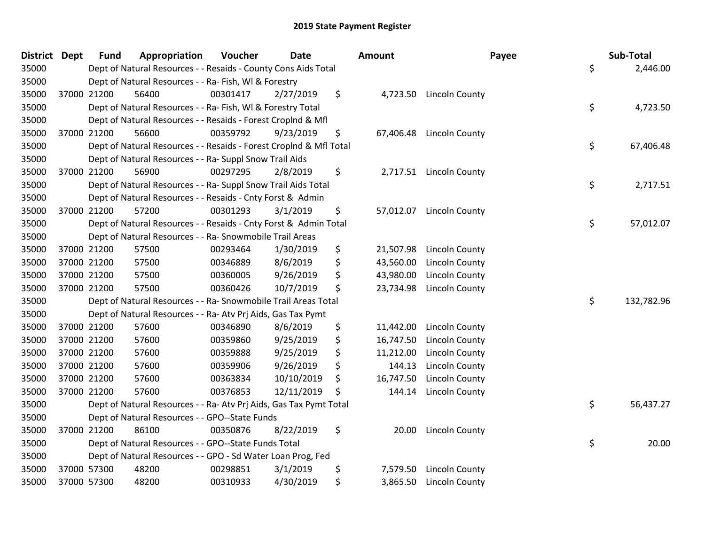| <b>District Dept</b> |             | <b>Fund</b> | Appropriation                                                      | Voucher  | <b>Date</b> | Amount          | Payee                    | Sub-Total        |
|----------------------|-------------|-------------|--------------------------------------------------------------------|----------|-------------|-----------------|--------------------------|------------------|
| 35000                |             |             | Dept of Natural Resources - - Resaids - County Cons Aids Total     |          |             |                 |                          | \$<br>2,446.00   |
| 35000                |             |             | Dept of Natural Resources - - Ra- Fish, WI & Forestry              |          |             |                 |                          |                  |
| 35000                | 37000 21200 |             | 56400                                                              | 00301417 | 2/27/2019   | \$              | 4,723.50 Lincoln County  |                  |
| 35000                |             |             | Dept of Natural Resources - - Ra- Fish, WI & Forestry Total        |          |             |                 |                          | \$<br>4,723.50   |
| 35000                |             |             | Dept of Natural Resources - - Resaids - Forest Croplnd & Mfl       |          |             |                 |                          |                  |
| 35000                | 37000 21200 |             | 56600                                                              | 00359792 | 9/23/2019   | \$<br>67,406.48 | <b>Lincoln County</b>    |                  |
| 35000                |             |             | Dept of Natural Resources - - Resaids - Forest CropInd & Mfl Total |          |             |                 |                          | \$<br>67,406.48  |
| 35000                |             |             | Dept of Natural Resources - - Ra- Suppl Snow Trail Aids            |          |             |                 |                          |                  |
| 35000                | 37000 21200 |             | 56900                                                              | 00297295 | 2/8/2019    | \$              | 2,717.51 Lincoln County  |                  |
| 35000                |             |             | Dept of Natural Resources - - Ra- Suppl Snow Trail Aids Total      |          |             |                 |                          | \$<br>2,717.51   |
| 35000                |             |             | Dept of Natural Resources - - Resaids - Cnty Forst & Admin         |          |             |                 |                          |                  |
| 35000                | 37000 21200 |             | 57200                                                              | 00301293 | 3/1/2019    | \$              | 57,012.07 Lincoln County |                  |
| 35000                |             |             | Dept of Natural Resources - - Resaids - Cnty Forst & Admin Total   |          |             |                 |                          | \$<br>57,012.07  |
| 35000                |             |             | Dept of Natural Resources - - Ra- Snowmobile Trail Areas           |          |             |                 |                          |                  |
| 35000                | 37000 21200 |             | 57500                                                              | 00293464 | 1/30/2019   | \$<br>21,507.98 | Lincoln County           |                  |
| 35000                | 37000 21200 |             | 57500                                                              | 00346889 | 8/6/2019    | \$<br>43,560.00 | Lincoln County           |                  |
| 35000                | 37000 21200 |             | 57500                                                              | 00360005 | 9/26/2019   | \$<br>43,980.00 | Lincoln County           |                  |
| 35000                | 37000 21200 |             | 57500                                                              | 00360426 | 10/7/2019   | \$<br>23,734.98 | Lincoln County           |                  |
| 35000                |             |             | Dept of Natural Resources - - Ra- Snowmobile Trail Areas Total     |          |             |                 |                          | \$<br>132,782.96 |
| 35000                |             |             | Dept of Natural Resources - - Ra- Atv Prj Aids, Gas Tax Pymt       |          |             |                 |                          |                  |
| 35000                | 37000 21200 |             | 57600                                                              | 00346890 | 8/6/2019    | \$<br>11,442.00 | Lincoln County           |                  |
| 35000                | 37000 21200 |             | 57600                                                              | 00359860 | 9/25/2019   | \$<br>16,747.50 | <b>Lincoln County</b>    |                  |
| 35000                | 37000 21200 |             | 57600                                                              | 00359888 | 9/25/2019   | \$<br>11,212.00 | Lincoln County           |                  |
| 35000                | 37000 21200 |             | 57600                                                              | 00359906 | 9/26/2019   | \$<br>144.13    | Lincoln County           |                  |
| 35000                | 37000 21200 |             | 57600                                                              | 00363834 | 10/10/2019  | \$<br>16,747.50 | Lincoln County           |                  |
| 35000                | 37000 21200 |             | 57600                                                              | 00376853 | 12/11/2019  | \$<br>144.14    | <b>Lincoln County</b>    |                  |
| 35000                |             |             | Dept of Natural Resources - - Ra- Atv Prj Aids, Gas Tax Pymt Total |          |             |                 |                          | \$<br>56,437.27  |
| 35000                |             |             | Dept of Natural Resources - - GPO--State Funds                     |          |             |                 |                          |                  |
| 35000                | 37000 21200 |             | 86100                                                              | 00350876 | 8/22/2019   | \$<br>20.00     | <b>Lincoln County</b>    |                  |
| 35000                |             |             | Dept of Natural Resources - - GPO--State Funds Total               |          |             |                 |                          | \$<br>20.00      |
| 35000                |             |             | Dept of Natural Resources - - GPO - Sd Water Loan Prog, Fed        |          |             |                 |                          |                  |
| 35000                | 37000 57300 |             | 48200                                                              | 00298851 | 3/1/2019    | \$<br>7,579.50  | Lincoln County           |                  |
| 35000                | 37000 57300 |             | 48200                                                              | 00310933 | 4/30/2019   | \$<br>3,865.50  | Lincoln County           |                  |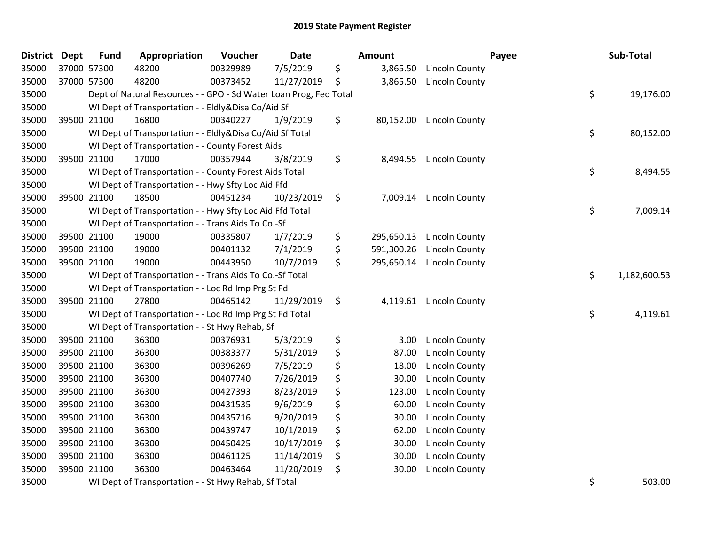| District Dept |             | <b>Fund</b> | Appropriation                                                     | Voucher  | Date       | <b>Amount</b>    |                         | Payee | Sub-Total    |
|---------------|-------------|-------------|-------------------------------------------------------------------|----------|------------|------------------|-------------------------|-------|--------------|
| 35000         | 37000 57300 |             | 48200                                                             | 00329989 | 7/5/2019   | \$<br>3,865.50   | <b>Lincoln County</b>   |       |              |
| 35000         |             | 37000 57300 | 48200                                                             | 00373452 | 11/27/2019 | \$<br>3,865.50   | <b>Lincoln County</b>   |       |              |
| 35000         |             |             | Dept of Natural Resources - - GPO - Sd Water Loan Prog, Fed Total |          |            |                  |                         | \$    | 19,176.00    |
| 35000         |             |             | WI Dept of Transportation - - Eldly&Disa Co/Aid Sf                |          |            |                  |                         |       |              |
| 35000         |             | 39500 21100 | 16800                                                             | 00340227 | 1/9/2019   | \$<br>80,152.00  | Lincoln County          |       |              |
| 35000         |             |             | WI Dept of Transportation - - Eldly&Disa Co/Aid Sf Total          |          |            |                  |                         | \$    | 80,152.00    |
| 35000         |             |             | WI Dept of Transportation - - County Forest Aids                  |          |            |                  |                         |       |              |
| 35000         |             | 39500 21100 | 17000                                                             | 00357944 | 3/8/2019   | \$<br>8,494.55   | Lincoln County          |       |              |
| 35000         |             |             | WI Dept of Transportation - - County Forest Aids Total            |          |            |                  |                         | \$    | 8,494.55     |
| 35000         |             |             | WI Dept of Transportation - - Hwy Sfty Loc Aid Ffd                |          |            |                  |                         |       |              |
| 35000         |             | 39500 21100 | 18500                                                             | 00451234 | 10/23/2019 | \$               | 7,009.14 Lincoln County |       |              |
| 35000         |             |             | WI Dept of Transportation - - Hwy Sfty Loc Aid Ffd Total          |          |            |                  |                         | \$    | 7,009.14     |
| 35000         |             |             | WI Dept of Transportation - - Trans Aids To Co.-Sf                |          |            |                  |                         |       |              |
| 35000         |             | 39500 21100 | 19000                                                             | 00335807 | 1/7/2019   | \$<br>295,650.13 | Lincoln County          |       |              |
| 35000         |             | 39500 21100 | 19000                                                             | 00401132 | 7/1/2019   | \$<br>591,300.26 | Lincoln County          |       |              |
| 35000         |             | 39500 21100 | 19000                                                             | 00443950 | 10/7/2019  | \$<br>295,650.14 | <b>Lincoln County</b>   |       |              |
| 35000         |             |             | WI Dept of Transportation - - Trans Aids To Co.-Sf Total          |          |            |                  |                         | \$    | 1,182,600.53 |
| 35000         |             |             | WI Dept of Transportation - - Loc Rd Imp Prg St Fd                |          |            |                  |                         |       |              |
| 35000         |             | 39500 21100 | 27800                                                             | 00465142 | 11/29/2019 | \$<br>4,119.61   | <b>Lincoln County</b>   |       |              |
| 35000         |             |             | WI Dept of Transportation - - Loc Rd Imp Prg St Fd Total          |          |            |                  |                         | \$    | 4,119.61     |
| 35000         |             |             | WI Dept of Transportation - - St Hwy Rehab, Sf                    |          |            |                  |                         |       |              |
| 35000         |             | 39500 21100 | 36300                                                             | 00376931 | 5/3/2019   | \$<br>3.00       | Lincoln County          |       |              |
| 35000         |             | 39500 21100 | 36300                                                             | 00383377 | 5/31/2019  | \$<br>87.00      | Lincoln County          |       |              |
| 35000         |             | 39500 21100 | 36300                                                             | 00396269 | 7/5/2019   | \$<br>18.00      | Lincoln County          |       |              |
| 35000         |             | 39500 21100 | 36300                                                             | 00407740 | 7/26/2019  | \$<br>30.00      | <b>Lincoln County</b>   |       |              |
| 35000         |             | 39500 21100 | 36300                                                             | 00427393 | 8/23/2019  | \$<br>123.00     | <b>Lincoln County</b>   |       |              |
| 35000         | 39500 21100 |             | 36300                                                             | 00431535 | 9/6/2019   | \$<br>60.00      | <b>Lincoln County</b>   |       |              |
| 35000         | 39500 21100 |             | 36300                                                             | 00435716 | 9/20/2019  | \$<br>30.00      | Lincoln County          |       |              |
| 35000         |             | 39500 21100 | 36300                                                             | 00439747 | 10/1/2019  | \$<br>62.00      | Lincoln County          |       |              |
| 35000         |             | 39500 21100 | 36300                                                             | 00450425 | 10/17/2019 | \$<br>30.00      | Lincoln County          |       |              |
| 35000         |             | 39500 21100 | 36300                                                             | 00461125 | 11/14/2019 | \$<br>30.00      | Lincoln County          |       |              |
| 35000         | 39500 21100 |             | 36300                                                             | 00463464 | 11/20/2019 | \$<br>30.00      | <b>Lincoln County</b>   |       |              |
| 35000         |             |             | WI Dept of Transportation - - St Hwy Rehab, Sf Total              |          |            |                  |                         | \$    | 503.00       |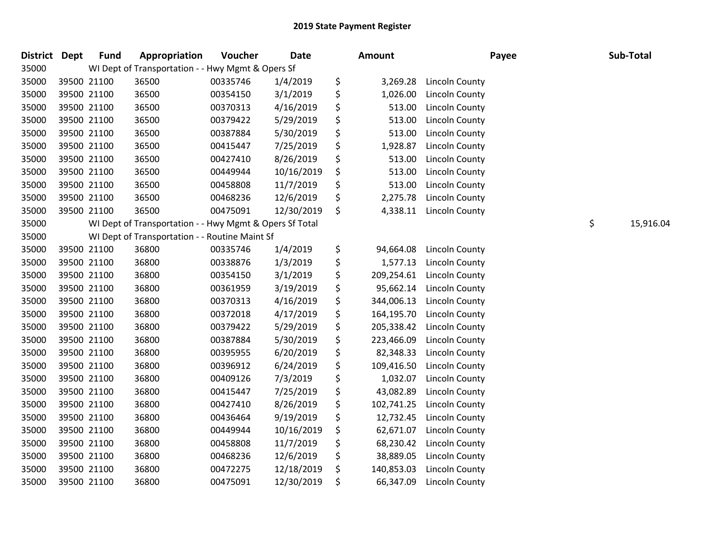| District | <b>Dept</b> | <b>Fund</b> | Appropriation                                           | Voucher  | <b>Date</b> | <b>Amount</b>    | Payee                 | Sub-Total       |
|----------|-------------|-------------|---------------------------------------------------------|----------|-------------|------------------|-----------------------|-----------------|
| 35000    |             |             | WI Dept of Transportation - - Hwy Mgmt & Opers Sf       |          |             |                  |                       |                 |
| 35000    |             | 39500 21100 | 36500                                                   | 00335746 | 1/4/2019    | \$<br>3,269.28   | Lincoln County        |                 |
| 35000    |             | 39500 21100 | 36500                                                   | 00354150 | 3/1/2019    | \$<br>1,026.00   | Lincoln County        |                 |
| 35000    |             | 39500 21100 | 36500                                                   | 00370313 | 4/16/2019   | \$<br>513.00     | <b>Lincoln County</b> |                 |
| 35000    |             | 39500 21100 | 36500                                                   | 00379422 | 5/29/2019   | \$<br>513.00     | <b>Lincoln County</b> |                 |
| 35000    |             | 39500 21100 | 36500                                                   | 00387884 | 5/30/2019   | \$<br>513.00     | Lincoln County        |                 |
| 35000    |             | 39500 21100 | 36500                                                   | 00415447 | 7/25/2019   | \$<br>1,928.87   | <b>Lincoln County</b> |                 |
| 35000    |             | 39500 21100 | 36500                                                   | 00427410 | 8/26/2019   | \$<br>513.00     | <b>Lincoln County</b> |                 |
| 35000    |             | 39500 21100 | 36500                                                   | 00449944 | 10/16/2019  | \$<br>513.00     | <b>Lincoln County</b> |                 |
| 35000    |             | 39500 21100 | 36500                                                   | 00458808 | 11/7/2019   | \$<br>513.00     | <b>Lincoln County</b> |                 |
| 35000    |             | 39500 21100 | 36500                                                   | 00468236 | 12/6/2019   | \$<br>2,275.78   | <b>Lincoln County</b> |                 |
| 35000    |             | 39500 21100 | 36500                                                   | 00475091 | 12/30/2019  | \$<br>4,338.11   | Lincoln County        |                 |
| 35000    |             |             | WI Dept of Transportation - - Hwy Mgmt & Opers Sf Total |          |             |                  |                       | \$<br>15,916.04 |
| 35000    |             |             | WI Dept of Transportation - - Routine Maint Sf          |          |             |                  |                       |                 |
| 35000    |             | 39500 21100 | 36800                                                   | 00335746 | 1/4/2019    | \$<br>94,664.08  | Lincoln County        |                 |
| 35000    |             | 39500 21100 | 36800                                                   | 00338876 | 1/3/2019    | \$<br>1,577.13   | Lincoln County        |                 |
| 35000    |             | 39500 21100 | 36800                                                   | 00354150 | 3/1/2019    | \$<br>209,254.61 | Lincoln County        |                 |
| 35000    |             | 39500 21100 | 36800                                                   | 00361959 | 3/19/2019   | \$<br>95,662.14  | Lincoln County        |                 |
| 35000    |             | 39500 21100 | 36800                                                   | 00370313 | 4/16/2019   | \$<br>344,006.13 | <b>Lincoln County</b> |                 |
| 35000    |             | 39500 21100 | 36800                                                   | 00372018 | 4/17/2019   | \$<br>164,195.70 | Lincoln County        |                 |
| 35000    |             | 39500 21100 | 36800                                                   | 00379422 | 5/29/2019   | \$<br>205,338.42 | Lincoln County        |                 |
| 35000    |             | 39500 21100 | 36800                                                   | 00387884 | 5/30/2019   | \$<br>223,466.09 | Lincoln County        |                 |
| 35000    |             | 39500 21100 | 36800                                                   | 00395955 | 6/20/2019   | \$<br>82,348.33  | Lincoln County        |                 |
| 35000    |             | 39500 21100 | 36800                                                   | 00396912 | 6/24/2019   | \$<br>109,416.50 | Lincoln County        |                 |
| 35000    |             | 39500 21100 | 36800                                                   | 00409126 | 7/3/2019    | \$<br>1,032.07   | <b>Lincoln County</b> |                 |
| 35000    |             | 39500 21100 | 36800                                                   | 00415447 | 7/25/2019   | \$<br>43,082.89  | Lincoln County        |                 |
| 35000    |             | 39500 21100 | 36800                                                   | 00427410 | 8/26/2019   | \$<br>102,741.25 | <b>Lincoln County</b> |                 |
| 35000    |             | 39500 21100 | 36800                                                   | 00436464 | 9/19/2019   | \$<br>12,732.45  | <b>Lincoln County</b> |                 |
| 35000    |             | 39500 21100 | 36800                                                   | 00449944 | 10/16/2019  | \$<br>62,671.07  | Lincoln County        |                 |
| 35000    |             | 39500 21100 | 36800                                                   | 00458808 | 11/7/2019   | \$<br>68,230.42  | Lincoln County        |                 |
| 35000    |             | 39500 21100 | 36800                                                   | 00468236 | 12/6/2019   | \$<br>38,889.05  | Lincoln County        |                 |
| 35000    |             | 39500 21100 | 36800                                                   | 00472275 | 12/18/2019  | \$<br>140,853.03 | Lincoln County        |                 |
| 35000    |             | 39500 21100 | 36800                                                   | 00475091 | 12/30/2019  | \$<br>66,347.09  | Lincoln County        |                 |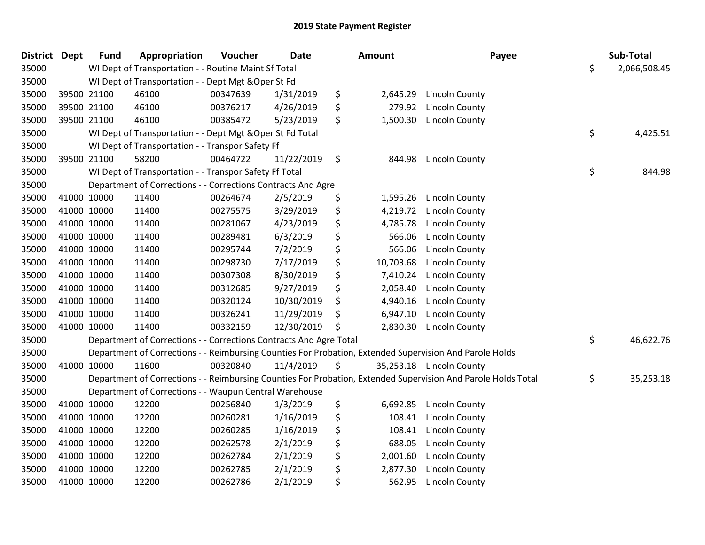| <b>District Dept</b> |             | <b>Fund</b> | Appropriation                                                      | Voucher  | <b>Date</b> | <b>Amount</b>   | Payee                                                                                                         | Sub-Total          |
|----------------------|-------------|-------------|--------------------------------------------------------------------|----------|-------------|-----------------|---------------------------------------------------------------------------------------------------------------|--------------------|
| 35000                |             |             | WI Dept of Transportation - - Routine Maint Sf Total               |          |             |                 |                                                                                                               | \$<br>2,066,508.45 |
| 35000                |             |             | WI Dept of Transportation - - Dept Mgt & Oper St Fd                |          |             |                 |                                                                                                               |                    |
| 35000                |             | 39500 21100 | 46100                                                              | 00347639 | 1/31/2019   | \$<br>2,645.29  | Lincoln County                                                                                                |                    |
| 35000                | 39500 21100 |             | 46100                                                              | 00376217 | 4/26/2019   | \$<br>279.92    | Lincoln County                                                                                                |                    |
| 35000                | 39500 21100 |             | 46100                                                              | 00385472 | 5/23/2019   | \$<br>1,500.30  | Lincoln County                                                                                                |                    |
| 35000                |             |             | WI Dept of Transportation - - Dept Mgt & Oper St Fd Total          |          |             |                 |                                                                                                               | \$<br>4,425.51     |
| 35000                |             |             | WI Dept of Transportation - - Transpor Safety Ff                   |          |             |                 |                                                                                                               |                    |
| 35000                | 39500 21100 |             | 58200                                                              | 00464722 | 11/22/2019  | \$<br>844.98    | Lincoln County                                                                                                |                    |
| 35000                |             |             | WI Dept of Transportation - - Transpor Safety Ff Total             |          |             |                 |                                                                                                               | \$<br>844.98       |
| 35000                |             |             | Department of Corrections - - Corrections Contracts And Agre       |          |             |                 |                                                                                                               |                    |
| 35000                | 41000 10000 |             | 11400                                                              | 00264674 | 2/5/2019    | \$<br>1,595.26  | Lincoln County                                                                                                |                    |
| 35000                | 41000 10000 |             | 11400                                                              | 00275575 | 3/29/2019   | \$<br>4,219.72  | Lincoln County                                                                                                |                    |
| 35000                | 41000 10000 |             | 11400                                                              | 00281067 | 4/23/2019   | \$<br>4,785.78  | Lincoln County                                                                                                |                    |
| 35000                | 41000 10000 |             | 11400                                                              | 00289481 | 6/3/2019    | \$<br>566.06    | Lincoln County                                                                                                |                    |
| 35000                | 41000 10000 |             | 11400                                                              | 00295744 | 7/2/2019    | \$<br>566.06    | Lincoln County                                                                                                |                    |
| 35000                | 41000 10000 |             | 11400                                                              | 00298730 | 7/17/2019   | \$<br>10,703.68 | Lincoln County                                                                                                |                    |
| 35000                | 41000 10000 |             | 11400                                                              | 00307308 | 8/30/2019   | \$<br>7,410.24  | Lincoln County                                                                                                |                    |
| 35000                | 41000 10000 |             | 11400                                                              | 00312685 | 9/27/2019   | \$<br>2,058.40  | Lincoln County                                                                                                |                    |
| 35000                | 41000 10000 |             | 11400                                                              | 00320124 | 10/30/2019  | \$<br>4,940.16  | <b>Lincoln County</b>                                                                                         |                    |
| 35000                | 41000 10000 |             | 11400                                                              | 00326241 | 11/29/2019  | \$<br>6,947.10  | <b>Lincoln County</b>                                                                                         |                    |
| 35000                | 41000 10000 |             | 11400                                                              | 00332159 | 12/30/2019  | \$<br>2,830.30  | <b>Lincoln County</b>                                                                                         |                    |
| 35000                |             |             | Department of Corrections - - Corrections Contracts And Agre Total |          |             |                 |                                                                                                               | \$<br>46,622.76    |
| 35000                |             |             |                                                                    |          |             |                 | Department of Corrections - - Reimbursing Counties For Probation, Extended Supervision And Parole Holds       |                    |
| 35000                | 41000 10000 |             | 11600                                                              | 00320840 | 11/4/2019   | \$              | 35,253.18 Lincoln County                                                                                      |                    |
| 35000                |             |             |                                                                    |          |             |                 | Department of Corrections - - Reimbursing Counties For Probation, Extended Supervision And Parole Holds Total | \$<br>35,253.18    |
| 35000                |             |             | Department of Corrections - - Waupun Central Warehouse             |          |             |                 |                                                                                                               |                    |
| 35000                | 41000 10000 |             | 12200                                                              | 00256840 | 1/3/2019    | \$<br>6,692.85  | Lincoln County                                                                                                |                    |
| 35000                | 41000 10000 |             | 12200                                                              | 00260281 | 1/16/2019   | \$<br>108.41    | Lincoln County                                                                                                |                    |
| 35000                | 41000 10000 |             | 12200                                                              | 00260285 | 1/16/2019   | \$<br>108.41    | Lincoln County                                                                                                |                    |
| 35000                | 41000 10000 |             | 12200                                                              | 00262578 | 2/1/2019    | \$<br>688.05    | Lincoln County                                                                                                |                    |
| 35000                | 41000 10000 |             | 12200                                                              | 00262784 | 2/1/2019    | \$<br>2,001.60  | Lincoln County                                                                                                |                    |
| 35000                | 41000 10000 |             | 12200                                                              | 00262785 | 2/1/2019    | \$<br>2,877.30  | Lincoln County                                                                                                |                    |
| 35000                | 41000 10000 |             | 12200                                                              | 00262786 | 2/1/2019    | \$<br>562.95    | Lincoln County                                                                                                |                    |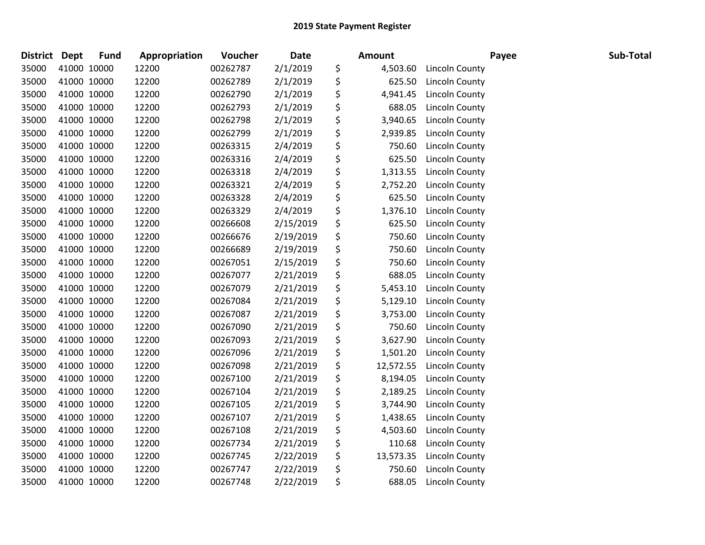| <b>District Dept</b> |             | <b>Fund</b> | Appropriation | Voucher  | <b>Date</b> | <b>Amount</b>   |                       | Payee | Sub-Total |
|----------------------|-------------|-------------|---------------|----------|-------------|-----------------|-----------------------|-------|-----------|
| 35000                | 41000 10000 |             | 12200         | 00262787 | 2/1/2019    | \$<br>4,503.60  | Lincoln County        |       |           |
| 35000                | 41000 10000 |             | 12200         | 00262789 | 2/1/2019    | \$<br>625.50    | Lincoln County        |       |           |
| 35000                | 41000 10000 |             | 12200         | 00262790 | 2/1/2019    | \$<br>4,941.45  | Lincoln County        |       |           |
| 35000                | 41000 10000 |             | 12200         | 00262793 | 2/1/2019    | \$<br>688.05    | Lincoln County        |       |           |
| 35000                |             | 41000 10000 | 12200         | 00262798 | 2/1/2019    | \$<br>3,940.65  | Lincoln County        |       |           |
| 35000                | 41000 10000 |             | 12200         | 00262799 | 2/1/2019    | \$<br>2,939.85  | <b>Lincoln County</b> |       |           |
| 35000                | 41000 10000 |             | 12200         | 00263315 | 2/4/2019    | \$<br>750.60    | Lincoln County        |       |           |
| 35000                | 41000 10000 |             | 12200         | 00263316 | 2/4/2019    | \$<br>625.50    | Lincoln County        |       |           |
| 35000                | 41000 10000 |             | 12200         | 00263318 | 2/4/2019    | \$<br>1,313.55  | Lincoln County        |       |           |
| 35000                | 41000 10000 |             | 12200         | 00263321 | 2/4/2019    | \$<br>2,752.20  | <b>Lincoln County</b> |       |           |
| 35000                | 41000 10000 |             | 12200         | 00263328 | 2/4/2019    | \$<br>625.50    | Lincoln County        |       |           |
| 35000                | 41000 10000 |             | 12200         | 00263329 | 2/4/2019    | \$<br>1,376.10  | Lincoln County        |       |           |
| 35000                | 41000 10000 |             | 12200         | 00266608 | 2/15/2019   | \$<br>625.50    | Lincoln County        |       |           |
| 35000                | 41000 10000 |             | 12200         | 00266676 | 2/19/2019   | \$<br>750.60    | Lincoln County        |       |           |
| 35000                | 41000 10000 |             | 12200         | 00266689 | 2/19/2019   | \$<br>750.60    | Lincoln County        |       |           |
| 35000                | 41000 10000 |             | 12200         | 00267051 | 2/15/2019   | \$<br>750.60    | Lincoln County        |       |           |
| 35000                | 41000 10000 |             | 12200         | 00267077 | 2/21/2019   | \$<br>688.05    | <b>Lincoln County</b> |       |           |
| 35000                | 41000 10000 |             | 12200         | 00267079 | 2/21/2019   | \$<br>5,453.10  | Lincoln County        |       |           |
| 35000                | 41000 10000 |             | 12200         | 00267084 | 2/21/2019   | \$<br>5,129.10  | Lincoln County        |       |           |
| 35000                | 41000 10000 |             | 12200         | 00267087 | 2/21/2019   | \$<br>3,753.00  | <b>Lincoln County</b> |       |           |
| 35000                | 41000 10000 |             | 12200         | 00267090 | 2/21/2019   | \$<br>750.60    | <b>Lincoln County</b> |       |           |
| 35000                | 41000 10000 |             | 12200         | 00267093 | 2/21/2019   | \$<br>3,627.90  | Lincoln County        |       |           |
| 35000                | 41000 10000 |             | 12200         | 00267096 | 2/21/2019   | \$<br>1,501.20  | Lincoln County        |       |           |
| 35000                | 41000 10000 |             | 12200         | 00267098 | 2/21/2019   | \$<br>12,572.55 | Lincoln County        |       |           |
| 35000                | 41000 10000 |             | 12200         | 00267100 | 2/21/2019   | \$<br>8,194.05  | <b>Lincoln County</b> |       |           |
| 35000                | 41000 10000 |             | 12200         | 00267104 | 2/21/2019   | \$<br>2,189.25  | Lincoln County        |       |           |
| 35000                | 41000 10000 |             | 12200         | 00267105 | 2/21/2019   | \$<br>3,744.90  | Lincoln County        |       |           |
| 35000                | 41000 10000 |             | 12200         | 00267107 | 2/21/2019   | \$<br>1,438.65  | Lincoln County        |       |           |
| 35000                | 41000 10000 |             | 12200         | 00267108 | 2/21/2019   | \$<br>4,503.60  | <b>Lincoln County</b> |       |           |
| 35000                | 41000 10000 |             | 12200         | 00267734 | 2/21/2019   | \$<br>110.68    | <b>Lincoln County</b> |       |           |
| 35000                | 41000 10000 |             | 12200         | 00267745 | 2/22/2019   | \$<br>13,573.35 | Lincoln County        |       |           |
| 35000                | 41000 10000 |             | 12200         | 00267747 | 2/22/2019   | \$<br>750.60    | Lincoln County        |       |           |
| 35000                | 41000 10000 |             | 12200         | 00267748 | 2/22/2019   | \$<br>688.05    | Lincoln County        |       |           |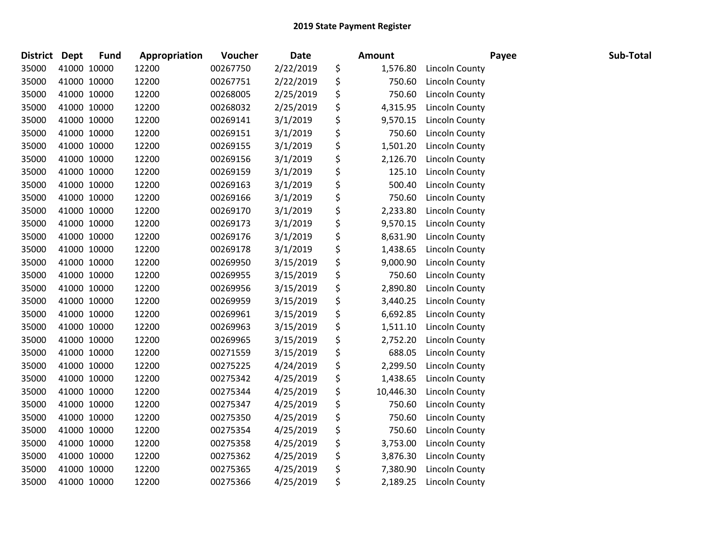| District Dept |             | <b>Fund</b> | Appropriation | Voucher  | <b>Date</b> | <b>Amount</b>   |                       | Payee | Sub-Total |
|---------------|-------------|-------------|---------------|----------|-------------|-----------------|-----------------------|-------|-----------|
| 35000         | 41000 10000 |             | 12200         | 00267750 | 2/22/2019   | \$<br>1,576.80  | <b>Lincoln County</b> |       |           |
| 35000         | 41000 10000 |             | 12200         | 00267751 | 2/22/2019   | \$<br>750.60    | Lincoln County        |       |           |
| 35000         | 41000 10000 |             | 12200         | 00268005 | 2/25/2019   | \$<br>750.60    | Lincoln County        |       |           |
| 35000         | 41000 10000 |             | 12200         | 00268032 | 2/25/2019   | \$<br>4,315.95  | Lincoln County        |       |           |
| 35000         | 41000 10000 |             | 12200         | 00269141 | 3/1/2019    | \$<br>9,570.15  | <b>Lincoln County</b> |       |           |
| 35000         | 41000 10000 |             | 12200         | 00269151 | 3/1/2019    | \$<br>750.60    | <b>Lincoln County</b> |       |           |
| 35000         | 41000 10000 |             | 12200         | 00269155 | 3/1/2019    | \$<br>1,501.20  | <b>Lincoln County</b> |       |           |
| 35000         | 41000 10000 |             | 12200         | 00269156 | 3/1/2019    | \$<br>2,126.70  | Lincoln County        |       |           |
| 35000         | 41000 10000 |             | 12200         | 00269159 | 3/1/2019    | \$<br>125.10    | Lincoln County        |       |           |
| 35000         | 41000 10000 |             | 12200         | 00269163 | 3/1/2019    | \$<br>500.40    | <b>Lincoln County</b> |       |           |
| 35000         | 41000 10000 |             | 12200         | 00269166 | 3/1/2019    | \$<br>750.60    | Lincoln County        |       |           |
| 35000         | 41000 10000 |             | 12200         | 00269170 | 3/1/2019    | \$<br>2,233.80  | Lincoln County        |       |           |
| 35000         | 41000 10000 |             | 12200         | 00269173 | 3/1/2019    | \$<br>9,570.15  | Lincoln County        |       |           |
| 35000         | 41000 10000 |             | 12200         | 00269176 | 3/1/2019    | \$<br>8,631.90  | Lincoln County        |       |           |
| 35000         | 41000 10000 |             | 12200         | 00269178 | 3/1/2019    | \$<br>1,438.65  | Lincoln County        |       |           |
| 35000         | 41000 10000 |             | 12200         | 00269950 | 3/15/2019   | \$<br>9,000.90  | <b>Lincoln County</b> |       |           |
| 35000         | 41000 10000 |             | 12200         | 00269955 | 3/15/2019   | \$<br>750.60    | <b>Lincoln County</b> |       |           |
| 35000         | 41000 10000 |             | 12200         | 00269956 | 3/15/2019   | \$<br>2,890.80  | <b>Lincoln County</b> |       |           |
| 35000         | 41000 10000 |             | 12200         | 00269959 | 3/15/2019   | \$<br>3,440.25  | Lincoln County        |       |           |
| 35000         | 41000 10000 |             | 12200         | 00269961 | 3/15/2019   | \$<br>6,692.85  | <b>Lincoln County</b> |       |           |
| 35000         | 41000 10000 |             | 12200         | 00269963 | 3/15/2019   | \$<br>1,511.10  | <b>Lincoln County</b> |       |           |
| 35000         | 41000 10000 |             | 12200         | 00269965 | 3/15/2019   | \$<br>2,752.20  | <b>Lincoln County</b> |       |           |
| 35000         | 41000 10000 |             | 12200         | 00271559 | 3/15/2019   | \$<br>688.05    | Lincoln County        |       |           |
| 35000         | 41000 10000 |             | 12200         | 00275225 | 4/24/2019   | \$<br>2,299.50  | <b>Lincoln County</b> |       |           |
| 35000         | 41000 10000 |             | 12200         | 00275342 | 4/25/2019   | \$<br>1,438.65  | <b>Lincoln County</b> |       |           |
| 35000         | 41000 10000 |             | 12200         | 00275344 | 4/25/2019   | \$<br>10,446.30 | <b>Lincoln County</b> |       |           |
| 35000         | 41000 10000 |             | 12200         | 00275347 | 4/25/2019   | \$<br>750.60    | Lincoln County        |       |           |
| 35000         | 41000 10000 |             | 12200         | 00275350 | 4/25/2019   | \$<br>750.60    | Lincoln County        |       |           |
| 35000         | 41000 10000 |             | 12200         | 00275354 | 4/25/2019   | \$<br>750.60    | <b>Lincoln County</b> |       |           |
| 35000         | 41000 10000 |             | 12200         | 00275358 | 4/25/2019   | \$<br>3,753.00  | <b>Lincoln County</b> |       |           |
| 35000         | 41000 10000 |             | 12200         | 00275362 | 4/25/2019   | \$<br>3,876.30  | <b>Lincoln County</b> |       |           |
| 35000         | 41000 10000 |             | 12200         | 00275365 | 4/25/2019   | \$<br>7,380.90  | <b>Lincoln County</b> |       |           |
| 35000         | 41000 10000 |             | 12200         | 00275366 | 4/25/2019   | \$<br>2,189.25  | Lincoln County        |       |           |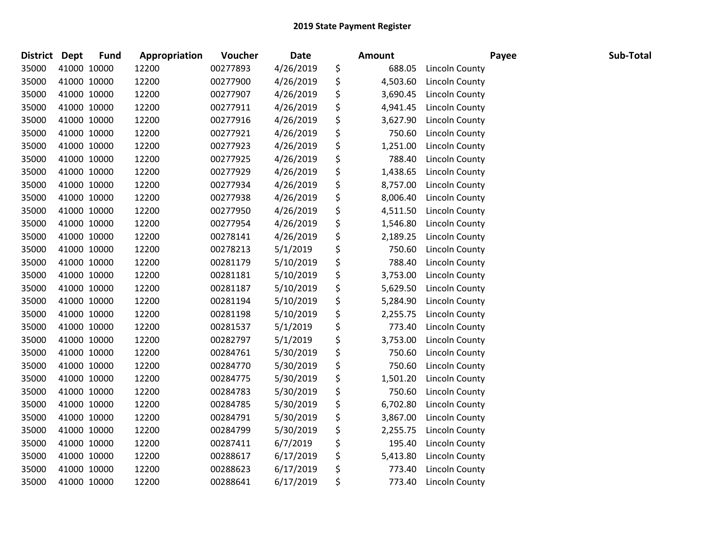| <b>District</b> | <b>Dept</b> | <b>Fund</b> | Appropriation | Voucher  | <b>Date</b> | <b>Amount</b>  |                       | Payee | Sub-Total |
|-----------------|-------------|-------------|---------------|----------|-------------|----------------|-----------------------|-------|-----------|
| 35000           |             | 41000 10000 | 12200         | 00277893 | 4/26/2019   | \$<br>688.05   | Lincoln County        |       |           |
| 35000           |             | 41000 10000 | 12200         | 00277900 | 4/26/2019   | \$<br>4,503.60 | <b>Lincoln County</b> |       |           |
| 35000           | 41000 10000 |             | 12200         | 00277907 | 4/26/2019   | \$<br>3,690.45 | Lincoln County        |       |           |
| 35000           |             | 41000 10000 | 12200         | 00277911 | 4/26/2019   | \$<br>4,941.45 | Lincoln County        |       |           |
| 35000           |             | 41000 10000 | 12200         | 00277916 | 4/26/2019   | \$<br>3,627.90 | <b>Lincoln County</b> |       |           |
| 35000           |             | 41000 10000 | 12200         | 00277921 | 4/26/2019   | \$<br>750.60   | <b>Lincoln County</b> |       |           |
| 35000           |             | 41000 10000 | 12200         | 00277923 | 4/26/2019   | \$<br>1,251.00 | <b>Lincoln County</b> |       |           |
| 35000           |             | 41000 10000 | 12200         | 00277925 | 4/26/2019   | \$<br>788.40   | <b>Lincoln County</b> |       |           |
| 35000           | 41000 10000 |             | 12200         | 00277929 | 4/26/2019   | \$<br>1,438.65 | Lincoln County        |       |           |
| 35000           |             | 41000 10000 | 12200         | 00277934 | 4/26/2019   | \$<br>8,757.00 | <b>Lincoln County</b> |       |           |
| 35000           |             | 41000 10000 | 12200         | 00277938 | 4/26/2019   | \$<br>8,006.40 | <b>Lincoln County</b> |       |           |
| 35000           |             | 41000 10000 | 12200         | 00277950 | 4/26/2019   | \$<br>4,511.50 | <b>Lincoln County</b> |       |           |
| 35000           |             | 41000 10000 | 12200         | 00277954 | 4/26/2019   | \$<br>1,546.80 | <b>Lincoln County</b> |       |           |
| 35000           | 41000 10000 |             | 12200         | 00278141 | 4/26/2019   | \$<br>2,189.25 | <b>Lincoln County</b> |       |           |
| 35000           |             | 41000 10000 | 12200         | 00278213 | 5/1/2019    | \$<br>750.60   | Lincoln County        |       |           |
| 35000           |             | 41000 10000 | 12200         | 00281179 | 5/10/2019   | \$<br>788.40   | <b>Lincoln County</b> |       |           |
| 35000           |             | 41000 10000 | 12200         | 00281181 | 5/10/2019   | \$<br>3,753.00 | <b>Lincoln County</b> |       |           |
| 35000           | 41000 10000 |             | 12200         | 00281187 | 5/10/2019   | \$<br>5,629.50 | <b>Lincoln County</b> |       |           |
| 35000           |             | 41000 10000 | 12200         | 00281194 | 5/10/2019   | \$<br>5,284.90 | <b>Lincoln County</b> |       |           |
| 35000           |             | 41000 10000 | 12200         | 00281198 | 5/10/2019   | \$<br>2,255.75 | <b>Lincoln County</b> |       |           |
| 35000           |             | 41000 10000 | 12200         | 00281537 | 5/1/2019    | \$<br>773.40   | <b>Lincoln County</b> |       |           |
| 35000           |             | 41000 10000 | 12200         | 00282797 | 5/1/2019    | \$<br>3,753.00 | <b>Lincoln County</b> |       |           |
| 35000           | 41000 10000 |             | 12200         | 00284761 | 5/30/2019   | \$<br>750.60   | <b>Lincoln County</b> |       |           |
| 35000           | 41000 10000 |             | 12200         | 00284770 | 5/30/2019   | \$<br>750.60   | Lincoln County        |       |           |
| 35000           |             | 41000 10000 | 12200         | 00284775 | 5/30/2019   | \$<br>1,501.20 | <b>Lincoln County</b> |       |           |
| 35000           |             | 41000 10000 | 12200         | 00284783 | 5/30/2019   | \$<br>750.60   | <b>Lincoln County</b> |       |           |
| 35000           |             | 41000 10000 | 12200         | 00284785 | 5/30/2019   | \$<br>6,702.80 | <b>Lincoln County</b> |       |           |
| 35000           | 41000 10000 |             | 12200         | 00284791 | 5/30/2019   | \$<br>3,867.00 | <b>Lincoln County</b> |       |           |
| 35000           | 41000 10000 |             | 12200         | 00284799 | 5/30/2019   | \$<br>2,255.75 | <b>Lincoln County</b> |       |           |
| 35000           |             | 41000 10000 | 12200         | 00287411 | 6/7/2019    | \$<br>195.40   | Lincoln County        |       |           |
| 35000           |             | 41000 10000 | 12200         | 00288617 | 6/17/2019   | \$<br>5,413.80 | <b>Lincoln County</b> |       |           |
| 35000           |             | 41000 10000 | 12200         | 00288623 | 6/17/2019   | \$<br>773.40   | <b>Lincoln County</b> |       |           |
| 35000           |             | 41000 10000 | 12200         | 00288641 | 6/17/2019   | \$<br>773.40   | Lincoln County        |       |           |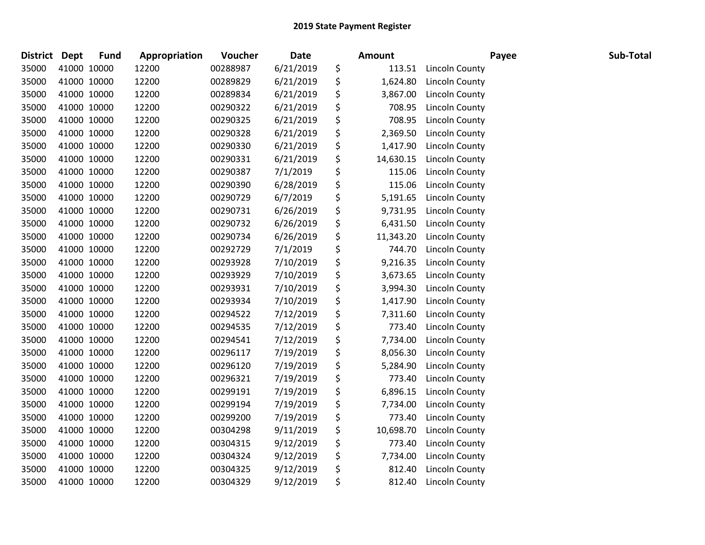| <b>District</b> | <b>Dept</b> | <b>Fund</b> | Appropriation | Voucher  | <b>Date</b> | Amount          |                       | Payee | Sub-Total |
|-----------------|-------------|-------------|---------------|----------|-------------|-----------------|-----------------------|-------|-----------|
| 35000           |             | 41000 10000 | 12200         | 00288987 | 6/21/2019   | \$<br>113.51    | <b>Lincoln County</b> |       |           |
| 35000           |             | 41000 10000 | 12200         | 00289829 | 6/21/2019   | \$<br>1,624.80  | Lincoln County        |       |           |
| 35000           | 41000 10000 |             | 12200         | 00289834 | 6/21/2019   | \$<br>3,867.00  | Lincoln County        |       |           |
| 35000           | 41000 10000 |             | 12200         | 00290322 | 6/21/2019   | \$<br>708.95    | Lincoln County        |       |           |
| 35000           | 41000 10000 |             | 12200         | 00290325 | 6/21/2019   | \$<br>708.95    | Lincoln County        |       |           |
| 35000           |             | 41000 10000 | 12200         | 00290328 | 6/21/2019   | \$<br>2,369.50  | <b>Lincoln County</b> |       |           |
| 35000           |             | 41000 10000 | 12200         | 00290330 | 6/21/2019   | \$<br>1,417.90  | <b>Lincoln County</b> |       |           |
| 35000           | 41000 10000 |             | 12200         | 00290331 | 6/21/2019   | \$<br>14,630.15 | Lincoln County        |       |           |
| 35000           | 41000 10000 |             | 12200         | 00290387 | 7/1/2019    | \$<br>115.06    | Lincoln County        |       |           |
| 35000           | 41000 10000 |             | 12200         | 00290390 | 6/28/2019   | \$<br>115.06    | <b>Lincoln County</b> |       |           |
| 35000           |             | 41000 10000 | 12200         | 00290729 | 6/7/2019    | \$<br>5,191.65  | <b>Lincoln County</b> |       |           |
| 35000           |             | 41000 10000 | 12200         | 00290731 | 6/26/2019   | \$<br>9,731.95  | Lincoln County        |       |           |
| 35000           | 41000 10000 |             | 12200         | 00290732 | 6/26/2019   | \$<br>6,431.50  | Lincoln County        |       |           |
| 35000           | 41000 10000 |             | 12200         | 00290734 | 6/26/2019   | \$<br>11,343.20 | Lincoln County        |       |           |
| 35000           |             | 41000 10000 | 12200         | 00292729 | 7/1/2019    | \$<br>744.70    | <b>Lincoln County</b> |       |           |
| 35000           |             | 41000 10000 | 12200         | 00293928 | 7/10/2019   | \$<br>9,216.35  | Lincoln County        |       |           |
| 35000           |             | 41000 10000 | 12200         | 00293929 | 7/10/2019   | \$<br>3,673.65  | <b>Lincoln County</b> |       |           |
| 35000           | 41000 10000 |             | 12200         | 00293931 | 7/10/2019   | \$<br>3,994.30  | Lincoln County        |       |           |
| 35000           | 41000 10000 |             | 12200         | 00293934 | 7/10/2019   | \$<br>1,417.90  | Lincoln County        |       |           |
| 35000           |             | 41000 10000 | 12200         | 00294522 | 7/12/2019   | \$<br>7,311.60  | Lincoln County        |       |           |
| 35000           |             | 41000 10000 | 12200         | 00294535 | 7/12/2019   | \$<br>773.40    | <b>Lincoln County</b> |       |           |
| 35000           |             | 41000 10000 | 12200         | 00294541 | 7/12/2019   | \$<br>7,734.00  | <b>Lincoln County</b> |       |           |
| 35000           |             | 41000 10000 | 12200         | 00296117 | 7/19/2019   | \$<br>8,056.30  | Lincoln County        |       |           |
| 35000           | 41000 10000 |             | 12200         | 00296120 | 7/19/2019   | \$<br>5,284.90  | <b>Lincoln County</b> |       |           |
| 35000           |             | 41000 10000 | 12200         | 00296321 | 7/19/2019   | \$<br>773.40    | <b>Lincoln County</b> |       |           |
| 35000           |             | 41000 10000 | 12200         | 00299191 | 7/19/2019   | \$<br>6,896.15  | <b>Lincoln County</b> |       |           |
| 35000           |             | 41000 10000 | 12200         | 00299194 | 7/19/2019   | \$<br>7,734.00  | Lincoln County        |       |           |
| 35000           | 41000 10000 |             | 12200         | 00299200 | 7/19/2019   | \$<br>773.40    | Lincoln County        |       |           |
| 35000           | 41000 10000 |             | 12200         | 00304298 | 9/11/2019   | \$<br>10,698.70 | <b>Lincoln County</b> |       |           |
| 35000           |             | 41000 10000 | 12200         | 00304315 | 9/12/2019   | \$<br>773.40    | Lincoln County        |       |           |
| 35000           |             | 41000 10000 | 12200         | 00304324 | 9/12/2019   | \$<br>7,734.00  | Lincoln County        |       |           |
| 35000           |             | 41000 10000 | 12200         | 00304325 | 9/12/2019   | \$<br>812.40    | <b>Lincoln County</b> |       |           |
| 35000           | 41000 10000 |             | 12200         | 00304329 | 9/12/2019   | \$<br>812.40    | Lincoln County        |       |           |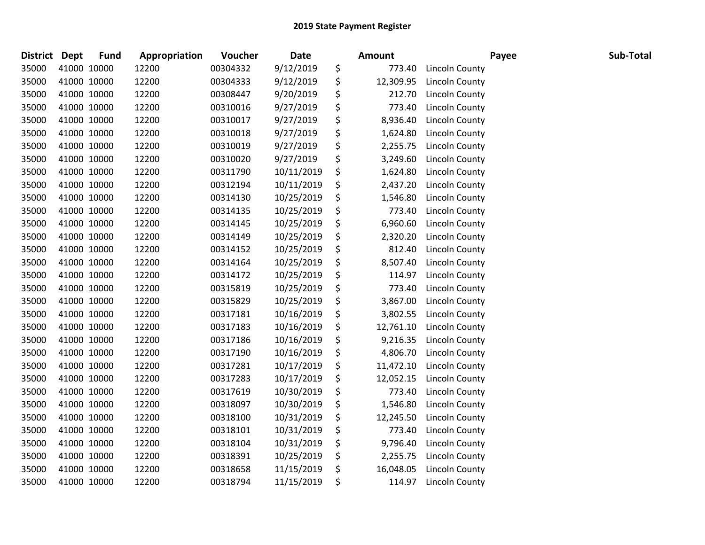| <b>District</b> | <b>Dept</b> | <b>Fund</b> | Appropriation | Voucher  | <b>Date</b> | Amount          |                       | Payee | Sub-Total |
|-----------------|-------------|-------------|---------------|----------|-------------|-----------------|-----------------------|-------|-----------|
| 35000           |             | 41000 10000 | 12200         | 00304332 | 9/12/2019   | \$<br>773.40    | Lincoln County        |       |           |
| 35000           |             | 41000 10000 | 12200         | 00304333 | 9/12/2019   | \$<br>12,309.95 | <b>Lincoln County</b> |       |           |
| 35000           |             | 41000 10000 | 12200         | 00308447 | 9/20/2019   | \$<br>212.70    | Lincoln County        |       |           |
| 35000           | 41000 10000 |             | 12200         | 00310016 | 9/27/2019   | \$<br>773.40    | Lincoln County        |       |           |
| 35000           | 41000 10000 |             | 12200         | 00310017 | 9/27/2019   | \$<br>8,936.40  | Lincoln County        |       |           |
| 35000           |             | 41000 10000 | 12200         | 00310018 | 9/27/2019   | \$<br>1,624.80  | Lincoln County        |       |           |
| 35000           |             | 41000 10000 | 12200         | 00310019 | 9/27/2019   | \$<br>2,255.75  | Lincoln County        |       |           |
| 35000           |             | 41000 10000 | 12200         | 00310020 | 9/27/2019   | \$<br>3,249.60  | <b>Lincoln County</b> |       |           |
| 35000           | 41000 10000 |             | 12200         | 00311790 | 10/11/2019  | \$<br>1,624.80  | Lincoln County        |       |           |
| 35000           |             | 41000 10000 | 12200         | 00312194 | 10/11/2019  | \$<br>2,437.20  | <b>Lincoln County</b> |       |           |
| 35000           |             | 41000 10000 | 12200         | 00314130 | 10/25/2019  | \$<br>1,546.80  | Lincoln County        |       |           |
| 35000           |             | 41000 10000 | 12200         | 00314135 | 10/25/2019  | \$<br>773.40    | <b>Lincoln County</b> |       |           |
| 35000           |             | 41000 10000 | 12200         | 00314145 | 10/25/2019  | \$<br>6,960.60  | Lincoln County        |       |           |
| 35000           | 41000 10000 |             | 12200         | 00314149 | 10/25/2019  | \$<br>2,320.20  | Lincoln County        |       |           |
| 35000           |             | 41000 10000 | 12200         | 00314152 | 10/25/2019  | \$<br>812.40    | <b>Lincoln County</b> |       |           |
| 35000           |             | 41000 10000 | 12200         | 00314164 | 10/25/2019  | \$<br>8,507.40  | <b>Lincoln County</b> |       |           |
| 35000           |             | 41000 10000 | 12200         | 00314172 | 10/25/2019  | \$<br>114.97    | <b>Lincoln County</b> |       |           |
| 35000           | 41000 10000 |             | 12200         | 00315819 | 10/25/2019  | \$<br>773.40    | Lincoln County        |       |           |
| 35000           | 41000 10000 |             | 12200         | 00315829 | 10/25/2019  | \$<br>3,867.00  | Lincoln County        |       |           |
| 35000           |             | 41000 10000 | 12200         | 00317181 | 10/16/2019  | \$<br>3,802.55  | Lincoln County        |       |           |
| 35000           |             | 41000 10000 | 12200         | 00317183 | 10/16/2019  | \$<br>12,761.10 | Lincoln County        |       |           |
| 35000           |             | 41000 10000 | 12200         | 00317186 | 10/16/2019  | \$<br>9,216.35  | Lincoln County        |       |           |
| 35000           |             | 41000 10000 | 12200         | 00317190 | 10/16/2019  | \$<br>4,806.70  | Lincoln County        |       |           |
| 35000           | 41000 10000 |             | 12200         | 00317281 | 10/17/2019  | \$<br>11,472.10 | Lincoln County        |       |           |
| 35000           |             | 41000 10000 | 12200         | 00317283 | 10/17/2019  | \$<br>12,052.15 | <b>Lincoln County</b> |       |           |
| 35000           |             | 41000 10000 | 12200         | 00317619 | 10/30/2019  | \$<br>773.40    | <b>Lincoln County</b> |       |           |
| 35000           |             | 41000 10000 | 12200         | 00318097 | 10/30/2019  | \$<br>1,546.80  | <b>Lincoln County</b> |       |           |
| 35000           | 41000 10000 |             | 12200         | 00318100 | 10/31/2019  | \$<br>12,245.50 | <b>Lincoln County</b> |       |           |
| 35000           | 41000 10000 |             | 12200         | 00318101 | 10/31/2019  | \$<br>773.40    | Lincoln County        |       |           |
| 35000           |             | 41000 10000 | 12200         | 00318104 | 10/31/2019  | \$<br>9,796.40  | Lincoln County        |       |           |
| 35000           |             | 41000 10000 | 12200         | 00318391 | 10/25/2019  | \$<br>2,255.75  | <b>Lincoln County</b> |       |           |
| 35000           |             | 41000 10000 | 12200         | 00318658 | 11/15/2019  | \$<br>16,048.05 | <b>Lincoln County</b> |       |           |
| 35000           | 41000 10000 |             | 12200         | 00318794 | 11/15/2019  | \$<br>114.97    | Lincoln County        |       |           |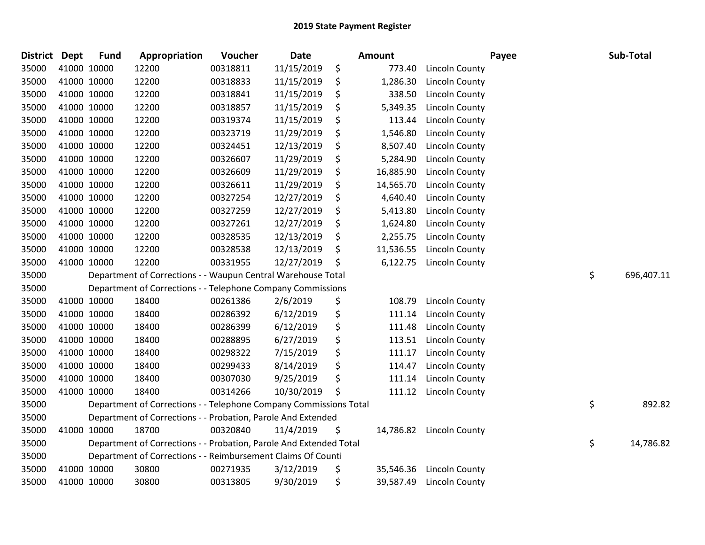| District Dept |             | <b>Fund</b> | Appropriation                                                      | Voucher  | <b>Date</b> |    | Amount    |                       | Payee | Sub-Total        |
|---------------|-------------|-------------|--------------------------------------------------------------------|----------|-------------|----|-----------|-----------------------|-------|------------------|
| 35000         | 41000 10000 |             | 12200                                                              | 00318811 | 11/15/2019  | \$ | 773.40    | <b>Lincoln County</b> |       |                  |
| 35000         | 41000 10000 |             | 12200                                                              | 00318833 | 11/15/2019  | \$ | 1,286.30  | <b>Lincoln County</b> |       |                  |
| 35000         | 41000 10000 |             | 12200                                                              | 00318841 | 11/15/2019  | \$ | 338.50    | Lincoln County        |       |                  |
| 35000         | 41000 10000 |             | 12200                                                              | 00318857 | 11/15/2019  | \$ | 5,349.35  | Lincoln County        |       |                  |
| 35000         | 41000 10000 |             | 12200                                                              | 00319374 | 11/15/2019  | \$ | 113.44    | Lincoln County        |       |                  |
| 35000         | 41000 10000 |             | 12200                                                              | 00323719 | 11/29/2019  | \$ | 1,546.80  | Lincoln County        |       |                  |
| 35000         | 41000 10000 |             | 12200                                                              | 00324451 | 12/13/2019  | \$ | 8,507.40  | Lincoln County        |       |                  |
| 35000         | 41000 10000 |             | 12200                                                              | 00326607 | 11/29/2019  | \$ | 5,284.90  | Lincoln County        |       |                  |
| 35000         | 41000 10000 |             | 12200                                                              | 00326609 | 11/29/2019  | \$ | 16,885.90 | Lincoln County        |       |                  |
| 35000         | 41000 10000 |             | 12200                                                              | 00326611 | 11/29/2019  | \$ | 14,565.70 | Lincoln County        |       |                  |
| 35000         | 41000 10000 |             | 12200                                                              | 00327254 | 12/27/2019  | \$ | 4,640.40  | Lincoln County        |       |                  |
| 35000         | 41000 10000 |             | 12200                                                              | 00327259 | 12/27/2019  | \$ | 5,413.80  | Lincoln County        |       |                  |
| 35000         | 41000 10000 |             | 12200                                                              | 00327261 | 12/27/2019  | \$ | 1,624.80  | Lincoln County        |       |                  |
| 35000         | 41000 10000 |             | 12200                                                              | 00328535 | 12/13/2019  | \$ | 2,255.75  | Lincoln County        |       |                  |
| 35000         | 41000 10000 |             | 12200                                                              | 00328538 | 12/13/2019  | \$ | 11,536.55 | Lincoln County        |       |                  |
| 35000         | 41000 10000 |             | 12200                                                              | 00331955 | 12/27/2019  | S  | 6,122.75  | Lincoln County        |       |                  |
| 35000         |             |             | Department of Corrections - - Waupun Central Warehouse Total       |          |             |    |           |                       |       | \$<br>696,407.11 |
| 35000         |             |             | Department of Corrections - - Telephone Company Commissions        |          |             |    |           |                       |       |                  |
| 35000         |             | 41000 10000 | 18400                                                              | 00261386 | 2/6/2019    | \$ | 108.79    | Lincoln County        |       |                  |
| 35000         | 41000 10000 |             | 18400                                                              | 00286392 | 6/12/2019   | \$ | 111.14    | Lincoln County        |       |                  |
| 35000         | 41000 10000 |             | 18400                                                              | 00286399 | 6/12/2019   | \$ | 111.48    | Lincoln County        |       |                  |
| 35000         | 41000 10000 |             | 18400                                                              | 00288895 | 6/27/2019   | \$ | 113.51    | <b>Lincoln County</b> |       |                  |
| 35000         | 41000 10000 |             | 18400                                                              | 00298322 | 7/15/2019   | \$ | 111.17    | Lincoln County        |       |                  |
| 35000         | 41000 10000 |             | 18400                                                              | 00299433 | 8/14/2019   | \$ | 114.47    | Lincoln County        |       |                  |
| 35000         | 41000 10000 |             | 18400                                                              | 00307030 | 9/25/2019   | \$ | 111.14    | <b>Lincoln County</b> |       |                  |
| 35000         | 41000 10000 |             | 18400                                                              | 00314266 | 10/30/2019  | \$ | 111.12    | Lincoln County        |       |                  |
| 35000         |             |             | Department of Corrections - - Telephone Company Commissions Total  |          |             |    |           |                       |       | \$<br>892.82     |
| 35000         |             |             | Department of Corrections - - Probation, Parole And Extended       |          |             |    |           |                       |       |                  |
| 35000         | 41000 10000 |             | 18700                                                              | 00320840 | 11/4/2019   | \$ | 14,786.82 | <b>Lincoln County</b> |       |                  |
| 35000         |             |             | Department of Corrections - - Probation, Parole And Extended Total |          |             |    |           |                       |       | \$<br>14,786.82  |
| 35000         |             |             | Department of Corrections - - Reimbursement Claims Of Counti       |          |             |    |           |                       |       |                  |
| 35000         |             | 41000 10000 | 30800                                                              | 00271935 | 3/12/2019   | \$ | 35,546.36 | Lincoln County        |       |                  |
| 35000         | 41000 10000 |             | 30800                                                              | 00313805 | 9/30/2019   | \$ | 39,587.49 | Lincoln County        |       |                  |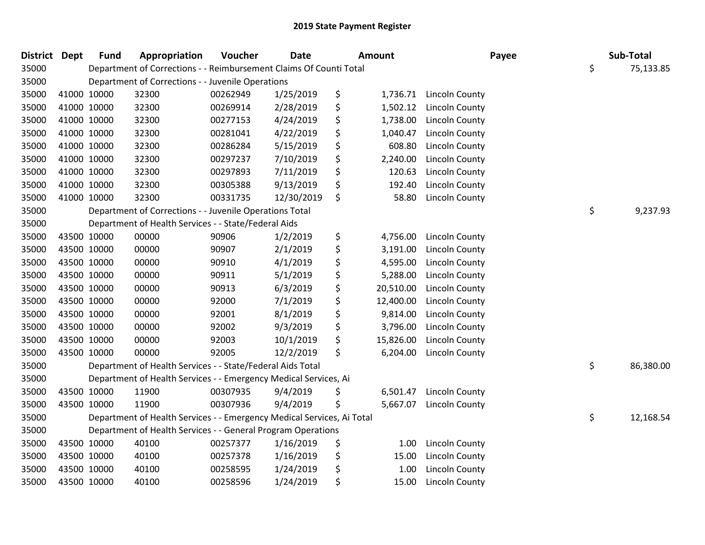| <b>District Dept</b> |             | <b>Fund</b> | Appropriation                                                          | Voucher  | <b>Date</b> | Amount          |                       | Payee | Sub-Total       |
|----------------------|-------------|-------------|------------------------------------------------------------------------|----------|-------------|-----------------|-----------------------|-------|-----------------|
| 35000                |             |             | Department of Corrections - - Reimbursement Claims Of Counti Total     |          |             |                 |                       |       | \$<br>75,133.85 |
| 35000                |             |             | Department of Corrections - - Juvenile Operations                      |          |             |                 |                       |       |                 |
| 35000                |             | 41000 10000 | 32300                                                                  | 00262949 | 1/25/2019   | \$<br>1,736.71  | Lincoln County        |       |                 |
| 35000                |             | 41000 10000 | 32300                                                                  | 00269914 | 2/28/2019   | \$<br>1,502.12  | Lincoln County        |       |                 |
| 35000                |             | 41000 10000 | 32300                                                                  | 00277153 | 4/24/2019   | \$<br>1,738.00  | Lincoln County        |       |                 |
| 35000                |             | 41000 10000 | 32300                                                                  | 00281041 | 4/22/2019   | \$<br>1,040.47  | <b>Lincoln County</b> |       |                 |
| 35000                |             | 41000 10000 | 32300                                                                  | 00286284 | 5/15/2019   | \$<br>608.80    | Lincoln County        |       |                 |
| 35000                |             | 41000 10000 | 32300                                                                  | 00297237 | 7/10/2019   | \$<br>2,240.00  | Lincoln County        |       |                 |
| 35000                |             | 41000 10000 | 32300                                                                  | 00297893 | 7/11/2019   | \$<br>120.63    | Lincoln County        |       |                 |
| 35000                |             | 41000 10000 | 32300                                                                  | 00305388 | 9/13/2019   | \$<br>192.40    | <b>Lincoln County</b> |       |                 |
| 35000                |             | 41000 10000 | 32300                                                                  | 00331735 | 12/30/2019  | \$<br>58.80     | <b>Lincoln County</b> |       |                 |
| 35000                |             |             | Department of Corrections - - Juvenile Operations Total                |          |             |                 |                       |       | \$<br>9,237.93  |
| 35000                |             |             | Department of Health Services - - State/Federal Aids                   |          |             |                 |                       |       |                 |
| 35000                |             | 43500 10000 | 00000                                                                  | 90906    | 1/2/2019    | \$<br>4,756.00  | Lincoln County        |       |                 |
| 35000                |             | 43500 10000 | 00000                                                                  | 90907    | 2/1/2019    | \$<br>3,191.00  | Lincoln County        |       |                 |
| 35000                |             | 43500 10000 | 00000                                                                  | 90910    | 4/1/2019    | \$<br>4,595.00  | Lincoln County        |       |                 |
| 35000                |             | 43500 10000 | 00000                                                                  | 90911    | 5/1/2019    | \$<br>5,288.00  | Lincoln County        |       |                 |
| 35000                |             | 43500 10000 | 00000                                                                  | 90913    | 6/3/2019    | \$<br>20,510.00 | Lincoln County        |       |                 |
| 35000                |             | 43500 10000 | 00000                                                                  | 92000    | 7/1/2019    | \$<br>12,400.00 | Lincoln County        |       |                 |
| 35000                |             | 43500 10000 | 00000                                                                  | 92001    | 8/1/2019    | \$<br>9,814.00  | Lincoln County        |       |                 |
| 35000                |             | 43500 10000 | 00000                                                                  | 92002    | 9/3/2019    | \$<br>3,796.00  | Lincoln County        |       |                 |
| 35000                |             | 43500 10000 | 00000                                                                  | 92003    | 10/1/2019   | \$<br>15,826.00 | Lincoln County        |       |                 |
| 35000                |             | 43500 10000 | 00000                                                                  | 92005    | 12/2/2019   | \$<br>6,204.00  | Lincoln County        |       |                 |
| 35000                |             |             | Department of Health Services - - State/Federal Aids Total             |          |             |                 |                       |       | \$<br>86,380.00 |
| 35000                |             |             | Department of Health Services - - Emergency Medical Services, Ai       |          |             |                 |                       |       |                 |
| 35000                |             | 43500 10000 | 11900                                                                  | 00307935 | 9/4/2019    | \$<br>6,501.47  | Lincoln County        |       |                 |
| 35000                |             | 43500 10000 | 11900                                                                  | 00307936 | 9/4/2019    | \$<br>5,667.07  | Lincoln County        |       |                 |
| 35000                |             |             | Department of Health Services - - Emergency Medical Services, Ai Total |          |             |                 |                       |       | \$<br>12,168.54 |
| 35000                |             |             | Department of Health Services - - General Program Operations           |          |             |                 |                       |       |                 |
| 35000                |             | 43500 10000 | 40100                                                                  | 00257377 | 1/16/2019   | \$<br>1.00      | Lincoln County        |       |                 |
| 35000                |             | 43500 10000 | 40100                                                                  | 00257378 | 1/16/2019   | \$<br>15.00     | Lincoln County        |       |                 |
| 35000                |             | 43500 10000 | 40100                                                                  | 00258595 | 1/24/2019   | \$<br>1.00      | <b>Lincoln County</b> |       |                 |
| 35000                | 43500 10000 |             | 40100                                                                  | 00258596 | 1/24/2019   | \$<br>15.00     | Lincoln County        |       |                 |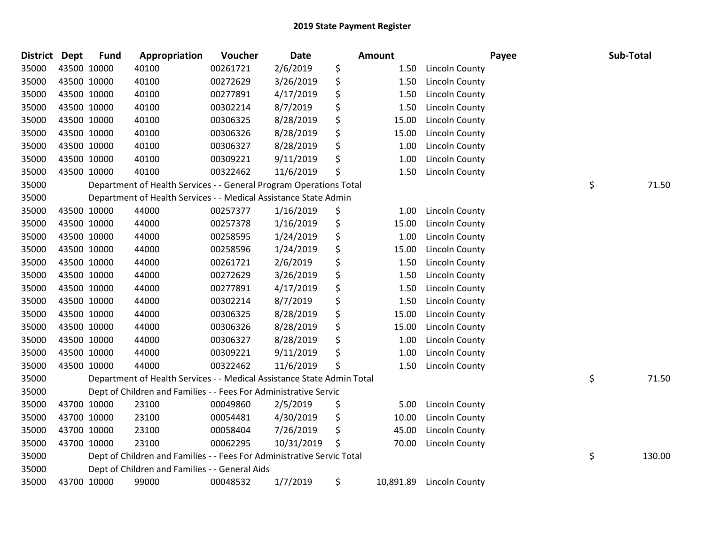| District Dept | <b>Fund</b> | Appropriation                                                          | Voucher  | <b>Date</b> | Amount          |                       | Payee | Sub-Total    |
|---------------|-------------|------------------------------------------------------------------------|----------|-------------|-----------------|-----------------------|-------|--------------|
| 35000         | 43500 10000 | 40100                                                                  | 00261721 | 2/6/2019    | \$<br>1.50      | Lincoln County        |       |              |
| 35000         | 43500 10000 | 40100                                                                  | 00272629 | 3/26/2019   | \$<br>1.50      | <b>Lincoln County</b> |       |              |
| 35000         | 43500 10000 | 40100                                                                  | 00277891 | 4/17/2019   | \$<br>1.50      | Lincoln County        |       |              |
| 35000         | 43500 10000 | 40100                                                                  | 00302214 | 8/7/2019    | \$<br>1.50      | Lincoln County        |       |              |
| 35000         | 43500 10000 | 40100                                                                  | 00306325 | 8/28/2019   | \$<br>15.00     | Lincoln County        |       |              |
| 35000         | 43500 10000 | 40100                                                                  | 00306326 | 8/28/2019   | \$<br>15.00     | Lincoln County        |       |              |
| 35000         | 43500 10000 | 40100                                                                  | 00306327 | 8/28/2019   | \$<br>1.00      | Lincoln County        |       |              |
| 35000         | 43500 10000 | 40100                                                                  | 00309221 | 9/11/2019   | \$<br>1.00      | Lincoln County        |       |              |
| 35000         | 43500 10000 | 40100                                                                  | 00322462 | 11/6/2019   | \$<br>1.50      | Lincoln County        |       |              |
| 35000         |             | Department of Health Services - - General Program Operations Total     |          |             |                 |                       |       | \$<br>71.50  |
| 35000         |             | Department of Health Services - - Medical Assistance State Admin       |          |             |                 |                       |       |              |
| 35000         | 43500 10000 | 44000                                                                  | 00257377 | 1/16/2019   | \$<br>1.00      | Lincoln County        |       |              |
| 35000         | 43500 10000 | 44000                                                                  | 00257378 | 1/16/2019   | \$<br>15.00     | Lincoln County        |       |              |
| 35000         | 43500 10000 | 44000                                                                  | 00258595 | 1/24/2019   | \$<br>1.00      | Lincoln County        |       |              |
| 35000         | 43500 10000 | 44000                                                                  | 00258596 | 1/24/2019   | \$<br>15.00     | Lincoln County        |       |              |
| 35000         | 43500 10000 | 44000                                                                  | 00261721 | 2/6/2019    | \$<br>1.50      | Lincoln County        |       |              |
| 35000         | 43500 10000 | 44000                                                                  | 00272629 | 3/26/2019   | \$<br>1.50      | Lincoln County        |       |              |
| 35000         | 43500 10000 | 44000                                                                  | 00277891 | 4/17/2019   | \$<br>1.50      | Lincoln County        |       |              |
| 35000         | 43500 10000 | 44000                                                                  | 00302214 | 8/7/2019    | \$<br>1.50      | <b>Lincoln County</b> |       |              |
| 35000         | 43500 10000 | 44000                                                                  | 00306325 | 8/28/2019   | \$<br>15.00     | Lincoln County        |       |              |
| 35000         | 43500 10000 | 44000                                                                  | 00306326 | 8/28/2019   | \$<br>15.00     | Lincoln County        |       |              |
| 35000         | 43500 10000 | 44000                                                                  | 00306327 | 8/28/2019   | \$<br>1.00      | <b>Lincoln County</b> |       |              |
| 35000         | 43500 10000 | 44000                                                                  | 00309221 | 9/11/2019   | \$<br>1.00      | Lincoln County        |       |              |
| 35000         | 43500 10000 | 44000                                                                  | 00322462 | 11/6/2019   | \$<br>1.50      | <b>Lincoln County</b> |       |              |
| 35000         |             | Department of Health Services - - Medical Assistance State Admin Total |          |             |                 |                       |       | \$<br>71.50  |
| 35000         |             | Dept of Children and Families - - Fees For Administrative Servic       |          |             |                 |                       |       |              |
| 35000         | 43700 10000 | 23100                                                                  | 00049860 | 2/5/2019    | \$<br>5.00      | Lincoln County        |       |              |
| 35000         | 43700 10000 | 23100                                                                  | 00054481 | 4/30/2019   | \$<br>10.00     | Lincoln County        |       |              |
| 35000         | 43700 10000 | 23100                                                                  | 00058404 | 7/26/2019   | \$<br>45.00     | <b>Lincoln County</b> |       |              |
| 35000         | 43700 10000 | 23100                                                                  | 00062295 | 10/31/2019  | 70.00           | Lincoln County        |       |              |
| 35000         |             | Dept of Children and Families - - Fees For Administrative Servic Total |          |             |                 |                       |       | \$<br>130.00 |
| 35000         |             | Dept of Children and Families - - General Aids                         |          |             |                 |                       |       |              |
| 35000         | 43700 10000 | 99000                                                                  | 00048532 | 1/7/2019    | \$<br>10,891.89 | Lincoln County        |       |              |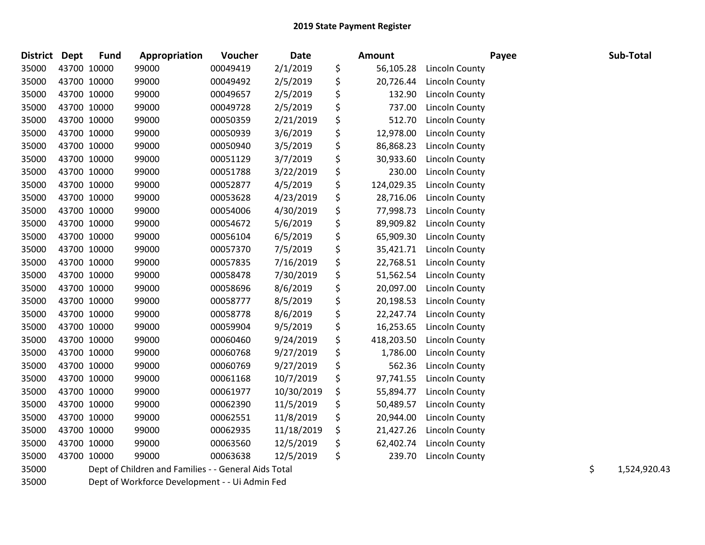| District Dept |             | <b>Fund</b> | Appropriation                                        | Voucher  | Date       | Amount           |                       | Payee | Sub-Total          |
|---------------|-------------|-------------|------------------------------------------------------|----------|------------|------------------|-----------------------|-------|--------------------|
| 35000         | 43700 10000 |             | 99000                                                | 00049419 | 2/1/2019   | \$<br>56,105.28  | Lincoln County        |       |                    |
| 35000         | 43700 10000 |             | 99000                                                | 00049492 | 2/5/2019   | \$<br>20,726.44  | Lincoln County        |       |                    |
| 35000         | 43700 10000 |             | 99000                                                | 00049657 | 2/5/2019   | \$<br>132.90     | Lincoln County        |       |                    |
| 35000         |             | 43700 10000 | 99000                                                | 00049728 | 2/5/2019   | \$<br>737.00     | Lincoln County        |       |                    |
| 35000         |             | 43700 10000 | 99000                                                | 00050359 | 2/21/2019  | \$<br>512.70     | <b>Lincoln County</b> |       |                    |
| 35000         |             | 43700 10000 | 99000                                                | 00050939 | 3/6/2019   | \$<br>12,978.00  | Lincoln County        |       |                    |
| 35000         |             | 43700 10000 | 99000                                                | 00050940 | 3/5/2019   | \$<br>86,868.23  | Lincoln County        |       |                    |
| 35000         |             | 43700 10000 | 99000                                                | 00051129 | 3/7/2019   | \$<br>30,933.60  | Lincoln County        |       |                    |
| 35000         |             | 43700 10000 | 99000                                                | 00051788 | 3/22/2019  | \$<br>230.00     | Lincoln County        |       |                    |
| 35000         | 43700 10000 |             | 99000                                                | 00052877 | 4/5/2019   | \$<br>124,029.35 | Lincoln County        |       |                    |
| 35000         |             | 43700 10000 | 99000                                                | 00053628 | 4/23/2019  | \$<br>28,716.06  | Lincoln County        |       |                    |
| 35000         |             | 43700 10000 | 99000                                                | 00054006 | 4/30/2019  | \$<br>77,998.73  | Lincoln County        |       |                    |
| 35000         |             | 43700 10000 | 99000                                                | 00054672 | 5/6/2019   | \$<br>89,909.82  | <b>Lincoln County</b> |       |                    |
| 35000         |             | 43700 10000 | 99000                                                | 00056104 | 6/5/2019   | \$<br>65,909.30  | Lincoln County        |       |                    |
| 35000         |             | 43700 10000 | 99000                                                | 00057370 | 7/5/2019   | \$<br>35,421.71  | Lincoln County        |       |                    |
| 35000         |             | 43700 10000 | 99000                                                | 00057835 | 7/16/2019  | \$<br>22,768.51  | <b>Lincoln County</b> |       |                    |
| 35000         |             | 43700 10000 | 99000                                                | 00058478 | 7/30/2019  | \$<br>51,562.54  | Lincoln County        |       |                    |
| 35000         | 43700 10000 |             | 99000                                                | 00058696 | 8/6/2019   | \$<br>20,097.00  | Lincoln County        |       |                    |
| 35000         | 43700 10000 |             | 99000                                                | 00058777 | 8/5/2019   | \$<br>20,198.53  | Lincoln County        |       |                    |
| 35000         |             | 43700 10000 | 99000                                                | 00058778 | 8/6/2019   | \$<br>22,247.74  | Lincoln County        |       |                    |
| 35000         |             | 43700 10000 | 99000                                                | 00059904 | 9/5/2019   | \$<br>16,253.65  | Lincoln County        |       |                    |
| 35000         | 43700 10000 |             | 99000                                                | 00060460 | 9/24/2019  | \$<br>418,203.50 | Lincoln County        |       |                    |
| 35000         |             | 43700 10000 | 99000                                                | 00060768 | 9/27/2019  | \$<br>1,786.00   | <b>Lincoln County</b> |       |                    |
| 35000         |             | 43700 10000 | 99000                                                | 00060769 | 9/27/2019  | \$<br>562.36     | <b>Lincoln County</b> |       |                    |
| 35000         |             | 43700 10000 | 99000                                                | 00061168 | 10/7/2019  | \$<br>97,741.55  | <b>Lincoln County</b> |       |                    |
| 35000         | 43700 10000 |             | 99000                                                | 00061977 | 10/30/2019 | \$<br>55,894.77  | <b>Lincoln County</b> |       |                    |
| 35000         | 43700 10000 |             | 99000                                                | 00062390 | 11/5/2019  | \$<br>50,489.57  | <b>Lincoln County</b> |       |                    |
| 35000         |             | 43700 10000 | 99000                                                | 00062551 | 11/8/2019  | \$<br>20,944.00  | Lincoln County        |       |                    |
| 35000         |             | 43700 10000 | 99000                                                | 00062935 | 11/18/2019 | \$<br>21,427.26  | <b>Lincoln County</b> |       |                    |
| 35000         |             | 43700 10000 | 99000                                                | 00063560 | 12/5/2019  | \$<br>62,402.74  | Lincoln County        |       |                    |
| 35000         |             | 43700 10000 | 99000                                                | 00063638 | 12/5/2019  | \$<br>239.70     | <b>Lincoln County</b> |       |                    |
| 35000         |             |             | Dept of Children and Families - - General Aids Total |          |            |                  |                       |       | \$<br>1,524,920.43 |

Dept of Workforce Development - - Ui Admin Fed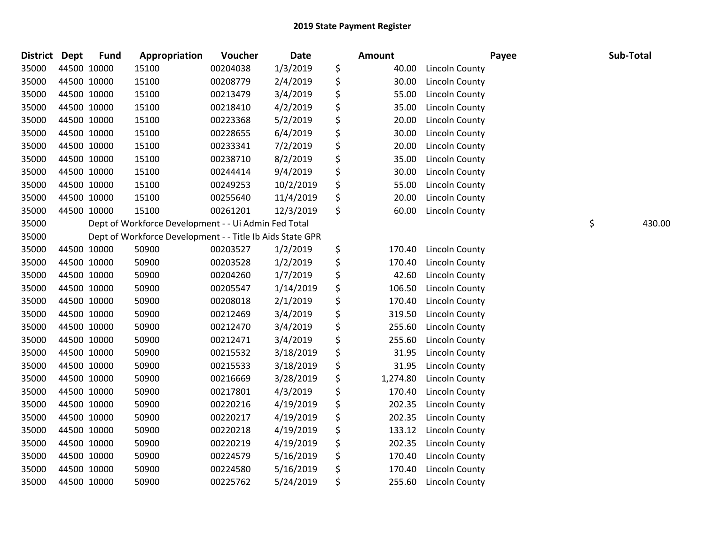| <b>District</b> | <b>Dept</b> | <b>Fund</b> | Appropriation                                             | Voucher  | Date      | Amount         | Payee                 | Sub-Total    |
|-----------------|-------------|-------------|-----------------------------------------------------------|----------|-----------|----------------|-----------------------|--------------|
| 35000           | 44500 10000 |             | 15100                                                     | 00204038 | 1/3/2019  | \$<br>40.00    | <b>Lincoln County</b> |              |
| 35000           | 44500 10000 |             | 15100                                                     | 00208779 | 2/4/2019  | \$<br>30.00    | <b>Lincoln County</b> |              |
| 35000           | 44500 10000 |             | 15100                                                     | 00213479 | 3/4/2019  | \$<br>55.00    | <b>Lincoln County</b> |              |
| 35000           | 44500 10000 |             | 15100                                                     | 00218410 | 4/2/2019  | \$<br>35.00    | <b>Lincoln County</b> |              |
| 35000           | 44500 10000 |             | 15100                                                     | 00223368 | 5/2/2019  | \$<br>20.00    | <b>Lincoln County</b> |              |
| 35000           | 44500 10000 |             | 15100                                                     | 00228655 | 6/4/2019  | \$<br>30.00    | Lincoln County        |              |
| 35000           |             | 44500 10000 | 15100                                                     | 00233341 | 7/2/2019  | \$<br>20.00    | <b>Lincoln County</b> |              |
| 35000           | 44500 10000 |             | 15100                                                     | 00238710 | 8/2/2019  | \$<br>35.00    | <b>Lincoln County</b> |              |
| 35000           | 44500 10000 |             | 15100                                                     | 00244414 | 9/4/2019  | \$<br>30.00    | <b>Lincoln County</b> |              |
| 35000           | 44500 10000 |             | 15100                                                     | 00249253 | 10/2/2019 | \$<br>55.00    | <b>Lincoln County</b> |              |
| 35000           | 44500 10000 |             | 15100                                                     | 00255640 | 11/4/2019 | \$<br>20.00    | Lincoln County        |              |
| 35000           | 44500 10000 |             | 15100                                                     | 00261201 | 12/3/2019 | \$<br>60.00    | <b>Lincoln County</b> |              |
| 35000           |             |             | Dept of Workforce Development - - Ui Admin Fed Total      |          |           |                |                       | \$<br>430.00 |
| 35000           |             |             | Dept of Workforce Development - - Title Ib Aids State GPR |          |           |                |                       |              |
| 35000           | 44500 10000 |             | 50900                                                     | 00203527 | 1/2/2019  | \$<br>170.40   | <b>Lincoln County</b> |              |
| 35000           | 44500 10000 |             | 50900                                                     | 00203528 | 1/2/2019  | \$<br>170.40   | Lincoln County        |              |
| 35000           | 44500 10000 |             | 50900                                                     | 00204260 | 1/7/2019  | \$<br>42.60    | Lincoln County        |              |
| 35000           | 44500 10000 |             | 50900                                                     | 00205547 | 1/14/2019 | \$<br>106.50   | <b>Lincoln County</b> |              |
| 35000           | 44500 10000 |             | 50900                                                     | 00208018 | 2/1/2019  | \$<br>170.40   | <b>Lincoln County</b> |              |
| 35000           | 44500 10000 |             | 50900                                                     | 00212469 | 3/4/2019  | \$<br>319.50   | Lincoln County        |              |
| 35000           | 44500 10000 |             | 50900                                                     | 00212470 | 3/4/2019  | \$<br>255.60   | <b>Lincoln County</b> |              |
| 35000           | 44500 10000 |             | 50900                                                     | 00212471 | 3/4/2019  | \$<br>255.60   | Lincoln County        |              |
| 35000           | 44500 10000 |             | 50900                                                     | 00215532 | 3/18/2019 | \$<br>31.95    | <b>Lincoln County</b> |              |
| 35000           | 44500 10000 |             | 50900                                                     | 00215533 | 3/18/2019 | \$<br>31.95    | Lincoln County        |              |
| 35000           |             | 44500 10000 | 50900                                                     | 00216669 | 3/28/2019 | \$<br>1,274.80 | <b>Lincoln County</b> |              |
| 35000           |             | 44500 10000 | 50900                                                     | 00217801 | 4/3/2019  | \$<br>170.40   | Lincoln County        |              |
| 35000           | 44500 10000 |             | 50900                                                     | 00220216 | 4/19/2019 | \$<br>202.35   | Lincoln County        |              |
| 35000           | 44500 10000 |             | 50900                                                     | 00220217 | 4/19/2019 | \$<br>202.35   | <b>Lincoln County</b> |              |
| 35000           | 44500 10000 |             | 50900                                                     | 00220218 | 4/19/2019 | \$<br>133.12   | Lincoln County        |              |
| 35000           | 44500 10000 |             | 50900                                                     | 00220219 | 4/19/2019 | \$<br>202.35   | Lincoln County        |              |
| 35000           | 44500 10000 |             | 50900                                                     | 00224579 | 5/16/2019 | \$<br>170.40   | Lincoln County        |              |
| 35000           | 44500 10000 |             | 50900                                                     | 00224580 | 5/16/2019 | \$<br>170.40   | <b>Lincoln County</b> |              |
| 35000           | 44500 10000 |             | 50900                                                     | 00225762 | 5/24/2019 | \$<br>255.60   | <b>Lincoln County</b> |              |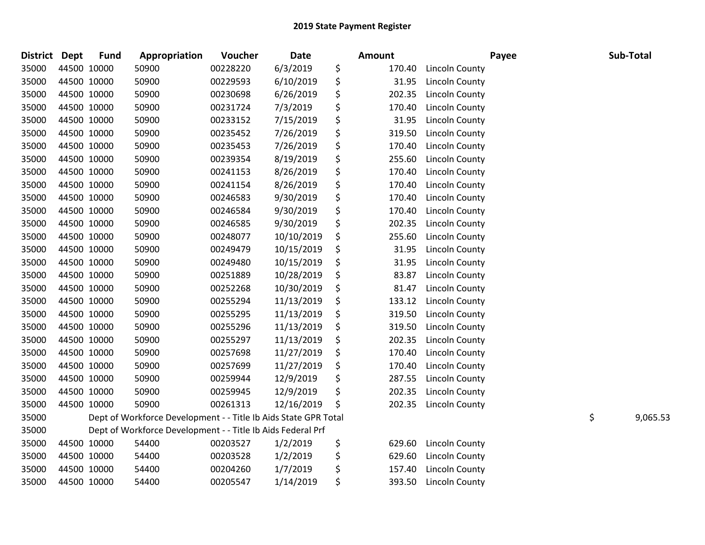| <b>District</b> | Dept        | <b>Fund</b> | Appropriation                                                   | Voucher  | Date       | Amount       |                       | Payee | Sub-Total      |
|-----------------|-------------|-------------|-----------------------------------------------------------------|----------|------------|--------------|-----------------------|-------|----------------|
| 35000           | 44500 10000 |             | 50900                                                           | 00228220 | 6/3/2019   | \$<br>170.40 | <b>Lincoln County</b> |       |                |
| 35000           |             | 44500 10000 | 50900                                                           | 00229593 | 6/10/2019  | \$<br>31.95  | Lincoln County        |       |                |
| 35000           |             | 44500 10000 | 50900                                                           | 00230698 | 6/26/2019  | \$<br>202.35 | <b>Lincoln County</b> |       |                |
| 35000           | 44500 10000 |             | 50900                                                           | 00231724 | 7/3/2019   | \$<br>170.40 | Lincoln County        |       |                |
| 35000           | 44500 10000 |             | 50900                                                           | 00233152 | 7/15/2019  | \$<br>31.95  | <b>Lincoln County</b> |       |                |
| 35000           |             | 44500 10000 | 50900                                                           | 00235452 | 7/26/2019  | \$<br>319.50 | Lincoln County        |       |                |
| 35000           |             | 44500 10000 | 50900                                                           | 00235453 | 7/26/2019  | \$<br>170.40 | Lincoln County        |       |                |
| 35000           |             | 44500 10000 | 50900                                                           | 00239354 | 8/19/2019  | \$<br>255.60 | Lincoln County        |       |                |
| 35000           |             | 44500 10000 | 50900                                                           | 00241153 | 8/26/2019  | \$<br>170.40 | <b>Lincoln County</b> |       |                |
| 35000           | 44500 10000 |             | 50900                                                           | 00241154 | 8/26/2019  | \$<br>170.40 | <b>Lincoln County</b> |       |                |
| 35000           | 44500 10000 |             | 50900                                                           | 00246583 | 9/30/2019  | \$<br>170.40 | Lincoln County        |       |                |
| 35000           |             | 44500 10000 | 50900                                                           | 00246584 | 9/30/2019  | \$<br>170.40 | Lincoln County        |       |                |
| 35000           |             | 44500 10000 | 50900                                                           | 00246585 | 9/30/2019  | \$<br>202.35 | Lincoln County        |       |                |
| 35000           |             | 44500 10000 | 50900                                                           | 00248077 | 10/10/2019 | \$<br>255.60 | <b>Lincoln County</b> |       |                |
| 35000           |             | 44500 10000 | 50900                                                           | 00249479 | 10/15/2019 | \$<br>31.95  | <b>Lincoln County</b> |       |                |
| 35000           | 44500 10000 |             | 50900                                                           | 00249480 | 10/15/2019 | \$<br>31.95  | Lincoln County        |       |                |
| 35000           | 44500 10000 |             | 50900                                                           | 00251889 | 10/28/2019 | \$<br>83.87  | Lincoln County        |       |                |
| 35000           | 44500 10000 |             | 50900                                                           | 00252268 | 10/30/2019 | \$<br>81.47  | Lincoln County        |       |                |
| 35000           |             | 44500 10000 | 50900                                                           | 00255294 | 11/13/2019 | \$<br>133.12 | Lincoln County        |       |                |
| 35000           |             | 44500 10000 | 50900                                                           | 00255295 | 11/13/2019 | \$<br>319.50 | <b>Lincoln County</b> |       |                |
| 35000           | 44500 10000 |             | 50900                                                           | 00255296 | 11/13/2019 | \$<br>319.50 | <b>Lincoln County</b> |       |                |
| 35000           | 44500 10000 |             | 50900                                                           | 00255297 | 11/13/2019 | \$<br>202.35 | Lincoln County        |       |                |
| 35000           | 44500 10000 |             | 50900                                                           | 00257698 | 11/27/2019 | \$<br>170.40 | Lincoln County        |       |                |
| 35000           | 44500 10000 |             | 50900                                                           | 00257699 | 11/27/2019 | \$<br>170.40 | <b>Lincoln County</b> |       |                |
| 35000           |             | 44500 10000 | 50900                                                           | 00259944 | 12/9/2019  | \$<br>287.55 | <b>Lincoln County</b> |       |                |
| 35000           |             | 44500 10000 | 50900                                                           | 00259945 | 12/9/2019  | \$<br>202.35 | <b>Lincoln County</b> |       |                |
| 35000           |             | 44500 10000 | 50900                                                           | 00261313 | 12/16/2019 | \$<br>202.35 | <b>Lincoln County</b> |       |                |
| 35000           |             |             | Dept of Workforce Development - - Title Ib Aids State GPR Total |          |            |              |                       |       | \$<br>9,065.53 |
| 35000           |             |             | Dept of Workforce Development - - Title Ib Aids Federal Prf     |          |            |              |                       |       |                |
| 35000           |             | 44500 10000 | 54400                                                           | 00203527 | 1/2/2019   | \$<br>629.60 | <b>Lincoln County</b> |       |                |
| 35000           |             | 44500 10000 | 54400                                                           | 00203528 | 1/2/2019   | \$<br>629.60 | <b>Lincoln County</b> |       |                |
| 35000           |             | 44500 10000 | 54400                                                           | 00204260 | 1/7/2019   | \$<br>157.40 | <b>Lincoln County</b> |       |                |
| 35000           | 44500 10000 |             | 54400                                                           | 00205547 | 1/14/2019  | \$<br>393.50 | <b>Lincoln County</b> |       |                |
|                 |             |             |                                                                 |          |            |              |                       |       |                |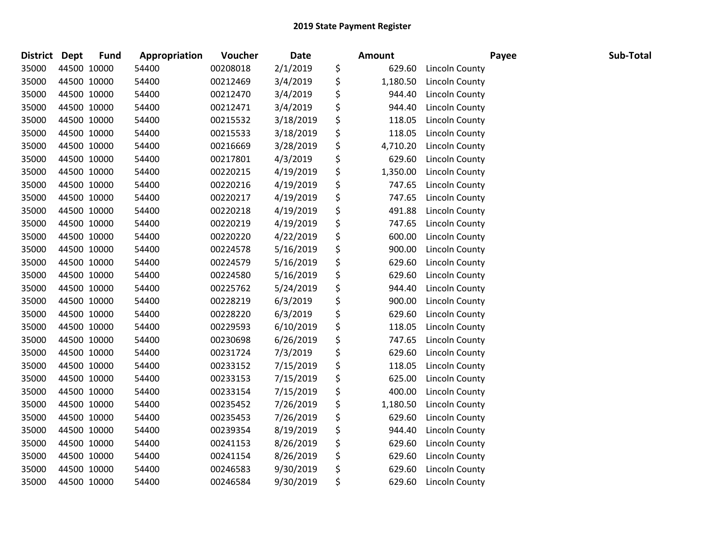| <b>District</b> | <b>Dept</b> | <b>Fund</b> | Appropriation | Voucher  | Date      | <b>Amount</b>  |                       | Payee | Sub-Total |
|-----------------|-------------|-------------|---------------|----------|-----------|----------------|-----------------------|-------|-----------|
| 35000           |             | 44500 10000 | 54400         | 00208018 | 2/1/2019  | \$<br>629.60   | <b>Lincoln County</b> |       |           |
| 35000           |             | 44500 10000 | 54400         | 00212469 | 3/4/2019  | \$<br>1,180.50 | Lincoln County        |       |           |
| 35000           | 44500 10000 |             | 54400         | 00212470 | 3/4/2019  | \$<br>944.40   | Lincoln County        |       |           |
| 35000           | 44500 10000 |             | 54400         | 00212471 | 3/4/2019  | \$<br>944.40   | <b>Lincoln County</b> |       |           |
| 35000           |             | 44500 10000 | 54400         | 00215532 | 3/18/2019 | \$<br>118.05   | Lincoln County        |       |           |
| 35000           |             | 44500 10000 | 54400         | 00215533 | 3/18/2019 | \$<br>118.05   | <b>Lincoln County</b> |       |           |
| 35000           |             | 44500 10000 | 54400         | 00216669 | 3/28/2019 | \$<br>4,710.20 | Lincoln County        |       |           |
| 35000           |             | 44500 10000 | 54400         | 00217801 | 4/3/2019  | \$<br>629.60   | Lincoln County        |       |           |
| 35000           | 44500 10000 |             | 54400         | 00220215 | 4/19/2019 | \$<br>1,350.00 | Lincoln County        |       |           |
| 35000           |             | 44500 10000 | 54400         | 00220216 | 4/19/2019 | \$<br>747.65   | Lincoln County        |       |           |
| 35000           |             | 44500 10000 | 54400         | 00220217 | 4/19/2019 | \$<br>747.65   | <b>Lincoln County</b> |       |           |
| 35000           |             | 44500 10000 | 54400         | 00220218 | 4/19/2019 | \$<br>491.88   | Lincoln County        |       |           |
| 35000           |             | 44500 10000 | 54400         | 00220219 | 4/19/2019 | \$<br>747.65   | <b>Lincoln County</b> |       |           |
| 35000           | 44500 10000 |             | 54400         | 00220220 | 4/22/2019 | \$<br>600.00   | <b>Lincoln County</b> |       |           |
| 35000           |             | 44500 10000 | 54400         | 00224578 | 5/16/2019 | \$<br>900.00   | Lincoln County        |       |           |
| 35000           |             | 44500 10000 | 54400         | 00224579 | 5/16/2019 | \$<br>629.60   | <b>Lincoln County</b> |       |           |
| 35000           |             | 44500 10000 | 54400         | 00224580 | 5/16/2019 | \$<br>629.60   | <b>Lincoln County</b> |       |           |
| 35000           | 44500 10000 |             | 54400         | 00225762 | 5/24/2019 | \$<br>944.40   | <b>Lincoln County</b> |       |           |
| 35000           | 44500 10000 |             | 54400         | 00228219 | 6/3/2019  | \$<br>900.00   | Lincoln County        |       |           |
| 35000           |             | 44500 10000 | 54400         | 00228220 | 6/3/2019  | \$<br>629.60   | Lincoln County        |       |           |
| 35000           |             | 44500 10000 | 54400         | 00229593 | 6/10/2019 | \$<br>118.05   | <b>Lincoln County</b> |       |           |
| 35000           |             | 44500 10000 | 54400         | 00230698 | 6/26/2019 | \$<br>747.65   | Lincoln County        |       |           |
| 35000           |             | 44500 10000 | 54400         | 00231724 | 7/3/2019  | \$<br>629.60   | Lincoln County        |       |           |
| 35000           | 44500 10000 |             | 54400         | 00233152 | 7/15/2019 | \$<br>118.05   | <b>Lincoln County</b> |       |           |
| 35000           |             | 44500 10000 | 54400         | 00233153 | 7/15/2019 | \$<br>625.00   | <b>Lincoln County</b> |       |           |
| 35000           |             | 44500 10000 | 54400         | 00233154 | 7/15/2019 | \$<br>400.00   | <b>Lincoln County</b> |       |           |
| 35000           |             | 44500 10000 | 54400         | 00235452 | 7/26/2019 | \$<br>1,180.50 | Lincoln County        |       |           |
| 35000           |             | 44500 10000 | 54400         | 00235453 | 7/26/2019 | \$<br>629.60   | Lincoln County        |       |           |
| 35000           |             | 44500 10000 | 54400         | 00239354 | 8/19/2019 | \$<br>944.40   | Lincoln County        |       |           |
| 35000           |             | 44500 10000 | 54400         | 00241153 | 8/26/2019 | \$<br>629.60   | Lincoln County        |       |           |
| 35000           |             | 44500 10000 | 54400         | 00241154 | 8/26/2019 | \$<br>629.60   | <b>Lincoln County</b> |       |           |
| 35000           |             | 44500 10000 | 54400         | 00246583 | 9/30/2019 | \$<br>629.60   | <b>Lincoln County</b> |       |           |
| 35000           | 44500 10000 |             | 54400         | 00246584 | 9/30/2019 | \$<br>629.60   | <b>Lincoln County</b> |       |           |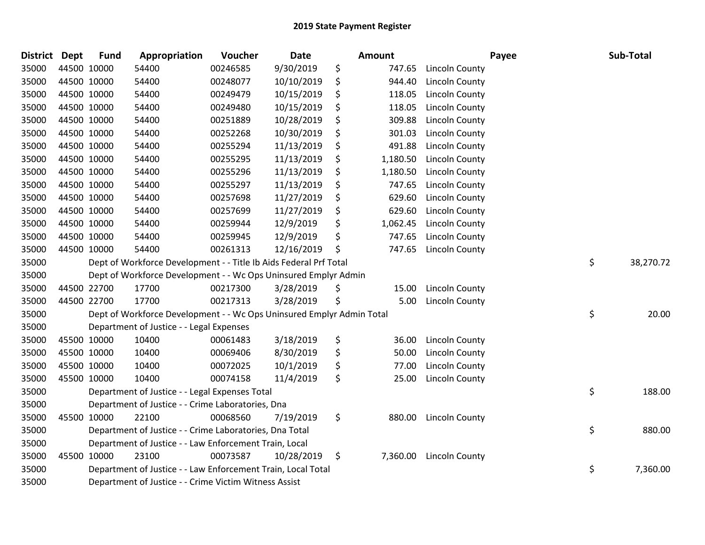| <b>District</b> | <b>Dept</b> | <b>Fund</b> | Appropriation                                                         | Voucher  | Date       | Amount         |                       | Payee | Sub-Total       |
|-----------------|-------------|-------------|-----------------------------------------------------------------------|----------|------------|----------------|-----------------------|-------|-----------------|
| 35000           |             | 44500 10000 | 54400                                                                 | 00246585 | 9/30/2019  | \$<br>747.65   | <b>Lincoln County</b> |       |                 |
| 35000           | 44500 10000 |             | 54400                                                                 | 00248077 | 10/10/2019 | \$<br>944.40   | <b>Lincoln County</b> |       |                 |
| 35000           |             | 44500 10000 | 54400                                                                 | 00249479 | 10/15/2019 | \$<br>118.05   | Lincoln County        |       |                 |
| 35000           | 44500 10000 |             | 54400                                                                 | 00249480 | 10/15/2019 | \$<br>118.05   | Lincoln County        |       |                 |
| 35000           |             | 44500 10000 | 54400                                                                 | 00251889 | 10/28/2019 | \$<br>309.88   | Lincoln County        |       |                 |
| 35000           |             | 44500 10000 | 54400                                                                 | 00252268 | 10/30/2019 | \$<br>301.03   | Lincoln County        |       |                 |
| 35000           |             | 44500 10000 | 54400                                                                 | 00255294 | 11/13/2019 | 491.88         | <b>Lincoln County</b> |       |                 |
| 35000           |             | 44500 10000 | 54400                                                                 | 00255295 | 11/13/2019 | \$<br>1,180.50 | Lincoln County        |       |                 |
| 35000           |             | 44500 10000 | 54400                                                                 | 00255296 | 11/13/2019 | 1,180.50       | Lincoln County        |       |                 |
| 35000           |             | 44500 10000 | 54400                                                                 | 00255297 | 11/13/2019 | \$<br>747.65   | Lincoln County        |       |                 |
| 35000           |             | 44500 10000 | 54400                                                                 | 00257698 | 11/27/2019 | \$<br>629.60   | Lincoln County        |       |                 |
| 35000           |             | 44500 10000 | 54400                                                                 | 00257699 | 11/27/2019 | \$<br>629.60   | <b>Lincoln County</b> |       |                 |
| 35000           |             | 44500 10000 | 54400                                                                 | 00259944 | 12/9/2019  | \$<br>1,062.45 | <b>Lincoln County</b> |       |                 |
| 35000           | 44500 10000 |             | 54400                                                                 | 00259945 | 12/9/2019  | \$<br>747.65   | Lincoln County        |       |                 |
| 35000           |             | 44500 10000 | 54400                                                                 | 00261313 | 12/16/2019 | \$<br>747.65   | <b>Lincoln County</b> |       |                 |
| 35000           |             |             | Dept of Workforce Development - - Title Ib Aids Federal Prf Total     |          |            |                |                       |       | \$<br>38,270.72 |
| 35000           |             |             | Dept of Workforce Development - - Wc Ops Uninsured Emplyr Admin       |          |            |                |                       |       |                 |
| 35000           |             | 44500 22700 | 17700                                                                 | 00217300 | 3/28/2019  | \$<br>15.00    | Lincoln County        |       |                 |
| 35000           |             | 44500 22700 | 17700                                                                 | 00217313 | 3/28/2019  | \$<br>5.00     | Lincoln County        |       |                 |
| 35000           |             |             | Dept of Workforce Development - - Wc Ops Uninsured Emplyr Admin Total |          |            |                |                       |       | \$<br>20.00     |
| 35000           |             |             | Department of Justice - - Legal Expenses                              |          |            |                |                       |       |                 |
| 35000           |             | 45500 10000 | 10400                                                                 | 00061483 | 3/18/2019  | \$<br>36.00    | Lincoln County        |       |                 |
| 35000           |             | 45500 10000 | 10400                                                                 | 00069406 | 8/30/2019  | \$<br>50.00    | Lincoln County        |       |                 |
| 35000           |             | 45500 10000 | 10400                                                                 | 00072025 | 10/1/2019  | \$<br>77.00    | <b>Lincoln County</b> |       |                 |
| 35000           |             | 45500 10000 | 10400                                                                 | 00074158 | 11/4/2019  | \$<br>25.00    | <b>Lincoln County</b> |       |                 |
| 35000           |             |             | Department of Justice - - Legal Expenses Total                        |          |            |                |                       |       | \$<br>188.00    |
| 35000           |             |             | Department of Justice - - Crime Laboratories, Dna                     |          |            |                |                       |       |                 |
| 35000           |             | 45500 10000 | 22100                                                                 | 00068560 | 7/19/2019  | \$<br>880.00   | <b>Lincoln County</b> |       |                 |
| 35000           |             |             | Department of Justice - - Crime Laboratories, Dna Total               |          |            |                |                       |       | \$<br>880.00    |
| 35000           |             |             | Department of Justice - - Law Enforcement Train, Local                |          |            |                |                       |       |                 |
| 35000           |             | 45500 10000 | 23100                                                                 | 00073587 | 10/28/2019 | \$<br>7,360.00 | <b>Lincoln County</b> |       |                 |
| 35000           |             |             | Department of Justice - - Law Enforcement Train, Local Total          |          |            |                |                       |       | \$<br>7,360.00  |
| 35000           |             |             | Department of Justice - - Crime Victim Witness Assist                 |          |            |                |                       |       |                 |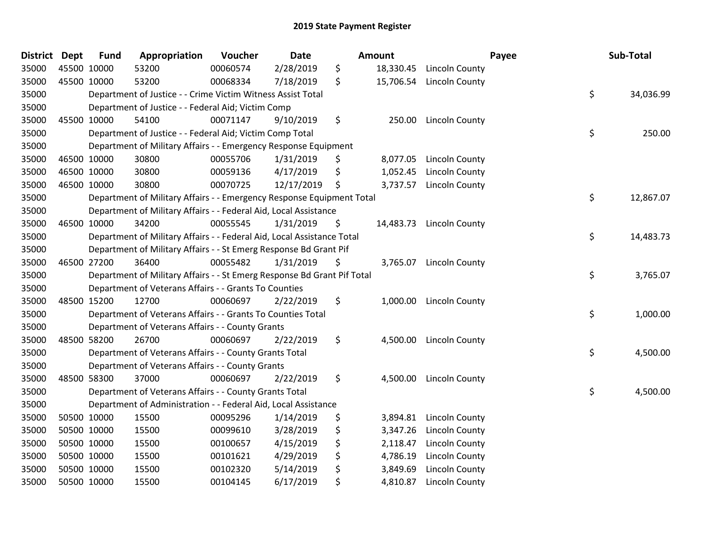| <b>District</b> | <b>Dept</b> | <b>Fund</b> | Appropriation                                                           | Voucher  | <b>Date</b> | Amount |           |                       | Payee | Sub-Total |
|-----------------|-------------|-------------|-------------------------------------------------------------------------|----------|-------------|--------|-----------|-----------------------|-------|-----------|
| 35000           | 45500 10000 |             | 53200                                                                   | 00060574 | 2/28/2019   | \$     | 18,330.45 | Lincoln County        |       |           |
| 35000           | 45500 10000 |             | 53200                                                                   | 00068334 | 7/18/2019   | \$     | 15,706.54 | Lincoln County        |       |           |
| 35000           |             |             | Department of Justice - - Crime Victim Witness Assist Total             |          |             |        |           |                       | \$    | 34,036.99 |
| 35000           |             |             | Department of Justice - - Federal Aid; Victim Comp                      |          |             |        |           |                       |       |           |
| 35000           | 45500 10000 |             | 54100                                                                   | 00071147 | 9/10/2019   | \$     | 250.00    | Lincoln County        |       |           |
| 35000           |             |             | Department of Justice - - Federal Aid; Victim Comp Total                |          |             |        |           |                       | \$    | 250.00    |
| 35000           |             |             | Department of Military Affairs - - Emergency Response Equipment         |          |             |        |           |                       |       |           |
| 35000           | 46500 10000 |             | 30800                                                                   | 00055706 | 1/31/2019   | \$     | 8,077.05  | Lincoln County        |       |           |
| 35000           | 46500 10000 |             | 30800                                                                   | 00059136 | 4/17/2019   | \$     | 1,052.45  | <b>Lincoln County</b> |       |           |
| 35000           | 46500 10000 |             | 30800                                                                   | 00070725 | 12/17/2019  | \$     | 3,737.57  | Lincoln County        |       |           |
| 35000           |             |             | Department of Military Affairs - - Emergency Response Equipment Total   |          |             |        |           |                       | \$    | 12,867.07 |
| 35000           |             |             | Department of Military Affairs - - Federal Aid, Local Assistance        |          |             |        |           |                       |       |           |
| 35000           | 46500 10000 |             | 34200                                                                   | 00055545 | 1/31/2019   | \$     | 14,483.73 | Lincoln County        |       |           |
| 35000           |             |             | Department of Military Affairs - - Federal Aid, Local Assistance Total  |          |             |        |           |                       | \$    | 14,483.73 |
| 35000           |             |             | Department of Military Affairs - - St Emerg Response Bd Grant Pif       |          |             |        |           |                       |       |           |
| 35000           | 46500 27200 |             | 36400                                                                   | 00055482 | 1/31/2019   | \$     | 3,765.07  | Lincoln County        |       |           |
| 35000           |             |             | Department of Military Affairs - - St Emerg Response Bd Grant Pif Total |          |             |        |           |                       | \$    | 3,765.07  |
| 35000           |             |             | Department of Veterans Affairs - - Grants To Counties                   |          |             |        |           |                       |       |           |
| 35000           | 48500 15200 |             | 12700                                                                   | 00060697 | 2/22/2019   | \$     | 1,000.00  | Lincoln County        |       |           |
| 35000           |             |             | Department of Veterans Affairs - - Grants To Counties Total             |          |             |        |           |                       | \$    | 1,000.00  |
| 35000           |             |             | Department of Veterans Affairs - - County Grants                        |          |             |        |           |                       |       |           |
| 35000           | 48500 58200 |             | 26700                                                                   | 00060697 | 2/22/2019   | \$     | 4,500.00  | Lincoln County        |       |           |
| 35000           |             |             | Department of Veterans Affairs - - County Grants Total                  |          |             |        |           |                       | \$    | 4,500.00  |
| 35000           |             |             | Department of Veterans Affairs - - County Grants                        |          |             |        |           |                       |       |           |
| 35000           | 48500 58300 |             | 37000                                                                   | 00060697 | 2/22/2019   | \$     | 4,500.00  | Lincoln County        |       |           |
| 35000           |             |             | Department of Veterans Affairs - - County Grants Total                  |          |             |        |           |                       | \$    | 4,500.00  |
| 35000           |             |             | Department of Administration - - Federal Aid, Local Assistance          |          |             |        |           |                       |       |           |
| 35000           | 50500 10000 |             | 15500                                                                   | 00095296 | 1/14/2019   | \$     | 3,894.81  | <b>Lincoln County</b> |       |           |
| 35000           | 50500 10000 |             | 15500                                                                   | 00099610 | 3/28/2019   | \$     | 3,347.26  | Lincoln County        |       |           |
| 35000           | 50500 10000 |             | 15500                                                                   | 00100657 | 4/15/2019   | \$     | 2,118.47  | Lincoln County        |       |           |
| 35000           | 50500 10000 |             | 15500                                                                   | 00101621 | 4/29/2019   | \$     | 4,786.19  | Lincoln County        |       |           |
| 35000           | 50500 10000 |             | 15500                                                                   | 00102320 | 5/14/2019   | \$     | 3,849.69  | <b>Lincoln County</b> |       |           |
| 35000           | 50500 10000 |             | 15500                                                                   | 00104145 | 6/17/2019   | \$     | 4,810.87  | Lincoln County        |       |           |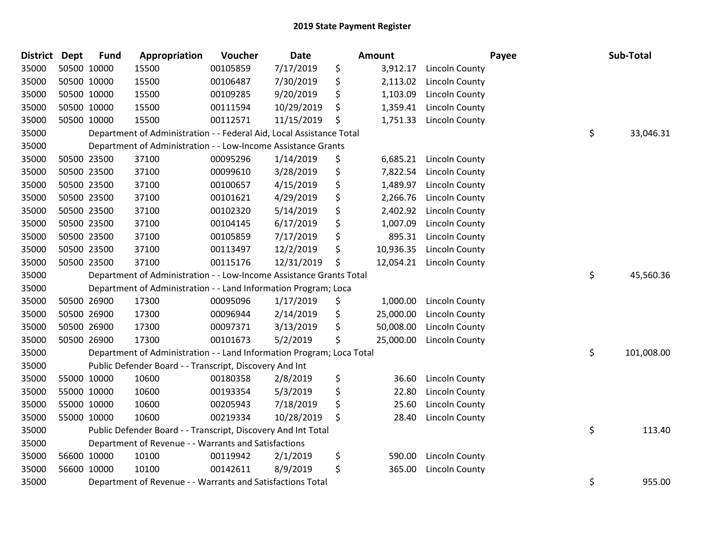| <b>District</b> | <b>Dept</b> | <b>Fund</b> | Appropriation                                                         | Voucher  | <b>Date</b> | Amount          |                       | Payee | Sub-Total  |
|-----------------|-------------|-------------|-----------------------------------------------------------------------|----------|-------------|-----------------|-----------------------|-------|------------|
| 35000           |             | 50500 10000 | 15500                                                                 | 00105859 | 7/17/2019   | \$<br>3,912.17  | Lincoln County        |       |            |
| 35000           | 50500 10000 |             | 15500                                                                 | 00106487 | 7/30/2019   | \$<br>2,113.02  | Lincoln County        |       |            |
| 35000           | 50500 10000 |             | 15500                                                                 | 00109285 | 9/20/2019   | \$<br>1,103.09  | <b>Lincoln County</b> |       |            |
| 35000           |             | 50500 10000 | 15500                                                                 | 00111594 | 10/29/2019  | \$<br>1,359.41  | Lincoln County        |       |            |
| 35000           |             | 50500 10000 | 15500                                                                 | 00112571 | 11/15/2019  | \$<br>1,751.33  | Lincoln County        |       |            |
| 35000           |             |             | Department of Administration - - Federal Aid, Local Assistance Total  |          |             |                 |                       | \$    | 33,046.31  |
| 35000           |             |             | Department of Administration - - Low-Income Assistance Grants         |          |             |                 |                       |       |            |
| 35000           |             | 50500 23500 | 37100                                                                 | 00095296 | 1/14/2019   | \$<br>6,685.21  | <b>Lincoln County</b> |       |            |
| 35000           | 50500 23500 |             | 37100                                                                 | 00099610 | 3/28/2019   | \$<br>7,822.54  | Lincoln County        |       |            |
| 35000           |             | 50500 23500 | 37100                                                                 | 00100657 | 4/15/2019   | \$<br>1,489.97  | Lincoln County        |       |            |
| 35000           |             | 50500 23500 | 37100                                                                 | 00101621 | 4/29/2019   | \$<br>2,266.76  | Lincoln County        |       |            |
| 35000           |             | 50500 23500 | 37100                                                                 | 00102320 | 5/14/2019   | \$<br>2,402.92  | Lincoln County        |       |            |
| 35000           |             | 50500 23500 | 37100                                                                 | 00104145 | 6/17/2019   | \$<br>1,007.09  | Lincoln County        |       |            |
| 35000           |             | 50500 23500 | 37100                                                                 | 00105859 | 7/17/2019   | \$<br>895.31    | Lincoln County        |       |            |
| 35000           |             | 50500 23500 | 37100                                                                 | 00113497 | 12/2/2019   | \$<br>10,936.35 | Lincoln County        |       |            |
| 35000           |             | 50500 23500 | 37100                                                                 | 00115176 | 12/31/2019  | \$<br>12,054.21 | Lincoln County        |       |            |
| 35000           |             |             | Department of Administration - - Low-Income Assistance Grants Total   |          |             |                 |                       | \$    | 45,560.36  |
| 35000           |             |             | Department of Administration - - Land Information Program; Loca       |          |             |                 |                       |       |            |
| 35000           |             | 50500 26900 | 17300                                                                 | 00095096 | 1/17/2019   | \$<br>1,000.00  | Lincoln County        |       |            |
| 35000           |             | 50500 26900 | 17300                                                                 | 00096944 | 2/14/2019   | \$<br>25,000.00 | Lincoln County        |       |            |
| 35000           |             | 50500 26900 | 17300                                                                 | 00097371 | 3/13/2019   | \$<br>50,008.00 | Lincoln County        |       |            |
| 35000           |             | 50500 26900 | 17300                                                                 | 00101673 | 5/2/2019    | \$<br>25,000.00 | Lincoln County        |       |            |
| 35000           |             |             | Department of Administration - - Land Information Program; Loca Total |          |             |                 |                       | \$    | 101,008.00 |
| 35000           |             |             | Public Defender Board - - Transcript, Discovery And Int               |          |             |                 |                       |       |            |
| 35000           |             | 55000 10000 | 10600                                                                 | 00180358 | 2/8/2019    | \$<br>36.60     | Lincoln County        |       |            |
| 35000           |             | 55000 10000 | 10600                                                                 | 00193354 | 5/3/2019    | \$<br>22.80     | Lincoln County        |       |            |
| 35000           | 55000 10000 |             | 10600                                                                 | 00205943 | 7/18/2019   | \$<br>25.60     | Lincoln County        |       |            |
| 35000           | 55000 10000 |             | 10600                                                                 | 00219334 | 10/28/2019  | \$<br>28.40     | Lincoln County        |       |            |
| 35000           |             |             | Public Defender Board - - Transcript, Discovery And Int Total         |          |             |                 |                       | \$    | 113.40     |
| 35000           |             |             | Department of Revenue - - Warrants and Satisfactions                  |          |             |                 |                       |       |            |
| 35000           |             | 56600 10000 | 10100                                                                 | 00119942 | 2/1/2019    | \$<br>590.00    | Lincoln County        |       |            |
| 35000           |             | 56600 10000 | 10100                                                                 | 00142611 | 8/9/2019    | \$<br>365.00    | Lincoln County        |       |            |
| 35000           |             |             | Department of Revenue - - Warrants and Satisfactions Total            |          |             |                 |                       | \$    | 955.00     |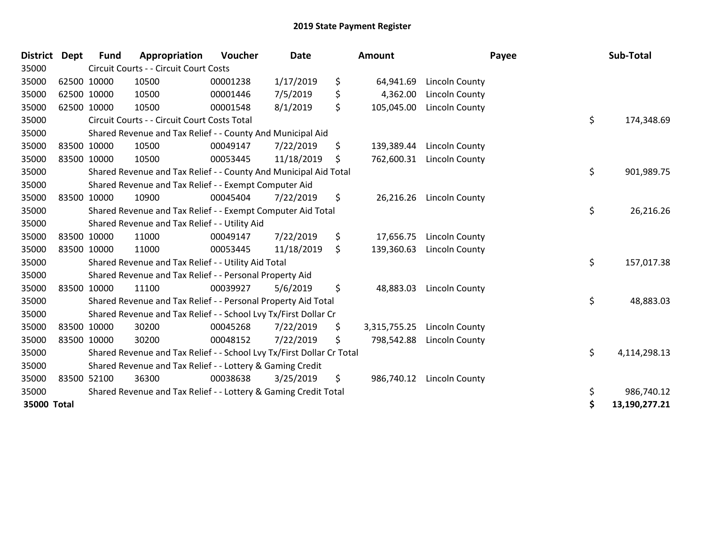| <b>District Dept</b> |             | <b>Fund</b> | Appropriation                                                         | Voucher  | <b>Date</b> | Amount             |                       | Payee | Sub-Total     |
|----------------------|-------------|-------------|-----------------------------------------------------------------------|----------|-------------|--------------------|-----------------------|-------|---------------|
| 35000                |             |             | Circuit Courts - - Circuit Court Costs                                |          |             |                    |                       |       |               |
| 35000                |             | 62500 10000 | 10500                                                                 | 00001238 | 1/17/2019   | \$<br>64,941.69    | Lincoln County        |       |               |
| 35000                | 62500 10000 |             | 10500                                                                 | 00001446 | 7/5/2019    | \$<br>4,362.00     | <b>Lincoln County</b> |       |               |
| 35000                | 62500 10000 |             | 10500                                                                 | 00001548 | 8/1/2019    | \$<br>105,045.00   | Lincoln County        |       |               |
| 35000                |             |             | Circuit Courts - - Circuit Court Costs Total                          |          |             |                    |                       | \$    | 174,348.69    |
| 35000                |             |             | Shared Revenue and Tax Relief - - County And Municipal Aid            |          |             |                    |                       |       |               |
| 35000                |             | 83500 10000 | 10500                                                                 | 00049147 | 7/22/2019   | \$<br>139,389.44   | Lincoln County        |       |               |
| 35000                |             | 83500 10000 | 10500                                                                 | 00053445 | 11/18/2019  | \$<br>762,600.31   | Lincoln County        |       |               |
| 35000                |             |             | Shared Revenue and Tax Relief - - County And Municipal Aid Total      |          |             |                    |                       | \$    | 901,989.75    |
| 35000                |             |             | Shared Revenue and Tax Relief - - Exempt Computer Aid                 |          |             |                    |                       |       |               |
| 35000                | 83500 10000 |             | 10900                                                                 | 00045404 | 7/22/2019   | \$<br>26,216.26    | Lincoln County        |       |               |
| 35000                |             |             | Shared Revenue and Tax Relief - - Exempt Computer Aid Total           |          |             |                    |                       | \$    | 26,216.26     |
| 35000                |             |             | Shared Revenue and Tax Relief - - Utility Aid                         |          |             |                    |                       |       |               |
| 35000                |             | 83500 10000 | 11000                                                                 | 00049147 | 7/22/2019   | \$<br>17,656.75    | Lincoln County        |       |               |
| 35000                | 83500 10000 |             | 11000                                                                 | 00053445 | 11/18/2019  | \$<br>139,360.63   | <b>Lincoln County</b> |       |               |
| 35000                |             |             | Shared Revenue and Tax Relief - - Utility Aid Total                   |          |             |                    |                       | \$    | 157,017.38    |
| 35000                |             |             | Shared Revenue and Tax Relief - - Personal Property Aid               |          |             |                    |                       |       |               |
| 35000                |             | 83500 10000 | 11100                                                                 | 00039927 | 5/6/2019    | \$<br>48,883.03    | Lincoln County        |       |               |
| 35000                |             |             | Shared Revenue and Tax Relief - - Personal Property Aid Total         |          |             |                    |                       | \$    | 48,883.03     |
| 35000                |             |             | Shared Revenue and Tax Relief - - School Lvy Tx/First Dollar Cr       |          |             |                    |                       |       |               |
| 35000                |             | 83500 10000 | 30200                                                                 | 00045268 | 7/22/2019   | \$<br>3,315,755.25 | Lincoln County        |       |               |
| 35000                | 83500 10000 |             | 30200                                                                 | 00048152 | 7/22/2019   | \$<br>798,542.88   | Lincoln County        |       |               |
| 35000                |             |             | Shared Revenue and Tax Relief - - School Lvy Tx/First Dollar Cr Total |          |             |                    |                       | \$    | 4,114,298.13  |
| 35000                |             |             | Shared Revenue and Tax Relief - - Lottery & Gaming Credit             |          |             |                    |                       |       |               |
| 35000                |             | 83500 52100 | 36300                                                                 | 00038638 | 3/25/2019   | \$<br>986,740.12   | Lincoln County        |       |               |
| 35000                |             |             | Shared Revenue and Tax Relief - - Lottery & Gaming Credit Total       |          |             |                    |                       | \$    | 986,740.12    |
| 35000 Total          |             |             |                                                                       |          |             |                    |                       | \$    | 13,190,277.21 |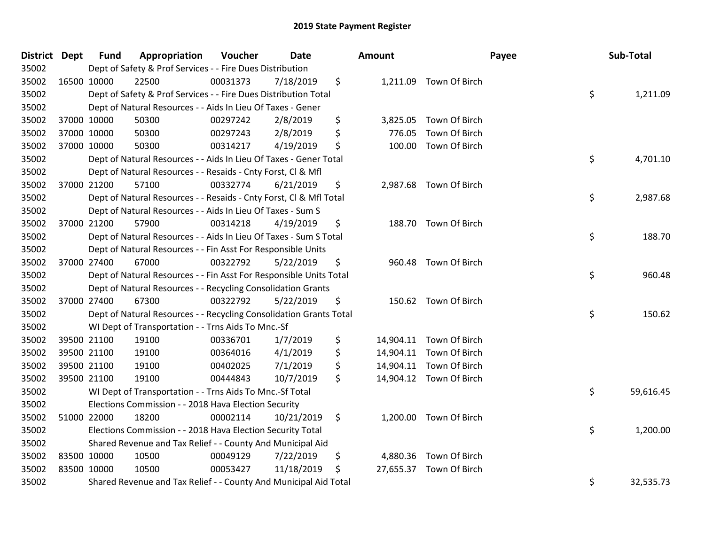| District Dept |             | <b>Fund</b> | Appropriation                                                      | Voucher  | <b>Date</b> | <b>Amount</b> |                         | Payee | Sub-Total |
|---------------|-------------|-------------|--------------------------------------------------------------------|----------|-------------|---------------|-------------------------|-------|-----------|
| 35002         |             |             | Dept of Safety & Prof Services - - Fire Dues Distribution          |          |             |               |                         |       |           |
| 35002         | 16500 10000 |             | 22500                                                              | 00031373 | 7/18/2019   | \$            | 1,211.09 Town Of Birch  |       |           |
| 35002         |             |             | Dept of Safety & Prof Services - - Fire Dues Distribution Total    |          |             |               |                         | \$    | 1,211.09  |
| 35002         |             |             | Dept of Natural Resources - - Aids In Lieu Of Taxes - Gener        |          |             |               |                         |       |           |
| 35002         | 37000 10000 |             | 50300                                                              | 00297242 | 2/8/2019    | \$            | 3,825.05 Town Of Birch  |       |           |
| 35002         |             | 37000 10000 | 50300                                                              | 00297243 | 2/8/2019    | \$<br>776.05  | Town Of Birch           |       |           |
| 35002         | 37000 10000 |             | 50300                                                              | 00314217 | 4/19/2019   | \$            | 100.00 Town Of Birch    |       |           |
| 35002         |             |             | Dept of Natural Resources - - Aids In Lieu Of Taxes - Gener Total  |          |             |               |                         | \$    | 4,701.10  |
| 35002         |             |             | Dept of Natural Resources - - Resaids - Cnty Forst, Cl & Mfl       |          |             |               |                         |       |           |
| 35002         | 37000 21200 |             | 57100                                                              | 00332774 | 6/21/2019   | \$            | 2,987.68 Town Of Birch  |       |           |
| 35002         |             |             | Dept of Natural Resources - - Resaids - Cnty Forst, Cl & Mfl Total |          |             |               |                         | \$    | 2,987.68  |
| 35002         |             |             | Dept of Natural Resources - - Aids In Lieu Of Taxes - Sum S        |          |             |               |                         |       |           |
| 35002         |             | 37000 21200 | 57900                                                              | 00314218 | 4/19/2019   | \$            | 188.70 Town Of Birch    |       |           |
| 35002         |             |             | Dept of Natural Resources - - Aids In Lieu Of Taxes - Sum S Total  |          |             |               |                         | \$    | 188.70    |
| 35002         |             |             | Dept of Natural Resources - - Fin Asst For Responsible Units       |          |             |               |                         |       |           |
| 35002         | 37000 27400 |             | 67000                                                              | 00322792 | 5/22/2019   | \$<br>960.48  | Town Of Birch           |       |           |
| 35002         |             |             | Dept of Natural Resources - - Fin Asst For Responsible Units Total |          |             |               |                         | \$    | 960.48    |
| 35002         |             |             | Dept of Natural Resources - - Recycling Consolidation Grants       |          |             |               |                         |       |           |
| 35002         | 37000 27400 |             | 67300                                                              | 00322792 | 5/22/2019   | \$            | 150.62 Town Of Birch    |       |           |
| 35002         |             |             | Dept of Natural Resources - - Recycling Consolidation Grants Total |          |             |               |                         | \$    | 150.62    |
| 35002         |             |             | WI Dept of Transportation - - Trns Aids To Mnc.-Sf                 |          |             |               |                         |       |           |
| 35002         |             | 39500 21100 | 19100                                                              | 00336701 | 1/7/2019    | \$            | 14,904.11 Town Of Birch |       |           |
| 35002         |             | 39500 21100 | 19100                                                              | 00364016 | 4/1/2019    | \$            | 14,904.11 Town Of Birch |       |           |
| 35002         | 39500 21100 |             | 19100                                                              | 00402025 | 7/1/2019    | \$            | 14,904.11 Town Of Birch |       |           |
| 35002         | 39500 21100 |             | 19100                                                              | 00444843 | 10/7/2019   | \$            | 14,904.12 Town Of Birch |       |           |
| 35002         |             |             | WI Dept of Transportation - - Trns Aids To Mnc.-Sf Total           |          |             |               |                         | \$    | 59,616.45 |
| 35002         |             |             | Elections Commission - - 2018 Hava Election Security               |          |             |               |                         |       |           |
| 35002         |             | 51000 22000 | 18200                                                              | 00002114 | 10/21/2019  | \$            | 1,200.00 Town Of Birch  |       |           |
| 35002         |             |             | Elections Commission - - 2018 Hava Election Security Total         |          |             |               |                         | \$    | 1,200.00  |
| 35002         |             |             | Shared Revenue and Tax Relief - - County And Municipal Aid         |          |             |               |                         |       |           |
| 35002         | 83500 10000 |             | 10500                                                              | 00049129 | 7/22/2019   | \$            | 4,880.36 Town Of Birch  |       |           |
| 35002         | 83500 10000 |             | 10500                                                              | 00053427 | 11/18/2019  | \$            | 27,655.37 Town Of Birch |       |           |
| 35002         |             |             | Shared Revenue and Tax Relief - - County And Municipal Aid Total   |          |             |               |                         | \$    | 32,535.73 |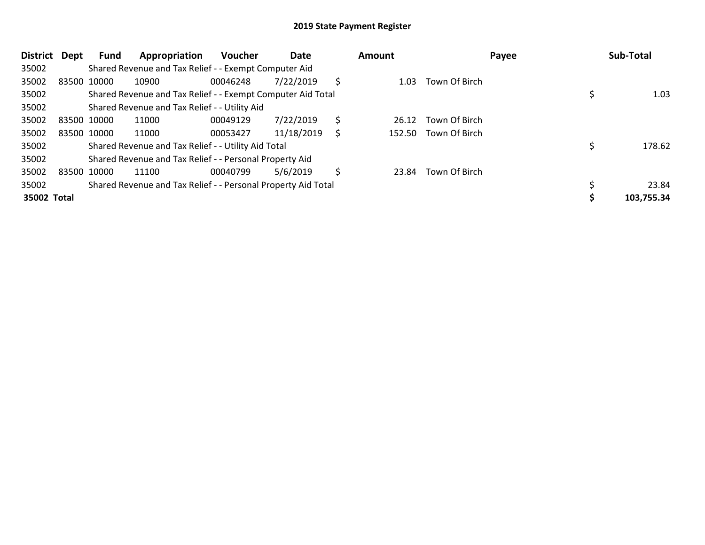| <b>District</b> | Dept        | Fund        | Appropriation                                                 | <b>Voucher</b> | Date       |    | Amount |               | Payee | Sub-Total  |
|-----------------|-------------|-------------|---------------------------------------------------------------|----------------|------------|----|--------|---------------|-------|------------|
| 35002           |             |             | Shared Revenue and Tax Relief - - Exempt Computer Aid         |                |            |    |        |               |       |            |
| 35002           | 83500 10000 |             | 10900                                                         | 00046248       | 7/22/2019  | S  | 1.03   | Town Of Birch |       |            |
| 35002           |             |             | Shared Revenue and Tax Relief - - Exempt Computer Aid Total   |                |            |    |        |               |       | 1.03       |
| 35002           |             |             | Shared Revenue and Tax Relief - - Utility Aid                 |                |            |    |        |               |       |            |
| 35002           | 83500 10000 |             | 11000                                                         | 00049129       | 7/22/2019  | \$ | 26.12  | Town Of Birch |       |            |
| 35002           |             | 83500 10000 | 11000                                                         | 00053427       | 11/18/2019 | S  | 152.50 | Town Of Birch |       |            |
| 35002           |             |             | Shared Revenue and Tax Relief - - Utility Aid Total           |                |            |    |        |               |       | 178.62     |
| 35002           |             |             | Shared Revenue and Tax Relief - - Personal Property Aid       |                |            |    |        |               |       |            |
| 35002           | 83500 10000 |             | 11100                                                         | 00040799       | 5/6/2019   | Ś  | 23.84  | Town Of Birch |       |            |
| 35002           |             |             | Shared Revenue and Tax Relief - - Personal Property Aid Total |                |            |    |        |               |       | 23.84      |
| 35002 Total     |             |             |                                                               |                |            |    |        |               |       | 103,755.34 |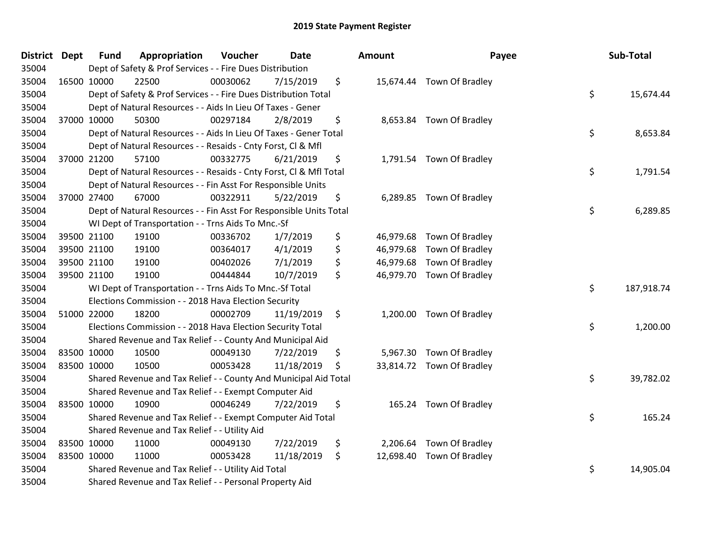| District Dept | <b>Fund</b> | Appropriation                                                      | Voucher  | <b>Date</b> | Amount          | Payee                     | Sub-Total        |
|---------------|-------------|--------------------------------------------------------------------|----------|-------------|-----------------|---------------------------|------------------|
| 35004         |             | Dept of Safety & Prof Services - - Fire Dues Distribution          |          |             |                 |                           |                  |
| 35004         | 16500 10000 | 22500                                                              | 00030062 | 7/15/2019   | \$              | 15,674.44 Town Of Bradley |                  |
| 35004         |             | Dept of Safety & Prof Services - - Fire Dues Distribution Total    |          |             |                 |                           | \$<br>15,674.44  |
| 35004         |             | Dept of Natural Resources - - Aids In Lieu Of Taxes - Gener        |          |             |                 |                           |                  |
| 35004         | 37000 10000 | 50300                                                              | 00297184 | 2/8/2019    | \$              | 8,653.84 Town Of Bradley  |                  |
| 35004         |             | Dept of Natural Resources - - Aids In Lieu Of Taxes - Gener Total  |          |             |                 |                           | \$<br>8,653.84   |
| 35004         |             | Dept of Natural Resources - - Resaids - Cnty Forst, Cl & Mfl       |          |             |                 |                           |                  |
| 35004         | 37000 21200 | 57100                                                              | 00332775 | 6/21/2019   | \$              | 1,791.54 Town Of Bradley  |                  |
| 35004         |             | Dept of Natural Resources - - Resaids - Cnty Forst, Cl & Mfl Total |          |             |                 |                           | \$<br>1,791.54   |
| 35004         |             | Dept of Natural Resources - - Fin Asst For Responsible Units       |          |             |                 |                           |                  |
| 35004         | 37000 27400 | 67000                                                              | 00322911 | 5/22/2019   | \$              | 6,289.85 Town Of Bradley  |                  |
| 35004         |             | Dept of Natural Resources - - Fin Asst For Responsible Units Total |          |             |                 |                           | \$<br>6,289.85   |
| 35004         |             | WI Dept of Transportation - - Trns Aids To Mnc.-Sf                 |          |             |                 |                           |                  |
| 35004         | 39500 21100 | 19100                                                              | 00336702 | 1/7/2019    | \$<br>46,979.68 | Town Of Bradley           |                  |
| 35004         | 39500 21100 | 19100                                                              | 00364017 | 4/1/2019    | \$              | 46,979.68 Town Of Bradley |                  |
| 35004         | 39500 21100 | 19100                                                              | 00402026 | 7/1/2019    | \$              | 46,979.68 Town Of Bradley |                  |
| 35004         | 39500 21100 | 19100                                                              | 00444844 | 10/7/2019   | \$              | 46,979.70 Town Of Bradley |                  |
| 35004         |             | WI Dept of Transportation - - Trns Aids To Mnc.-Sf Total           |          |             |                 |                           | \$<br>187,918.74 |
| 35004         |             | Elections Commission - - 2018 Hava Election Security               |          |             |                 |                           |                  |
| 35004         | 51000 22000 | 18200                                                              | 00002709 | 11/19/2019  | \$              | 1,200.00 Town Of Bradley  |                  |
| 35004         |             | Elections Commission - - 2018 Hava Election Security Total         |          |             |                 |                           | \$<br>1,200.00   |
| 35004         |             | Shared Revenue and Tax Relief - - County And Municipal Aid         |          |             |                 |                           |                  |
| 35004         | 83500 10000 | 10500                                                              | 00049130 | 7/22/2019   | \$              | 5,967.30 Town Of Bradley  |                  |
| 35004         | 83500 10000 | 10500                                                              | 00053428 | 11/18/2019  | \$              | 33,814.72 Town Of Bradley |                  |
| 35004         |             | Shared Revenue and Tax Relief - - County And Municipal Aid Total   |          |             |                 |                           | \$<br>39,782.02  |
| 35004         |             | Shared Revenue and Tax Relief - - Exempt Computer Aid              |          |             |                 |                           |                  |
| 35004         | 83500 10000 | 10900                                                              | 00046249 | 7/22/2019   | \$              | 165.24 Town Of Bradley    |                  |
| 35004         |             | Shared Revenue and Tax Relief - - Exempt Computer Aid Total        |          |             |                 |                           | \$<br>165.24     |
| 35004         |             | Shared Revenue and Tax Relief - - Utility Aid                      |          |             |                 |                           |                  |
| 35004         | 83500 10000 | 11000                                                              | 00049130 | 7/22/2019   | \$              | 2,206.64 Town Of Bradley  |                  |
| 35004         | 83500 10000 | 11000                                                              | 00053428 | 11/18/2019  | \$              | 12,698.40 Town Of Bradley |                  |
| 35004         |             | Shared Revenue and Tax Relief - - Utility Aid Total                |          |             |                 |                           | \$<br>14,905.04  |
| 35004         |             | Shared Revenue and Tax Relief - - Personal Property Aid            |          |             |                 |                           |                  |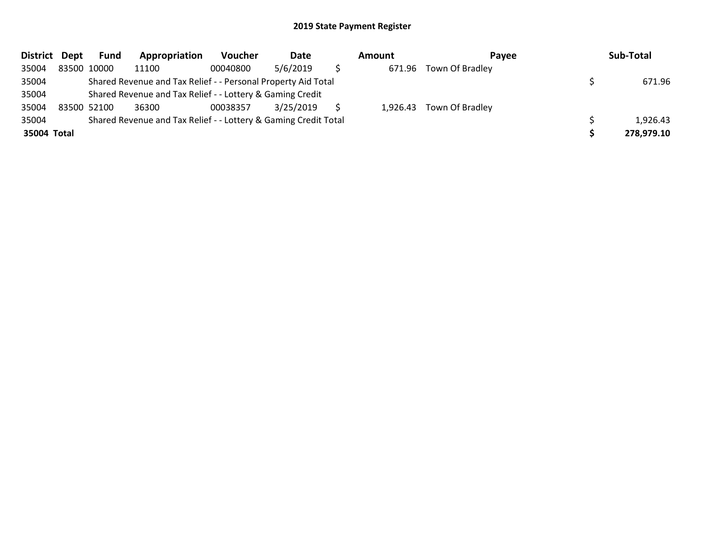| District Dept | Fund        | Appropriation                                                   | <b>Voucher</b> | Date      | Amount | Pavee                    | Sub-Total  |
|---------------|-------------|-----------------------------------------------------------------|----------------|-----------|--------|--------------------------|------------|
| 35004         | 83500 10000 | 11100                                                           | 00040800       | 5/6/2019  |        | 671.96 Town Of Bradley   |            |
| 35004         |             | Shared Revenue and Tax Relief - - Personal Property Aid Total   |                |           |        |                          | 671.96     |
| 35004         |             | Shared Revenue and Tax Relief - - Lottery & Gaming Credit       |                |           |        |                          |            |
| 35004         | 83500 52100 | 36300                                                           | 00038357       | 3/25/2019 |        | 1,926.43 Town Of Bradley |            |
| 35004         |             | Shared Revenue and Tax Relief - - Lottery & Gaming Credit Total |                |           |        |                          | 1,926.43   |
| 35004 Total   |             |                                                                 |                |           |        |                          | 278,979.10 |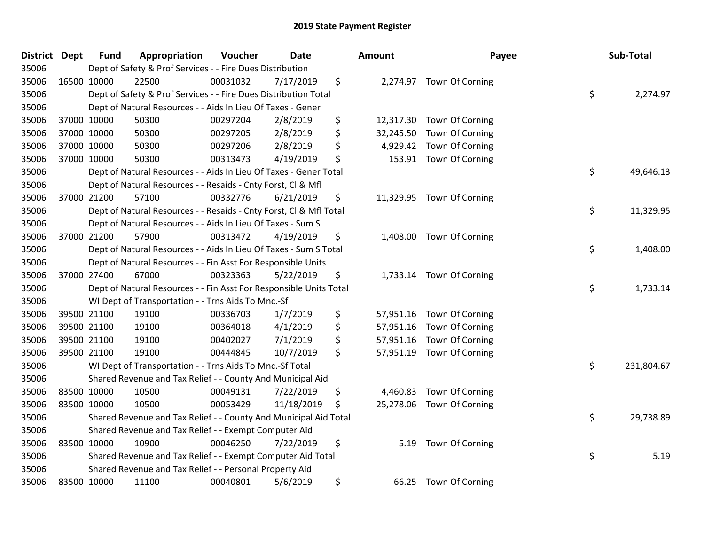| <b>District Dept</b> | <b>Fund</b> | Appropriation                                                      | Voucher  | <b>Date</b> | Amount          | Payee                     | Sub-Total        |
|----------------------|-------------|--------------------------------------------------------------------|----------|-------------|-----------------|---------------------------|------------------|
| 35006                |             | Dept of Safety & Prof Services - - Fire Dues Distribution          |          |             |                 |                           |                  |
| 35006                | 16500 10000 | 22500                                                              | 00031032 | 7/17/2019   | \$              | 2,274.97 Town Of Corning  |                  |
| 35006                |             | Dept of Safety & Prof Services - - Fire Dues Distribution Total    |          |             |                 |                           | \$<br>2,274.97   |
| 35006                |             | Dept of Natural Resources - - Aids In Lieu Of Taxes - Gener        |          |             |                 |                           |                  |
| 35006                | 37000 10000 | 50300                                                              | 00297204 | 2/8/2019    | \$<br>12,317.30 | Town Of Corning           |                  |
| 35006                | 37000 10000 | 50300                                                              | 00297205 | 2/8/2019    | \$<br>32,245.50 | Town Of Corning           |                  |
| 35006                | 37000 10000 | 50300                                                              | 00297206 | 2/8/2019    | \$<br>4,929.42  | Town Of Corning           |                  |
| 35006                | 37000 10000 | 50300                                                              | 00313473 | 4/19/2019   | \$<br>153.91    | Town Of Corning           |                  |
| 35006                |             | Dept of Natural Resources - - Aids In Lieu Of Taxes - Gener Total  |          |             |                 |                           | \$<br>49,646.13  |
| 35006                |             | Dept of Natural Resources - - Resaids - Cnty Forst, CI & Mfl       |          |             |                 |                           |                  |
| 35006                | 37000 21200 | 57100                                                              | 00332776 | 6/21/2019   | \$              | 11,329.95 Town Of Corning |                  |
| 35006                |             | Dept of Natural Resources - - Resaids - Cnty Forst, Cl & Mfl Total |          |             |                 |                           | \$<br>11,329.95  |
| 35006                |             | Dept of Natural Resources - - Aids In Lieu Of Taxes - Sum S        |          |             |                 |                           |                  |
| 35006                | 37000 21200 | 57900                                                              | 00313472 | 4/19/2019   | \$              | 1,408.00 Town Of Corning  |                  |
| 35006                |             | Dept of Natural Resources - - Aids In Lieu Of Taxes - Sum S Total  |          |             |                 |                           | \$<br>1,408.00   |
| 35006                |             | Dept of Natural Resources - - Fin Asst For Responsible Units       |          |             |                 |                           |                  |
| 35006                | 37000 27400 | 67000                                                              | 00323363 | 5/22/2019   | \$<br>1,733.14  | Town Of Corning           |                  |
| 35006                |             | Dept of Natural Resources - - Fin Asst For Responsible Units Total |          |             |                 |                           | \$<br>1,733.14   |
| 35006                |             | WI Dept of Transportation - - Trns Aids To Mnc.-Sf                 |          |             |                 |                           |                  |
| 35006                | 39500 21100 | 19100                                                              | 00336703 | 1/7/2019    | \$<br>57,951.16 | Town Of Corning           |                  |
| 35006                | 39500 21100 | 19100                                                              | 00364018 | 4/1/2019    | \$<br>57,951.16 | Town Of Corning           |                  |
| 35006                | 39500 21100 | 19100                                                              | 00402027 | 7/1/2019    | \$<br>57,951.16 | Town Of Corning           |                  |
| 35006                | 39500 21100 | 19100                                                              | 00444845 | 10/7/2019   | \$<br>57,951.19 | Town Of Corning           |                  |
| 35006                |             | WI Dept of Transportation - - Trns Aids To Mnc.-Sf Total           |          |             |                 |                           | \$<br>231,804.67 |
| 35006                |             | Shared Revenue and Tax Relief - - County And Municipal Aid         |          |             |                 |                           |                  |
| 35006                | 83500 10000 | 10500                                                              | 00049131 | 7/22/2019   | \$<br>4,460.83  | Town Of Corning           |                  |
| 35006                | 83500 10000 | 10500                                                              | 00053429 | 11/18/2019  | \$<br>25,278.06 | Town Of Corning           |                  |
| 35006                |             | Shared Revenue and Tax Relief - - County And Municipal Aid Total   |          |             |                 |                           | \$<br>29,738.89  |
| 35006                |             | Shared Revenue and Tax Relief - - Exempt Computer Aid              |          |             |                 |                           |                  |
| 35006                | 83500 10000 | 10900                                                              | 00046250 | 7/22/2019   | \$<br>5.19      | Town Of Corning           |                  |
| 35006                |             | Shared Revenue and Tax Relief - - Exempt Computer Aid Total        |          |             |                 |                           | \$<br>5.19       |
| 35006                |             | Shared Revenue and Tax Relief - - Personal Property Aid            |          |             |                 |                           |                  |
| 35006                | 83500 10000 | 11100                                                              | 00040801 | 5/6/2019    | \$<br>66.25     | Town Of Corning           |                  |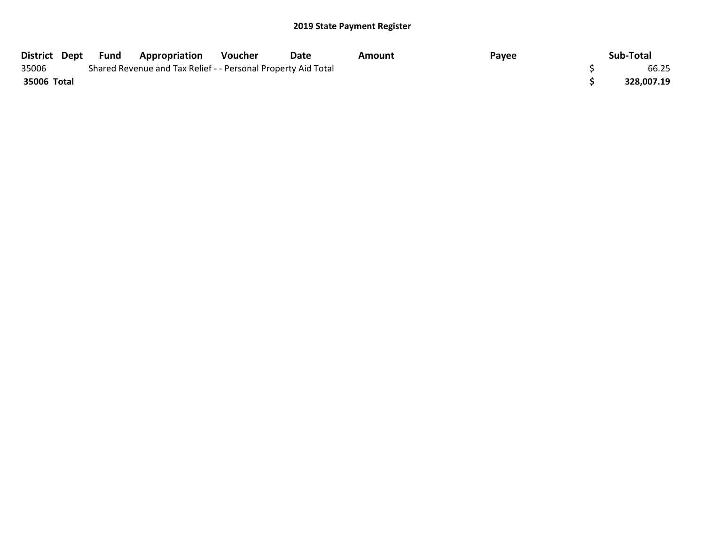| District Dept | Fund | <b>Appropriation</b>                                          | Voucher | Date | Amount | Payee | Sub-Total  |
|---------------|------|---------------------------------------------------------------|---------|------|--------|-------|------------|
| 35006         |      | Shared Revenue and Tax Relief - - Personal Property Aid Total |         |      |        |       | 66.25      |
| 35006 Total   |      |                                                               |         |      |        |       | 328,007.19 |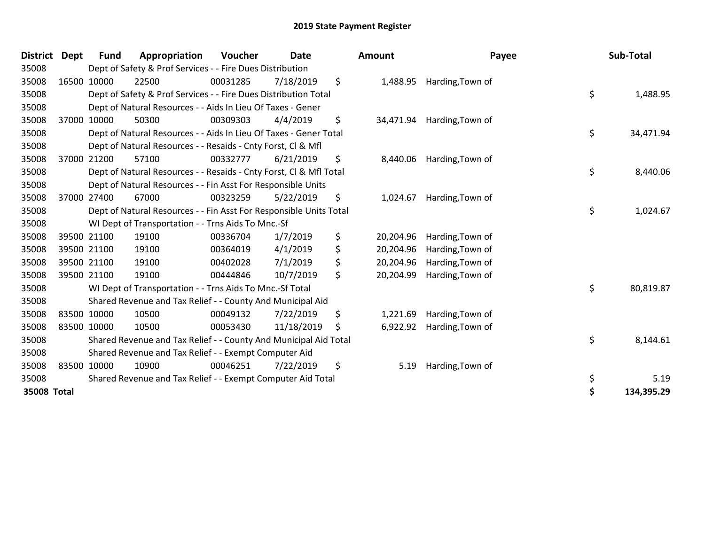| <b>District</b> | <b>Dept</b> | Fund        | Appropriation                                                      | Voucher  | <b>Date</b> | Amount          | Payee                     | Sub-Total        |
|-----------------|-------------|-------------|--------------------------------------------------------------------|----------|-------------|-----------------|---------------------------|------------------|
| 35008           |             |             | Dept of Safety & Prof Services - - Fire Dues Distribution          |          |             |                 |                           |                  |
| 35008           |             | 16500 10000 | 22500                                                              | 00031285 | 7/18/2019   | \$<br>1,488.95  | Harding, Town of          |                  |
| 35008           |             |             | Dept of Safety & Prof Services - - Fire Dues Distribution Total    |          |             |                 |                           | \$<br>1,488.95   |
| 35008           |             |             | Dept of Natural Resources - - Aids In Lieu Of Taxes - Gener        |          |             |                 |                           |                  |
| 35008           |             | 37000 10000 | 50300                                                              | 00309303 | 4/4/2019    | \$<br>34,471.94 | Harding, Town of          |                  |
| 35008           |             |             | Dept of Natural Resources - - Aids In Lieu Of Taxes - Gener Total  |          |             |                 |                           | \$<br>34,471.94  |
| 35008           |             |             | Dept of Natural Resources - - Resaids - Cnty Forst, CI & Mfl       |          |             |                 |                           |                  |
| 35008           |             | 37000 21200 | 57100                                                              | 00332777 | 6/21/2019   | \$              | 8,440.06 Harding, Town of |                  |
| 35008           |             |             | Dept of Natural Resources - - Resaids - Cnty Forst, CI & Mfl Total |          |             |                 |                           | \$<br>8,440.06   |
| 35008           |             |             | Dept of Natural Resources - - Fin Asst For Responsible Units       |          |             |                 |                           |                  |
| 35008           |             | 37000 27400 | 67000                                                              | 00323259 | 5/22/2019   | \$<br>1,024.67  | Harding, Town of          |                  |
| 35008           |             |             | Dept of Natural Resources - - Fin Asst For Responsible Units Total |          |             |                 |                           | \$<br>1,024.67   |
| 35008           |             |             | WI Dept of Transportation - - Trns Aids To Mnc.-Sf                 |          |             |                 |                           |                  |
| 35008           |             | 39500 21100 | 19100                                                              | 00336704 | 1/7/2019    | \$<br>20,204.96 | Harding, Town of          |                  |
| 35008           |             | 39500 21100 | 19100                                                              | 00364019 | 4/1/2019    | \$<br>20,204.96 | Harding, Town of          |                  |
| 35008           |             | 39500 21100 | 19100                                                              | 00402028 | 7/1/2019    | \$<br>20,204.96 | Harding, Town of          |                  |
| 35008           | 39500 21100 |             | 19100                                                              | 00444846 | 10/7/2019   | \$<br>20,204.99 | Harding, Town of          |                  |
| 35008           |             |             | WI Dept of Transportation - - Trns Aids To Mnc.-Sf Total           |          |             |                 |                           | \$<br>80,819.87  |
| 35008           |             |             | Shared Revenue and Tax Relief - - County And Municipal Aid         |          |             |                 |                           |                  |
| 35008           | 83500 10000 |             | 10500                                                              | 00049132 | 7/22/2019   | \$<br>1,221.69  | Harding, Town of          |                  |
| 35008           | 83500 10000 |             | 10500                                                              | 00053430 | 11/18/2019  | \$<br>6,922.92  | Harding, Town of          |                  |
| 35008           |             |             | Shared Revenue and Tax Relief - - County And Municipal Aid Total   |          |             |                 |                           | \$<br>8,144.61   |
| 35008           |             |             | Shared Revenue and Tax Relief - - Exempt Computer Aid              |          |             |                 |                           |                  |
| 35008           | 83500 10000 |             | 10900                                                              | 00046251 | 7/22/2019   | \$<br>5.19      | Harding, Town of          |                  |
| 35008           |             |             | Shared Revenue and Tax Relief - - Exempt Computer Aid Total        |          |             |                 |                           | \$<br>5.19       |
| 35008 Total     |             |             |                                                                    |          |             |                 |                           | \$<br>134,395.29 |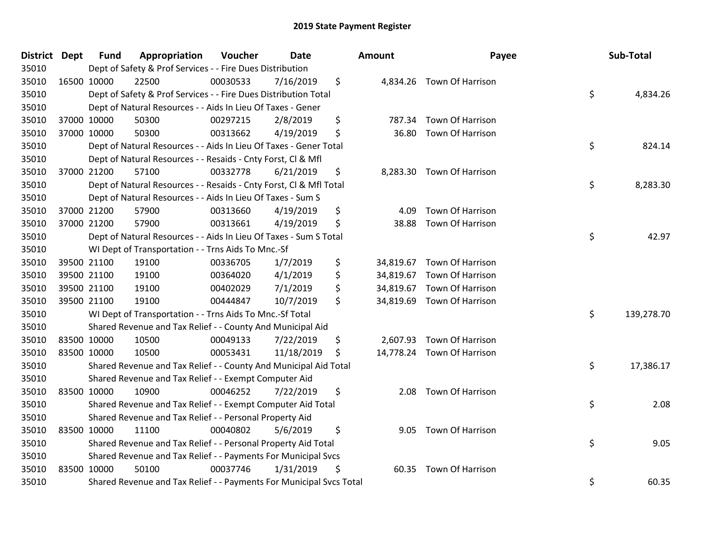| <b>District Dept</b> |             | Fund        | Appropriation                                                       | Voucher  | Date       | <b>Amount</b>   | Payee                      | Sub-Total        |
|----------------------|-------------|-------------|---------------------------------------------------------------------|----------|------------|-----------------|----------------------------|------------------|
| 35010                |             |             | Dept of Safety & Prof Services - - Fire Dues Distribution           |          |            |                 |                            |                  |
| 35010                |             | 16500 10000 | 22500                                                               | 00030533 | 7/16/2019  | \$              | 4,834.26 Town Of Harrison  |                  |
| 35010                |             |             | Dept of Safety & Prof Services - - Fire Dues Distribution Total     |          |            |                 |                            | \$<br>4,834.26   |
| 35010                |             |             | Dept of Natural Resources - - Aids In Lieu Of Taxes - Gener         |          |            |                 |                            |                  |
| 35010                |             | 37000 10000 | 50300                                                               | 00297215 | 2/8/2019   | \$<br>787.34    | Town Of Harrison           |                  |
| 35010                |             | 37000 10000 | 50300                                                               | 00313662 | 4/19/2019  | \$<br>36.80     | Town Of Harrison           |                  |
| 35010                |             |             | Dept of Natural Resources - - Aids In Lieu Of Taxes - Gener Total   |          |            |                 |                            | \$<br>824.14     |
| 35010                |             |             | Dept of Natural Resources - - Resaids - Cnty Forst, Cl & Mfl        |          |            |                 |                            |                  |
| 35010                |             | 37000 21200 | 57100                                                               | 00332778 | 6/21/2019  | \$              | 8,283.30 Town Of Harrison  |                  |
| 35010                |             |             | Dept of Natural Resources - - Resaids - Cnty Forst, Cl & Mfl Total  |          |            |                 |                            | \$<br>8,283.30   |
| 35010                |             |             | Dept of Natural Resources - - Aids In Lieu Of Taxes - Sum S         |          |            |                 |                            |                  |
| 35010                |             | 37000 21200 | 57900                                                               | 00313660 | 4/19/2019  | \$<br>4.09      | Town Of Harrison           |                  |
| 35010                |             | 37000 21200 | 57900                                                               | 00313661 | 4/19/2019  | \$<br>38.88     | Town Of Harrison           |                  |
| 35010                |             |             | Dept of Natural Resources - - Aids In Lieu Of Taxes - Sum S Total   |          |            |                 |                            | \$<br>42.97      |
| 35010                |             |             | WI Dept of Transportation - - Trns Aids To Mnc.-Sf                  |          |            |                 |                            |                  |
| 35010                |             | 39500 21100 | 19100                                                               | 00336705 | 1/7/2019   | \$<br>34,819.67 | Town Of Harrison           |                  |
| 35010                |             | 39500 21100 | 19100                                                               | 00364020 | 4/1/2019   | \$<br>34,819.67 | Town Of Harrison           |                  |
| 35010                |             | 39500 21100 | 19100                                                               | 00402029 | 7/1/2019   | \$<br>34,819.67 | Town Of Harrison           |                  |
| 35010                |             | 39500 21100 | 19100                                                               | 00444847 | 10/7/2019  | \$<br>34,819.69 | Town Of Harrison           |                  |
| 35010                |             |             | WI Dept of Transportation - - Trns Aids To Mnc.-Sf Total            |          |            |                 |                            | \$<br>139,278.70 |
| 35010                |             |             | Shared Revenue and Tax Relief - - County And Municipal Aid          |          |            |                 |                            |                  |
| 35010                |             | 83500 10000 | 10500                                                               | 00049133 | 7/22/2019  | \$<br>2,607.93  | Town Of Harrison           |                  |
| 35010                | 83500 10000 |             | 10500                                                               | 00053431 | 11/18/2019 | \$              | 14,778.24 Town Of Harrison |                  |
| 35010                |             |             | Shared Revenue and Tax Relief - - County And Municipal Aid Total    |          |            |                 |                            | \$<br>17,386.17  |
| 35010                |             |             | Shared Revenue and Tax Relief - - Exempt Computer Aid               |          |            |                 |                            |                  |
| 35010                |             | 83500 10000 | 10900                                                               | 00046252 | 7/22/2019  | \$<br>2.08      | Town Of Harrison           |                  |
| 35010                |             |             | Shared Revenue and Tax Relief - - Exempt Computer Aid Total         |          |            |                 |                            | \$<br>2.08       |
| 35010                |             |             | Shared Revenue and Tax Relief - - Personal Property Aid             |          |            |                 |                            |                  |
| 35010                |             | 83500 10000 | 11100                                                               | 00040802 | 5/6/2019   | \$<br>9.05      | Town Of Harrison           |                  |
| 35010                |             |             | Shared Revenue and Tax Relief - - Personal Property Aid Total       |          |            |                 |                            | \$<br>9.05       |
| 35010                |             |             | Shared Revenue and Tax Relief - - Payments For Municipal Svcs       |          |            |                 |                            |                  |
| 35010                |             | 83500 10000 | 50100                                                               | 00037746 | 1/31/2019  | \$<br>60.35     | Town Of Harrison           |                  |
| 35010                |             |             | Shared Revenue and Tax Relief - - Payments For Municipal Svcs Total |          |            |                 |                            | \$<br>60.35      |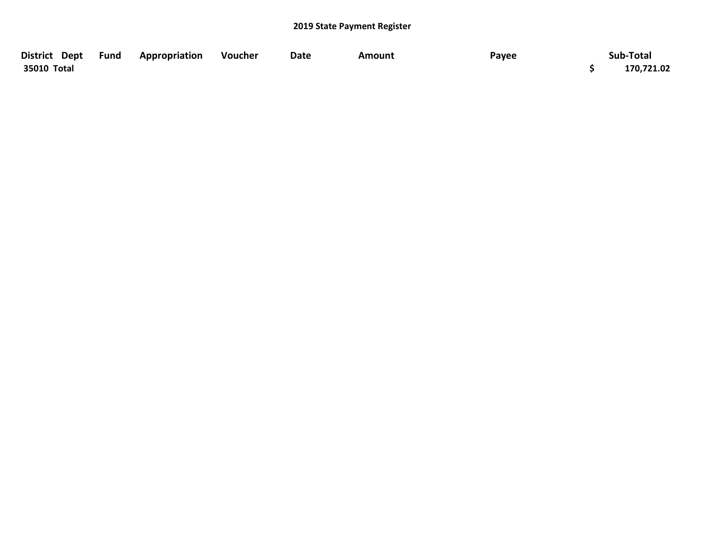| District Dept Fund | Appropriation | Voucher | Date | Amount | Payee | Sub-Total  |
|--------------------|---------------|---------|------|--------|-------|------------|
| 35010 Total        |               |         |      |        |       | 170,721.02 |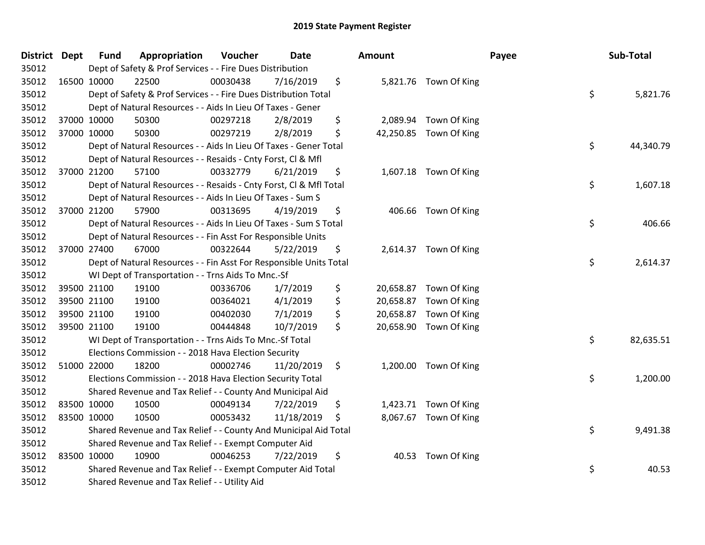| District Dept |             | <b>Fund</b> | Appropriation                                                      | Voucher  | Date       | <b>Amount</b>   |                        | Payee | Sub-Total |
|---------------|-------------|-------------|--------------------------------------------------------------------|----------|------------|-----------------|------------------------|-------|-----------|
| 35012         |             |             | Dept of Safety & Prof Services - - Fire Dues Distribution          |          |            |                 |                        |       |           |
| 35012         | 16500 10000 |             | 22500                                                              | 00030438 | 7/16/2019  | \$              | 5,821.76 Town Of King  |       |           |
| 35012         |             |             | Dept of Safety & Prof Services - - Fire Dues Distribution Total    |          |            |                 |                        | \$    | 5,821.76  |
| 35012         |             |             | Dept of Natural Resources - - Aids In Lieu Of Taxes - Gener        |          |            |                 |                        |       |           |
| 35012         |             | 37000 10000 | 50300                                                              | 00297218 | 2/8/2019   | \$              | 2,089.94 Town Of King  |       |           |
| 35012         |             | 37000 10000 | 50300                                                              | 00297219 | 2/8/2019   | \$              | 42,250.85 Town Of King |       |           |
| 35012         |             |             | Dept of Natural Resources - - Aids In Lieu Of Taxes - Gener Total  |          |            |                 |                        | \$    | 44,340.79 |
| 35012         |             |             | Dept of Natural Resources - - Resaids - Cnty Forst, Cl & Mfl       |          |            |                 |                        |       |           |
| 35012         | 37000 21200 |             | 57100                                                              | 00332779 | 6/21/2019  | \$              | 1,607.18 Town Of King  |       |           |
| 35012         |             |             | Dept of Natural Resources - - Resaids - Cnty Forst, CI & Mfl Total |          |            |                 |                        | \$    | 1,607.18  |
| 35012         |             |             | Dept of Natural Resources - - Aids In Lieu Of Taxes - Sum S        |          |            |                 |                        |       |           |
| 35012         |             | 37000 21200 | 57900                                                              | 00313695 | 4/19/2019  | \$              | 406.66 Town Of King    |       |           |
| 35012         |             |             | Dept of Natural Resources - - Aids In Lieu Of Taxes - Sum S Total  |          |            |                 |                        | \$    | 406.66    |
| 35012         |             |             | Dept of Natural Resources - - Fin Asst For Responsible Units       |          |            |                 |                        |       |           |
| 35012         | 37000 27400 |             | 67000                                                              | 00322644 | 5/22/2019  | \$              | 2,614.37 Town Of King  |       |           |
| 35012         |             |             | Dept of Natural Resources - - Fin Asst For Responsible Units Total |          |            |                 |                        | \$    | 2,614.37  |
| 35012         |             |             | WI Dept of Transportation - - Trns Aids To Mnc.-Sf                 |          |            |                 |                        |       |           |
| 35012         |             | 39500 21100 | 19100                                                              | 00336706 | 1/7/2019   | \$              | 20,658.87 Town Of King |       |           |
| 35012         |             | 39500 21100 | 19100                                                              | 00364021 | 4/1/2019   | \$<br>20,658.87 | Town Of King           |       |           |
| 35012         |             | 39500 21100 | 19100                                                              | 00402030 | 7/1/2019   | \$              | 20,658.87 Town Of King |       |           |
| 35012         |             | 39500 21100 | 19100                                                              | 00444848 | 10/7/2019  | \$              | 20,658.90 Town Of King |       |           |
| 35012         |             |             | WI Dept of Transportation - - Trns Aids To Mnc.-Sf Total           |          |            |                 |                        | \$    | 82,635.51 |
| 35012         |             |             | Elections Commission - - 2018 Hava Election Security               |          |            |                 |                        |       |           |
| 35012         |             | 51000 22000 | 18200                                                              | 00002746 | 11/20/2019 | \$              | 1,200.00 Town Of King  |       |           |
| 35012         |             |             | Elections Commission - - 2018 Hava Election Security Total         |          |            |                 |                        | \$    | 1,200.00  |
| 35012         |             |             | Shared Revenue and Tax Relief - - County And Municipal Aid         |          |            |                 |                        |       |           |
| 35012         | 83500 10000 |             | 10500                                                              | 00049134 | 7/22/2019  | \$              | 1,423.71 Town Of King  |       |           |
| 35012         | 83500 10000 |             | 10500                                                              | 00053432 | 11/18/2019 | \$              | 8,067.67 Town Of King  |       |           |
| 35012         |             |             | Shared Revenue and Tax Relief - - County And Municipal Aid Total   |          |            |                 |                        | \$    | 9,491.38  |
| 35012         |             |             | Shared Revenue and Tax Relief - - Exempt Computer Aid              |          |            |                 |                        |       |           |
| 35012         | 83500 10000 |             | 10900                                                              | 00046253 | 7/22/2019  | \$<br>40.53     | Town Of King           |       |           |
| 35012         |             |             | Shared Revenue and Tax Relief - - Exempt Computer Aid Total        |          |            |                 |                        | \$    | 40.53     |
| 35012         |             |             | Shared Revenue and Tax Relief - - Utility Aid                      |          |            |                 |                        |       |           |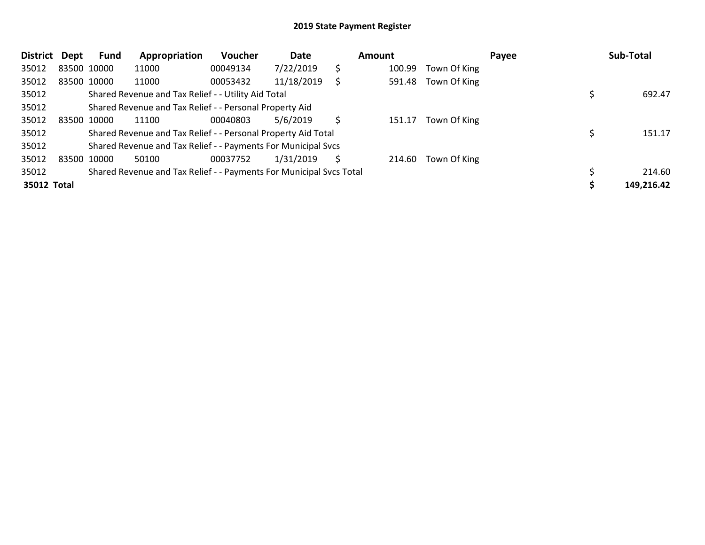| District Dept |             | <b>Fund</b> | Appropriation                                                       | Voucher  | Date       |    | Amount |              | Payee | Sub-Total  |
|---------------|-------------|-------------|---------------------------------------------------------------------|----------|------------|----|--------|--------------|-------|------------|
| 35012         | 83500 10000 |             | 11000                                                               | 00049134 | 7/22/2019  | \$ | 100.99 | Town Of King |       |            |
| 35012         | 83500 10000 |             | 11000                                                               | 00053432 | 11/18/2019 | S  | 591.48 | Town Of King |       |            |
| 35012         |             |             | Shared Revenue and Tax Relief - - Utility Aid Total                 |          |            |    |        |              |       | 692.47     |
| 35012         |             |             | Shared Revenue and Tax Relief - - Personal Property Aid             |          |            |    |        |              |       |            |
| 35012         | 83500 10000 |             | 11100                                                               | 00040803 | 5/6/2019   | S  | 151.17 | Town Of King |       |            |
| 35012         |             |             | Shared Revenue and Tax Relief - - Personal Property Aid Total       |          |            |    |        |              |       | 151.17     |
| 35012         |             |             | Shared Revenue and Tax Relief - - Payments For Municipal Svcs       |          |            |    |        |              |       |            |
| 35012         | 83500 10000 |             | 50100                                                               | 00037752 | 1/31/2019  | S  | 214.60 | Town Of King |       |            |
| 35012         |             |             | Shared Revenue and Tax Relief - - Payments For Municipal Svcs Total |          |            |    |        |              |       | 214.60     |
| 35012 Total   |             |             |                                                                     |          |            |    |        |              |       | 149,216.42 |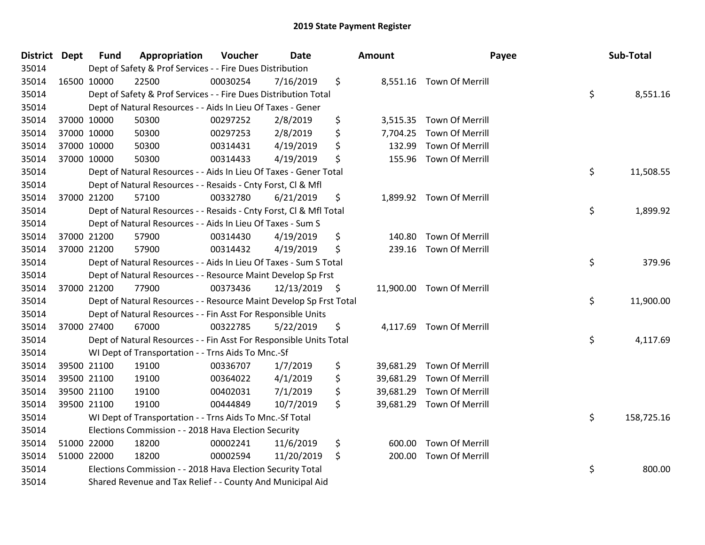| <b>District Dept</b> | <b>Fund</b> | Appropriation                                                      | Voucher  | <b>Date</b>   |     | <b>Amount</b> |                           | Payee | Sub-Total  |
|----------------------|-------------|--------------------------------------------------------------------|----------|---------------|-----|---------------|---------------------------|-------|------------|
| 35014                |             | Dept of Safety & Prof Services - - Fire Dues Distribution          |          |               |     |               |                           |       |            |
| 35014                | 16500 10000 | 22500                                                              | 00030254 | 7/16/2019     | \$  |               | 8,551.16 Town Of Merrill  |       |            |
| 35014                |             | Dept of Safety & Prof Services - - Fire Dues Distribution Total    |          |               |     |               |                           | \$    | 8,551.16   |
| 35014                |             | Dept of Natural Resources - - Aids In Lieu Of Taxes - Gener        |          |               |     |               |                           |       |            |
| 35014                | 37000 10000 | 50300                                                              | 00297252 | 2/8/2019      | \$  |               | 3,515.35 Town Of Merrill  |       |            |
| 35014                | 37000 10000 | 50300                                                              | 00297253 | 2/8/2019      | \$  |               | 7,704.25 Town Of Merrill  |       |            |
| 35014                | 37000 10000 | 50300                                                              | 00314431 | 4/19/2019     | \$  | 132.99        | <b>Town Of Merrill</b>    |       |            |
| 35014                | 37000 10000 | 50300                                                              | 00314433 | 4/19/2019     | \$  |               | 155.96 Town Of Merrill    |       |            |
| 35014                |             | Dept of Natural Resources - - Aids In Lieu Of Taxes - Gener Total  |          |               |     |               |                           | \$    | 11,508.55  |
| 35014                |             | Dept of Natural Resources - - Resaids - Cnty Forst, Cl & Mfl       |          |               |     |               |                           |       |            |
| 35014                | 37000 21200 | 57100                                                              | 00332780 | 6/21/2019     | \$  |               | 1,899.92 Town Of Merrill  |       |            |
| 35014                |             | Dept of Natural Resources - - Resaids - Cnty Forst, CI & Mfl Total |          |               |     |               |                           | \$    | 1,899.92   |
| 35014                |             | Dept of Natural Resources - - Aids In Lieu Of Taxes - Sum S        |          |               |     |               |                           |       |            |
| 35014                | 37000 21200 | 57900                                                              | 00314430 | 4/19/2019     | \$  | 140.80        | <b>Town Of Merrill</b>    |       |            |
| 35014                | 37000 21200 | 57900                                                              | 00314432 | 4/19/2019     | \$  | 239.16        | Town Of Merrill           |       |            |
| 35014                |             | Dept of Natural Resources - - Aids In Lieu Of Taxes - Sum S Total  |          |               |     |               |                           | \$    | 379.96     |
| 35014                |             | Dept of Natural Resources - - Resource Maint Develop Sp Frst       |          |               |     |               |                           |       |            |
| 35014                | 37000 21200 | 77900                                                              | 00373436 | 12/13/2019 \$ |     |               | 11,900.00 Town Of Merrill |       |            |
| 35014                |             | Dept of Natural Resources - - Resource Maint Develop Sp Frst Total |          |               |     |               |                           | \$    | 11,900.00  |
| 35014                |             | Dept of Natural Resources - - Fin Asst For Responsible Units       |          |               |     |               |                           |       |            |
| 35014                | 37000 27400 | 67000                                                              | 00322785 | 5/22/2019     | \$  |               | 4,117.69 Town Of Merrill  |       |            |
| 35014                |             | Dept of Natural Resources - - Fin Asst For Responsible Units Total |          |               |     |               |                           | \$    | 4,117.69   |
| 35014                |             | WI Dept of Transportation - - Trns Aids To Mnc.-Sf                 |          |               |     |               |                           |       |            |
| 35014                | 39500 21100 | 19100                                                              | 00336707 | 1/7/2019      | \$  | 39,681.29     | Town Of Merrill           |       |            |
| 35014                | 39500 21100 | 19100                                                              | 00364022 | 4/1/2019      | \$  | 39,681.29     | Town Of Merrill           |       |            |
| 35014                | 39500 21100 | 19100                                                              | 00402031 | 7/1/2019      | \$  | 39,681.29     | <b>Town Of Merrill</b>    |       |            |
| 35014                | 39500 21100 | 19100                                                              | 00444849 | 10/7/2019     | \$. |               | 39,681.29 Town Of Merrill |       |            |
| 35014                |             | WI Dept of Transportation - - Trns Aids To Mnc.-Sf Total           |          |               |     |               |                           | \$    | 158,725.16 |
| 35014                |             | Elections Commission - - 2018 Hava Election Security               |          |               |     |               |                           |       |            |
| 35014                | 51000 22000 | 18200                                                              | 00002241 | 11/6/2019     | \$  | 600.00        | Town Of Merrill           |       |            |
| 35014                | 51000 22000 | 18200                                                              | 00002594 | 11/20/2019    | \$  | 200.00        | Town Of Merrill           |       |            |
| 35014                |             | Elections Commission - - 2018 Hava Election Security Total         |          |               |     |               |                           | \$    | 800.00     |
| 35014                |             | Shared Revenue and Tax Relief - - County And Municipal Aid         |          |               |     |               |                           |       |            |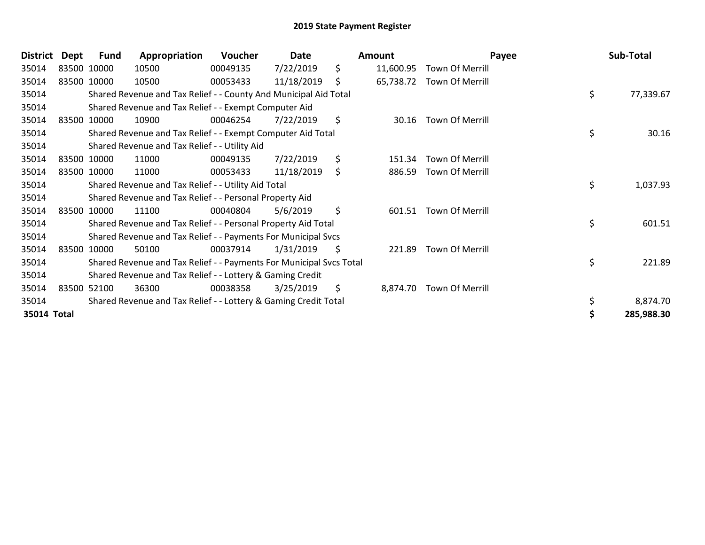| <b>District</b> | Dept        | Fund        | Appropriation                                                       | <b>Voucher</b> | Date       | Amount          | Payee                     | Sub-Total       |
|-----------------|-------------|-------------|---------------------------------------------------------------------|----------------|------------|-----------------|---------------------------|-----------------|
| 35014           | 83500 10000 |             | 10500                                                               | 00049135       | 7/22/2019  | \$<br>11,600.95 | Town Of Merrill           |                 |
| 35014           | 83500 10000 |             | 10500                                                               | 00053433       | 11/18/2019 | \$              | 65,738.72 Town Of Merrill |                 |
| 35014           |             |             | Shared Revenue and Tax Relief - - County And Municipal Aid Total    |                |            |                 |                           | \$<br>77,339.67 |
| 35014           |             |             | Shared Revenue and Tax Relief - - Exempt Computer Aid               |                |            |                 |                           |                 |
| 35014           |             | 83500 10000 | 10900                                                               | 00046254       | 7/22/2019  | \$<br>30.16     | Town Of Merrill           |                 |
| 35014           |             |             | Shared Revenue and Tax Relief - - Exempt Computer Aid Total         |                |            |                 |                           | \$<br>30.16     |
| 35014           |             |             | Shared Revenue and Tax Relief - - Utility Aid                       |                |            |                 |                           |                 |
| 35014           |             | 83500 10000 | 11000                                                               | 00049135       | 7/22/2019  | \$<br>151.34    | <b>Town Of Merrill</b>    |                 |
| 35014           |             | 83500 10000 | 11000                                                               | 00053433       | 11/18/2019 | \$<br>886.59    | Town Of Merrill           |                 |
| 35014           |             |             | Shared Revenue and Tax Relief - - Utility Aid Total                 |                |            |                 |                           | \$<br>1,037.93  |
| 35014           |             |             | Shared Revenue and Tax Relief - - Personal Property Aid             |                |            |                 |                           |                 |
| 35014           |             | 83500 10000 | 11100                                                               | 00040804       | 5/6/2019   | \$<br>601.51    | Town Of Merrill           |                 |
| 35014           |             |             | Shared Revenue and Tax Relief - - Personal Property Aid Total       |                |            |                 |                           | \$<br>601.51    |
| 35014           |             |             | Shared Revenue and Tax Relief - - Payments For Municipal Svcs       |                |            |                 |                           |                 |
| 35014           |             | 83500 10000 | 50100                                                               | 00037914       | 1/31/2019  | \$<br>221.89    | Town Of Merrill           |                 |
| 35014           |             |             | Shared Revenue and Tax Relief - - Payments For Municipal Svcs Total |                |            |                 |                           | \$<br>221.89    |
| 35014           |             |             | Shared Revenue and Tax Relief - - Lottery & Gaming Credit           |                |            |                 |                           |                 |
| 35014           |             | 83500 52100 | 36300                                                               | 00038358       | 3/25/2019  | \$<br>8,874.70  | Town Of Merrill           |                 |
| 35014           |             |             | Shared Revenue and Tax Relief - - Lottery & Gaming Credit Total     |                |            |                 |                           | 8,874.70        |
| 35014 Total     |             |             |                                                                     |                |            |                 |                           | 285,988.30      |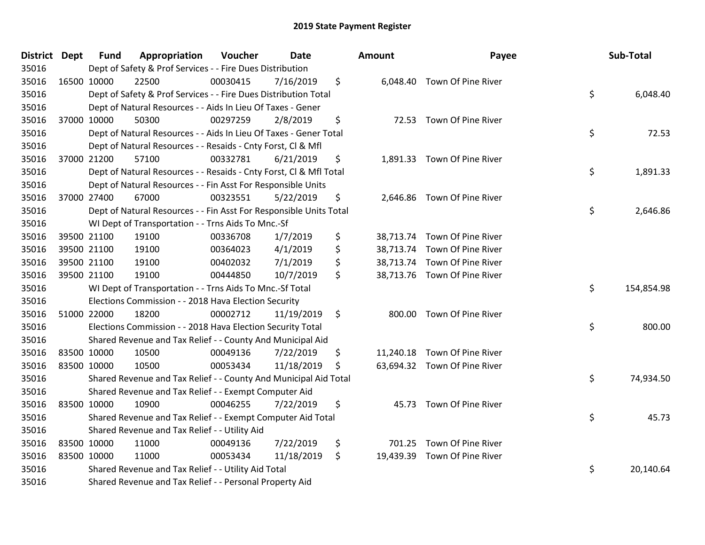| <b>District Dept</b> | <b>Fund</b> | Appropriation                                                      | Voucher  | <b>Date</b> | Amount | Payee                        | Sub-Total        |
|----------------------|-------------|--------------------------------------------------------------------|----------|-------------|--------|------------------------------|------------------|
| 35016                |             | Dept of Safety & Prof Services - - Fire Dues Distribution          |          |             |        |                              |                  |
| 35016                | 16500 10000 | 22500                                                              | 00030415 | 7/16/2019   | \$     | 6,048.40 Town Of Pine River  |                  |
| 35016                |             | Dept of Safety & Prof Services - - Fire Dues Distribution Total    |          |             |        |                              | \$<br>6,048.40   |
| 35016                |             | Dept of Natural Resources - - Aids In Lieu Of Taxes - Gener        |          |             |        |                              |                  |
| 35016                | 37000 10000 | 50300                                                              | 00297259 | 2/8/2019    | \$     | 72.53 Town Of Pine River     |                  |
| 35016                |             | Dept of Natural Resources - - Aids In Lieu Of Taxes - Gener Total  |          |             |        |                              | \$<br>72.53      |
| 35016                |             | Dept of Natural Resources - - Resaids - Cnty Forst, CI & Mfl       |          |             |        |                              |                  |
| 35016                | 37000 21200 | 57100                                                              | 00332781 | 6/21/2019   | \$     | 1,891.33 Town Of Pine River  |                  |
| 35016                |             | Dept of Natural Resources - - Resaids - Cnty Forst, Cl & Mfl Total |          |             |        |                              | \$<br>1,891.33   |
| 35016                |             | Dept of Natural Resources - - Fin Asst For Responsible Units       |          |             |        |                              |                  |
| 35016                | 37000 27400 | 67000                                                              | 00323551 | 5/22/2019   | \$     | 2,646.86 Town Of Pine River  |                  |
| 35016                |             | Dept of Natural Resources - - Fin Asst For Responsible Units Total |          |             |        |                              | \$<br>2,646.86   |
| 35016                |             | WI Dept of Transportation - - Trns Aids To Mnc.-Sf                 |          |             |        |                              |                  |
| 35016                | 39500 21100 | 19100                                                              | 00336708 | 1/7/2019    | \$     | 38,713.74 Town Of Pine River |                  |
| 35016                | 39500 21100 | 19100                                                              | 00364023 | 4/1/2019    | \$     | 38,713.74 Town Of Pine River |                  |
| 35016                | 39500 21100 | 19100                                                              | 00402032 | 7/1/2019    | \$     | 38,713.74 Town Of Pine River |                  |
| 35016                | 39500 21100 | 19100                                                              | 00444850 | 10/7/2019   | \$     | 38,713.76 Town Of Pine River |                  |
| 35016                |             | WI Dept of Transportation - - Trns Aids To Mnc.-Sf Total           |          |             |        |                              | \$<br>154,854.98 |
| 35016                |             | Elections Commission - - 2018 Hava Election Security               |          |             |        |                              |                  |
| 35016                | 51000 22000 | 18200                                                              | 00002712 | 11/19/2019  | \$     | 800.00 Town Of Pine River    |                  |
| 35016                |             | Elections Commission - - 2018 Hava Election Security Total         |          |             |        |                              | \$<br>800.00     |
| 35016                |             | Shared Revenue and Tax Relief - - County And Municipal Aid         |          |             |        |                              |                  |
| 35016                | 83500 10000 | 10500                                                              | 00049136 | 7/22/2019   | \$     | 11,240.18 Town Of Pine River |                  |
| 35016                | 83500 10000 | 10500                                                              | 00053434 | 11/18/2019  | \$     | 63,694.32 Town Of Pine River |                  |
| 35016                |             | Shared Revenue and Tax Relief - - County And Municipal Aid Total   |          |             |        |                              | \$<br>74,934.50  |
| 35016                |             | Shared Revenue and Tax Relief - - Exempt Computer Aid              |          |             |        |                              |                  |
| 35016                | 83500 10000 | 10900                                                              | 00046255 | 7/22/2019   | \$     | 45.73 Town Of Pine River     |                  |
| 35016                |             | Shared Revenue and Tax Relief - - Exempt Computer Aid Total        |          |             |        |                              | \$<br>45.73      |
| 35016                |             | Shared Revenue and Tax Relief - - Utility Aid                      |          |             |        |                              |                  |
| 35016                | 83500 10000 | 11000                                                              | 00049136 | 7/22/2019   | \$     | 701.25 Town Of Pine River    |                  |
| 35016                | 83500 10000 | 11000                                                              | 00053434 | 11/18/2019  | \$     | 19,439.39 Town Of Pine River |                  |
| 35016                |             | Shared Revenue and Tax Relief - - Utility Aid Total                |          |             |        |                              | \$<br>20,140.64  |
| 35016                |             | Shared Revenue and Tax Relief - - Personal Property Aid            |          |             |        |                              |                  |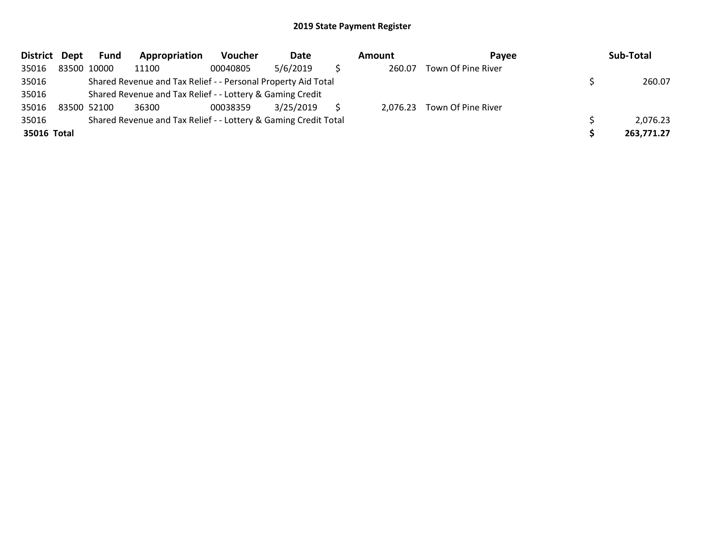| District Dept | Fund        | Appropriation                                                   | Voucher  | Date      | Amount   | <b>Pavee</b>       | Sub-Total  |
|---------------|-------------|-----------------------------------------------------------------|----------|-----------|----------|--------------------|------------|
| 35016         | 83500 10000 | 11100                                                           | 00040805 | 5/6/2019  | 260.07   | Town Of Pine River |            |
| 35016         |             | Shared Revenue and Tax Relief - - Personal Property Aid Total   |          |           |          |                    | 260.07     |
| 35016         |             | Shared Revenue and Tax Relief - - Lottery & Gaming Credit       |          |           |          |                    |            |
| 35016         | 83500 52100 | 36300                                                           | 00038359 | 3/25/2019 | 2,076.23 | Town Of Pine River |            |
| 35016         |             | Shared Revenue and Tax Relief - - Lottery & Gaming Credit Total |          |           |          |                    | 2,076.23   |
| 35016 Total   |             |                                                                 |          |           |          |                    | 263,771.27 |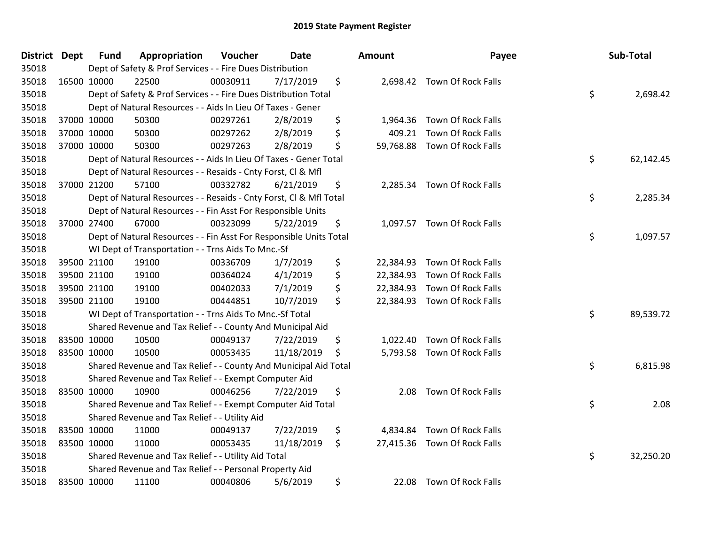| District Dept |             | <b>Fund</b> | Appropriation                                                      | Voucher  | <b>Date</b> | Amount          | Payee                        | Sub-Total       |
|---------------|-------------|-------------|--------------------------------------------------------------------|----------|-------------|-----------------|------------------------------|-----------------|
| 35018         |             |             | Dept of Safety & Prof Services - - Fire Dues Distribution          |          |             |                 |                              |                 |
| 35018         | 16500 10000 |             | 22500                                                              | 00030911 | 7/17/2019   | \$              | 2,698.42 Town Of Rock Falls  |                 |
| 35018         |             |             | Dept of Safety & Prof Services - - Fire Dues Distribution Total    |          |             |                 |                              | \$<br>2,698.42  |
| 35018         |             |             | Dept of Natural Resources - - Aids In Lieu Of Taxes - Gener        |          |             |                 |                              |                 |
| 35018         |             | 37000 10000 | 50300                                                              | 00297261 | 2/8/2019    | \$<br>1,964.36  | Town Of Rock Falls           |                 |
| 35018         |             | 37000 10000 | 50300                                                              | 00297262 | 2/8/2019    | \$<br>409.21    | Town Of Rock Falls           |                 |
| 35018         |             | 37000 10000 | 50300                                                              | 00297263 | 2/8/2019    | \$<br>59,768.88 | Town Of Rock Falls           |                 |
| 35018         |             |             | Dept of Natural Resources - - Aids In Lieu Of Taxes - Gener Total  |          |             |                 |                              | \$<br>62,142.45 |
| 35018         |             |             | Dept of Natural Resources - - Resaids - Cnty Forst, Cl & Mfl       |          |             |                 |                              |                 |
| 35018         | 37000 21200 |             | 57100                                                              | 00332782 | 6/21/2019   | \$              | 2,285.34 Town Of Rock Falls  |                 |
| 35018         |             |             | Dept of Natural Resources - - Resaids - Cnty Forst, Cl & Mfl Total |          |             |                 |                              | \$<br>2,285.34  |
| 35018         |             |             | Dept of Natural Resources - - Fin Asst For Responsible Units       |          |             |                 |                              |                 |
| 35018         |             | 37000 27400 | 67000                                                              | 00323099 | 5/22/2019   | \$              | 1,097.57 Town Of Rock Falls  |                 |
| 35018         |             |             | Dept of Natural Resources - - Fin Asst For Responsible Units Total |          |             |                 |                              | \$<br>1,097.57  |
| 35018         |             |             | WI Dept of Transportation - - Trns Aids To Mnc.-Sf                 |          |             |                 |                              |                 |
| 35018         |             | 39500 21100 | 19100                                                              | 00336709 | 1/7/2019    | \$<br>22,384.93 | Town Of Rock Falls           |                 |
| 35018         |             | 39500 21100 | 19100                                                              | 00364024 | 4/1/2019    | \$<br>22,384.93 | Town Of Rock Falls           |                 |
| 35018         | 39500 21100 |             | 19100                                                              | 00402033 | 7/1/2019    | \$<br>22,384.93 | Town Of Rock Falls           |                 |
| 35018         | 39500 21100 |             | 19100                                                              | 00444851 | 10/7/2019   | \$              | 22,384.93 Town Of Rock Falls |                 |
| 35018         |             |             | WI Dept of Transportation - - Trns Aids To Mnc.-Sf Total           |          |             |                 |                              | \$<br>89,539.72 |
| 35018         |             |             | Shared Revenue and Tax Relief - - County And Municipal Aid         |          |             |                 |                              |                 |
| 35018         |             | 83500 10000 | 10500                                                              | 00049137 | 7/22/2019   | \$              | 1,022.40 Town Of Rock Falls  |                 |
| 35018         | 83500 10000 |             | 10500                                                              | 00053435 | 11/18/2019  | \$              | 5,793.58 Town Of Rock Falls  |                 |
| 35018         |             |             | Shared Revenue and Tax Relief - - County And Municipal Aid Total   |          |             |                 |                              | \$<br>6,815.98  |
| 35018         |             |             | Shared Revenue and Tax Relief - - Exempt Computer Aid              |          |             |                 |                              |                 |
| 35018         | 83500 10000 |             | 10900                                                              | 00046256 | 7/22/2019   | \$<br>2.08      | Town Of Rock Falls           |                 |
| 35018         |             |             | Shared Revenue and Tax Relief - - Exempt Computer Aid Total        |          |             |                 |                              | \$<br>2.08      |
| 35018         |             |             | Shared Revenue and Tax Relief - - Utility Aid                      |          |             |                 |                              |                 |
| 35018         |             | 83500 10000 | 11000                                                              | 00049137 | 7/22/2019   | \$<br>4,834.84  | Town Of Rock Falls           |                 |
| 35018         | 83500 10000 |             | 11000                                                              | 00053435 | 11/18/2019  | \$              | 27,415.36 Town Of Rock Falls |                 |
| 35018         |             |             | Shared Revenue and Tax Relief - - Utility Aid Total                |          |             |                 |                              | \$<br>32,250.20 |
| 35018         |             |             | Shared Revenue and Tax Relief - - Personal Property Aid            |          |             |                 |                              |                 |
| 35018         | 83500 10000 |             | 11100                                                              | 00040806 | 5/6/2019    | \$              | 22.08 Town Of Rock Falls     |                 |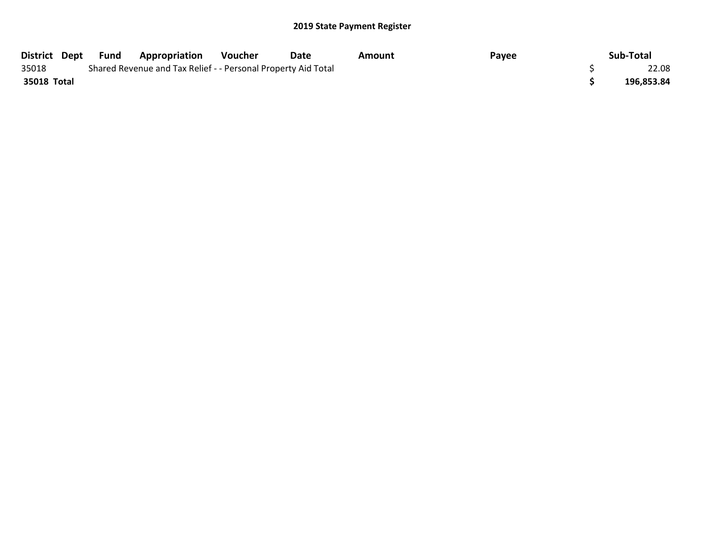| District Dept | Fund | <b>Appropriation</b>                                          | Voucher | Date | Amount | Payee | Sub-Total  |
|---------------|------|---------------------------------------------------------------|---------|------|--------|-------|------------|
| 35018         |      | Shared Revenue and Tax Relief - - Personal Property Aid Total |         |      |        |       | 22.08      |
| 35018 Total   |      |                                                               |         |      |        |       | 196,853.84 |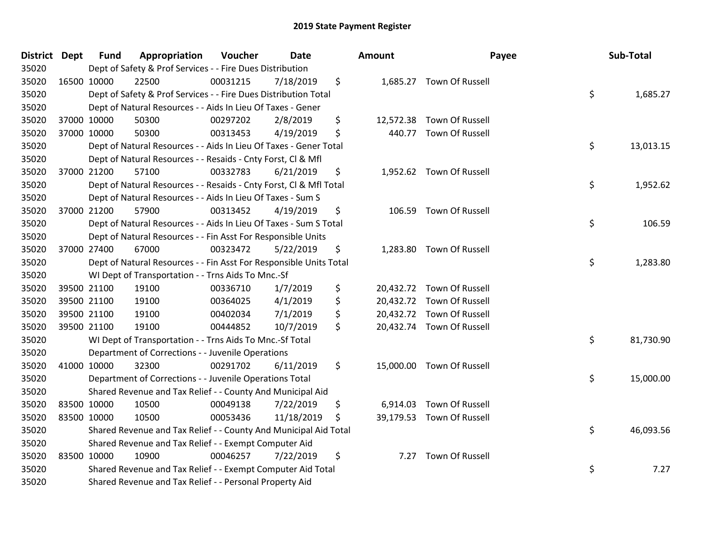| District Dept |             | <b>Fund</b> | Appropriation                                                      | Voucher  | Date       |     | <b>Amount</b> | Payee                     | Sub-Total       |
|---------------|-------------|-------------|--------------------------------------------------------------------|----------|------------|-----|---------------|---------------------------|-----------------|
| 35020         |             |             | Dept of Safety & Prof Services - - Fire Dues Distribution          |          |            |     |               |                           |                 |
| 35020         | 16500 10000 |             | 22500                                                              | 00031215 | 7/18/2019  | \$  |               | 1,685.27 Town Of Russell  |                 |
| 35020         |             |             | Dept of Safety & Prof Services - - Fire Dues Distribution Total    |          |            |     |               |                           | \$<br>1,685.27  |
| 35020         |             |             | Dept of Natural Resources - - Aids In Lieu Of Taxes - Gener        |          |            |     |               |                           |                 |
| 35020         | 37000 10000 |             | 50300                                                              | 00297202 | 2/8/2019   | \$  |               | 12,572.38 Town Of Russell |                 |
| 35020         |             | 37000 10000 | 50300                                                              | 00313453 | 4/19/2019  | \$  |               | 440.77 Town Of Russell    |                 |
| 35020         |             |             | Dept of Natural Resources - - Aids In Lieu Of Taxes - Gener Total  |          |            |     |               |                           | \$<br>13,013.15 |
| 35020         |             |             | Dept of Natural Resources - - Resaids - Cnty Forst, CI & Mfl       |          |            |     |               |                           |                 |
| 35020         |             | 37000 21200 | 57100                                                              | 00332783 | 6/21/2019  | \$  |               | 1,952.62 Town Of Russell  |                 |
| 35020         |             |             | Dept of Natural Resources - - Resaids - Cnty Forst, Cl & Mfl Total |          |            |     |               |                           | \$<br>1,952.62  |
| 35020         |             |             | Dept of Natural Resources - - Aids In Lieu Of Taxes - Sum S        |          |            |     |               |                           |                 |
| 35020         |             | 37000 21200 | 57900                                                              | 00313452 | 4/19/2019  | \$  |               | 106.59 Town Of Russell    |                 |
| 35020         |             |             | Dept of Natural Resources - - Aids In Lieu Of Taxes - Sum S Total  |          |            |     |               |                           | \$<br>106.59    |
| 35020         |             |             | Dept of Natural Resources - - Fin Asst For Responsible Units       |          |            |     |               |                           |                 |
| 35020         | 37000 27400 |             | 67000                                                              | 00323472 | 5/22/2019  | \$  |               | 1,283.80 Town Of Russell  |                 |
| 35020         |             |             | Dept of Natural Resources - - Fin Asst For Responsible Units Total |          |            |     |               |                           | \$<br>1,283.80  |
| 35020         |             |             | WI Dept of Transportation - - Trns Aids To Mnc.-Sf                 |          |            |     |               |                           |                 |
| 35020         |             | 39500 21100 | 19100                                                              | 00336710 | 1/7/2019   | \$  |               | 20,432.72 Town Of Russell |                 |
| 35020         | 39500 21100 |             | 19100                                                              | 00364025 | 4/1/2019   | \$  |               | 20,432.72 Town Of Russell |                 |
| 35020         |             | 39500 21100 | 19100                                                              | 00402034 | 7/1/2019   | \$  |               | 20,432.72 Town Of Russell |                 |
| 35020         |             | 39500 21100 | 19100                                                              | 00444852 | 10/7/2019  | \$  |               | 20,432.74 Town Of Russell |                 |
| 35020         |             |             | WI Dept of Transportation - - Trns Aids To Mnc.-Sf Total           |          |            |     |               |                           | \$<br>81,730.90 |
| 35020         |             |             | Department of Corrections - - Juvenile Operations                  |          |            |     |               |                           |                 |
| 35020         | 41000 10000 |             | 32300                                                              | 00291702 | 6/11/2019  | \$  |               | 15,000.00 Town Of Russell |                 |
| 35020         |             |             | Department of Corrections - - Juvenile Operations Total            |          |            |     |               |                           | \$<br>15,000.00 |
| 35020         |             |             | Shared Revenue and Tax Relief - - County And Municipal Aid         |          |            |     |               |                           |                 |
| 35020         | 83500 10000 |             | 10500                                                              | 00049138 | 7/22/2019  | \$  | 6,914.03      | Town Of Russell           |                 |
| 35020         | 83500 10000 |             | 10500                                                              | 00053436 | 11/18/2019 | -\$ |               | 39,179.53 Town Of Russell |                 |
| 35020         |             |             | Shared Revenue and Tax Relief - - County And Municipal Aid Total   |          |            |     |               |                           | \$<br>46,093.56 |
| 35020         |             |             | Shared Revenue and Tax Relief - - Exempt Computer Aid              |          |            |     |               |                           |                 |
| 35020         | 83500 10000 |             | 10900                                                              | 00046257 | 7/22/2019  | \$  | 7.27          | Town Of Russell           |                 |
| 35020         |             |             | Shared Revenue and Tax Relief - - Exempt Computer Aid Total        |          |            |     |               |                           | \$<br>7.27      |
| 35020         |             |             | Shared Revenue and Tax Relief - - Personal Property Aid            |          |            |     |               |                           |                 |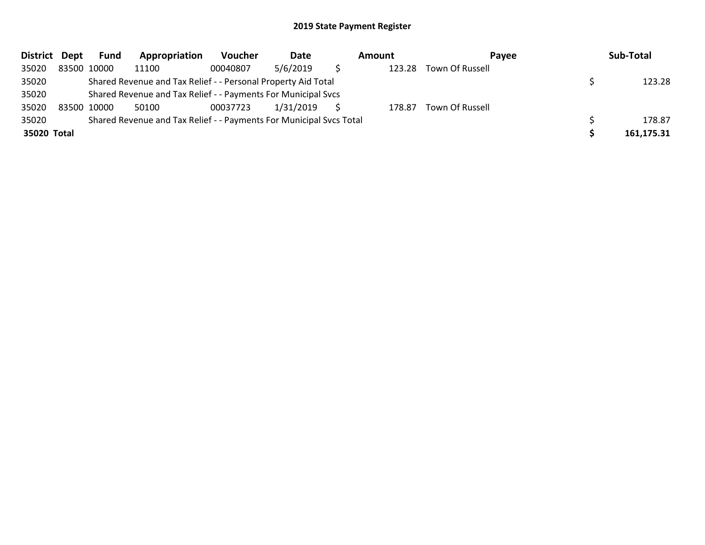| <b>District</b> | Dept | Fund        | Appropriation                                                       | <b>Voucher</b> | Date      | Amount | Payee           | Sub-Total  |
|-----------------|------|-------------|---------------------------------------------------------------------|----------------|-----------|--------|-----------------|------------|
| 35020           |      | 83500 10000 | 11100                                                               | 00040807       | 5/6/2019  | 123.28 | Town Of Russell |            |
| 35020           |      |             | Shared Revenue and Tax Relief - - Personal Property Aid Total       |                |           |        |                 | 123.28     |
| 35020           |      |             | Shared Revenue and Tax Relief - - Payments For Municipal Svcs       |                |           |        |                 |            |
| 35020           |      | 83500 10000 | 50100                                                               | 00037723       | 1/31/2019 | 178.87 | Town Of Russell |            |
| 35020           |      |             | Shared Revenue and Tax Relief - - Payments For Municipal Svcs Total |                |           |        |                 | 178.87     |
| 35020 Total     |      |             |                                                                     |                |           |        |                 | 161,175.31 |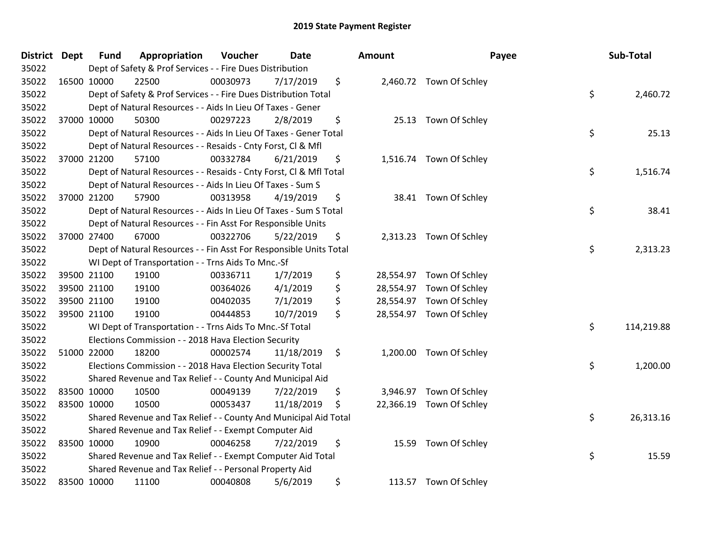| District Dept |             | <b>Fund</b> | Appropriation                                                      | Voucher  | <b>Date</b> |               | Amount |                          | Payee | Sub-Total  |
|---------------|-------------|-------------|--------------------------------------------------------------------|----------|-------------|---------------|--------|--------------------------|-------|------------|
| 35022         |             |             | Dept of Safety & Prof Services - - Fire Dues Distribution          |          |             |               |        |                          |       |            |
| 35022         | 16500 10000 |             | 22500                                                              | 00030973 | 7/17/2019   | \$            |        | 2,460.72 Town Of Schley  |       |            |
| 35022         |             |             | Dept of Safety & Prof Services - - Fire Dues Distribution Total    |          |             |               |        |                          | \$    | 2,460.72   |
| 35022         |             |             | Dept of Natural Resources - - Aids In Lieu Of Taxes - Gener        |          |             |               |        |                          |       |            |
| 35022         | 37000 10000 |             | 50300                                                              | 00297223 | 2/8/2019    | \$            |        | 25.13 Town Of Schley     |       |            |
| 35022         |             |             | Dept of Natural Resources - - Aids In Lieu Of Taxes - Gener Total  |          |             |               |        |                          | \$    | 25.13      |
| 35022         |             |             | Dept of Natural Resources - - Resaids - Cnty Forst, Cl & Mfl       |          |             |               |        |                          |       |            |
| 35022         | 37000 21200 |             | 57100                                                              | 00332784 | 6/21/2019   | \$            |        | 1,516.74 Town Of Schley  |       |            |
| 35022         |             |             | Dept of Natural Resources - - Resaids - Cnty Forst, CI & Mfl Total |          |             |               |        |                          | \$    | 1,516.74   |
| 35022         |             |             | Dept of Natural Resources - - Aids In Lieu Of Taxes - Sum S        |          |             |               |        |                          |       |            |
| 35022         | 37000 21200 |             | 57900                                                              | 00313958 | 4/19/2019   | \$            |        | 38.41 Town Of Schley     |       |            |
| 35022         |             |             | Dept of Natural Resources - - Aids In Lieu Of Taxes - Sum S Total  |          |             |               |        |                          | \$    | 38.41      |
| 35022         |             |             | Dept of Natural Resources - - Fin Asst For Responsible Units       |          |             |               |        |                          |       |            |
| 35022         | 37000 27400 |             | 67000                                                              | 00322706 | 5/22/2019   | \$            |        | 2,313.23 Town Of Schley  |       |            |
| 35022         |             |             | Dept of Natural Resources - - Fin Asst For Responsible Units Total |          |             |               |        |                          | \$    | 2,313.23   |
| 35022         |             |             | WI Dept of Transportation - - Trns Aids To Mnc.-Sf                 |          |             |               |        |                          |       |            |
| 35022         | 39500 21100 |             | 19100                                                              | 00336711 | 1/7/2019    | \$            |        | 28,554.97 Town Of Schley |       |            |
| 35022         | 39500 21100 |             | 19100                                                              | 00364026 | 4/1/2019    | \$            |        | 28,554.97 Town Of Schley |       |            |
| 35022         | 39500 21100 |             | 19100                                                              | 00402035 | 7/1/2019    | \$            |        | 28,554.97 Town Of Schley |       |            |
| 35022         | 39500 21100 |             | 19100                                                              | 00444853 | 10/7/2019   | \$            |        | 28,554.97 Town Of Schley |       |            |
| 35022         |             |             | WI Dept of Transportation - - Trns Aids To Mnc.-Sf Total           |          |             |               |        |                          | \$    | 114,219.88 |
| 35022         |             |             | Elections Commission - - 2018 Hava Election Security               |          |             |               |        |                          |       |            |
| 35022         | 51000 22000 |             | 18200                                                              | 00002574 | 11/18/2019  | $\ddot{\phi}$ |        | 1,200.00 Town Of Schley  |       |            |
| 35022         |             |             | Elections Commission - - 2018 Hava Election Security Total         |          |             |               |        |                          | \$    | 1,200.00   |
| 35022         |             |             | Shared Revenue and Tax Relief - - County And Municipal Aid         |          |             |               |        |                          |       |            |
| 35022         | 83500 10000 |             | 10500                                                              | 00049139 | 7/22/2019   | \$            |        | 3,946.97 Town Of Schley  |       |            |
| 35022         | 83500 10000 |             | 10500                                                              | 00053437 | 11/18/2019  | \$            |        | 22,366.19 Town Of Schley |       |            |
| 35022         |             |             | Shared Revenue and Tax Relief - - County And Municipal Aid Total   |          |             |               |        |                          | \$    | 26,313.16  |
| 35022         |             |             | Shared Revenue and Tax Relief - - Exempt Computer Aid              |          |             |               |        |                          |       |            |
| 35022         | 83500 10000 |             | 10900                                                              | 00046258 | 7/22/2019   | \$            |        | 15.59 Town Of Schley     |       |            |
| 35022         |             |             | Shared Revenue and Tax Relief - - Exempt Computer Aid Total        |          |             |               |        |                          | \$    | 15.59      |
| 35022         |             |             | Shared Revenue and Tax Relief - - Personal Property Aid            |          |             |               |        |                          |       |            |
| 35022         | 83500 10000 |             | 11100                                                              | 00040808 | 5/6/2019    | \$            |        | 113.57 Town Of Schley    |       |            |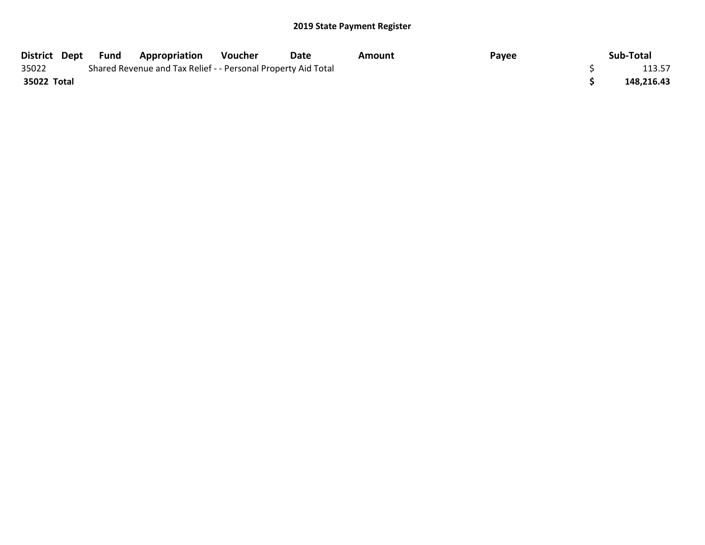| District Dept | Fund | <b>Appropriation</b>                                          | Voucher | Date | Amount | Payee | Sub-Total  |
|---------------|------|---------------------------------------------------------------|---------|------|--------|-------|------------|
| 35022         |      | Shared Revenue and Tax Relief - - Personal Property Aid Total |         |      |        |       | 113.57     |
| 35022 Total   |      |                                                               |         |      |        |       | 148,216.43 |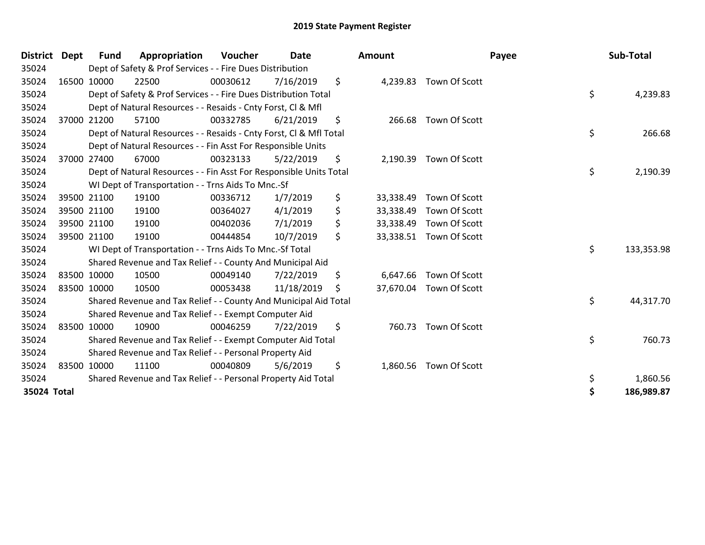| District Dept | <b>Fund</b> | Appropriation                                                      | Voucher  | <b>Date</b> |    | Amount    |                         | Payee | Sub-Total  |
|---------------|-------------|--------------------------------------------------------------------|----------|-------------|----|-----------|-------------------------|-------|------------|
| 35024         |             | Dept of Safety & Prof Services - - Fire Dues Distribution          |          |             |    |           |                         |       |            |
| 35024         | 16500 10000 | 22500                                                              | 00030612 | 7/16/2019   | \$ |           | 4,239.83 Town Of Scott  |       |            |
| 35024         |             | Dept of Safety & Prof Services - - Fire Dues Distribution Total    |          |             |    |           |                         | \$    | 4,239.83   |
| 35024         |             | Dept of Natural Resources - - Resaids - Cnty Forst, CI & Mfl       |          |             |    |           |                         |       |            |
| 35024         | 37000 21200 | 57100                                                              | 00332785 | 6/21/2019   | \$ |           | 266.68 Town Of Scott    |       |            |
| 35024         |             | Dept of Natural Resources - - Resaids - Cnty Forst, CI & Mfl Total |          |             |    |           |                         | \$    | 266.68     |
| 35024         |             | Dept of Natural Resources - - Fin Asst For Responsible Units       |          |             |    |           |                         |       |            |
| 35024         | 37000 27400 | 67000                                                              | 00323133 | 5/22/2019   | \$ |           | 2,190.39 Town Of Scott  |       |            |
| 35024         |             | Dept of Natural Resources - - Fin Asst For Responsible Units Total |          |             |    |           |                         | \$    | 2,190.39   |
| 35024         |             | WI Dept of Transportation - - Trns Aids To Mnc.-Sf                 |          |             |    |           |                         |       |            |
| 35024         | 39500 21100 | 19100                                                              | 00336712 | 1/7/2019    | \$ | 33,338.49 | Town Of Scott           |       |            |
| 35024         | 39500 21100 | 19100                                                              | 00364027 | 4/1/2019    | \$ | 33,338.49 | Town Of Scott           |       |            |
| 35024         | 39500 21100 | 19100                                                              | 00402036 | 7/1/2019    | \$ | 33,338.49 | Town Of Scott           |       |            |
| 35024         | 39500 21100 | 19100                                                              | 00444854 | 10/7/2019   | \$ | 33,338.51 | Town Of Scott           |       |            |
| 35024         |             | WI Dept of Transportation - - Trns Aids To Mnc.-Sf Total           |          |             |    |           |                         | \$    | 133,353.98 |
| 35024         |             | Shared Revenue and Tax Relief - - County And Municipal Aid         |          |             |    |           |                         |       |            |
| 35024         | 83500 10000 | 10500                                                              | 00049140 | 7/22/2019   | \$ | 6,647.66  | Town Of Scott           |       |            |
| 35024         | 83500 10000 | 10500                                                              | 00053438 | 11/18/2019  | Ŝ. |           | 37,670.04 Town Of Scott |       |            |
| 35024         |             | Shared Revenue and Tax Relief - - County And Municipal Aid Total   |          |             |    |           |                         | \$    | 44,317.70  |
| 35024         |             | Shared Revenue and Tax Relief - - Exempt Computer Aid              |          |             |    |           |                         |       |            |
| 35024         | 83500 10000 | 10900                                                              | 00046259 | 7/22/2019   | \$ | 760.73    | Town Of Scott           |       |            |
| 35024         |             | Shared Revenue and Tax Relief - - Exempt Computer Aid Total        |          |             |    |           |                         | \$    | 760.73     |
| 35024         |             | Shared Revenue and Tax Relief - - Personal Property Aid            |          |             |    |           |                         |       |            |
| 35024         | 83500 10000 | 11100                                                              | 00040809 | 5/6/2019    | \$ | 1,860.56  | Town Of Scott           |       |            |
| 35024         |             | Shared Revenue and Tax Relief - - Personal Property Aid Total      |          |             |    |           |                         | \$    | 1,860.56   |
| 35024 Total   |             |                                                                    |          |             |    |           |                         | \$    | 186,989.87 |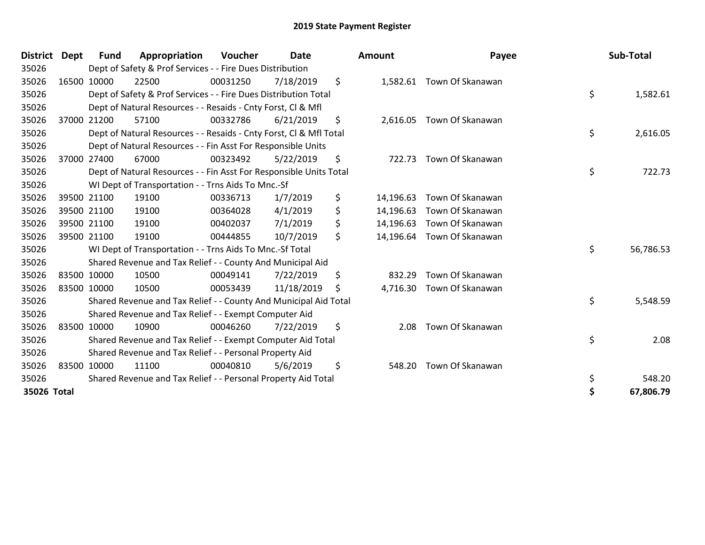| <b>District</b> | <b>Dept</b> | <b>Fund</b> | Appropriation                                                      | Voucher  | <b>Date</b> | Amount          | Payee                     | Sub-Total       |
|-----------------|-------------|-------------|--------------------------------------------------------------------|----------|-------------|-----------------|---------------------------|-----------------|
| 35026           |             |             | Dept of Safety & Prof Services - - Fire Dues Distribution          |          |             |                 |                           |                 |
| 35026           |             | 16500 10000 | 22500                                                              | 00031250 | 7/18/2019   | \$              | 1,582.61 Town Of Skanawan |                 |
| 35026           |             |             | Dept of Safety & Prof Services - - Fire Dues Distribution Total    |          |             |                 |                           | \$<br>1,582.61  |
| 35026           |             |             | Dept of Natural Resources - - Resaids - Cnty Forst, CI & Mfl       |          |             |                 |                           |                 |
| 35026           |             | 37000 21200 | 57100                                                              | 00332786 | 6/21/2019   | \$              | 2,616.05 Town Of Skanawan |                 |
| 35026           |             |             | Dept of Natural Resources - - Resaids - Cnty Forst, Cl & Mfl Total |          |             |                 |                           | \$<br>2,616.05  |
| 35026           |             |             | Dept of Natural Resources - - Fin Asst For Responsible Units       |          |             |                 |                           |                 |
| 35026           |             | 37000 27400 | 67000                                                              | 00323492 | 5/22/2019   | \$<br>722.73    | Town Of Skanawan          |                 |
| 35026           |             |             | Dept of Natural Resources - - Fin Asst For Responsible Units Total |          |             |                 |                           | \$<br>722.73    |
| 35026           |             |             | WI Dept of Transportation - - Trns Aids To Mnc.-Sf                 |          |             |                 |                           |                 |
| 35026           |             | 39500 21100 | 19100                                                              | 00336713 | 1/7/2019    | \$<br>14,196.63 | Town Of Skanawan          |                 |
| 35026           |             | 39500 21100 | 19100                                                              | 00364028 | 4/1/2019    | \$<br>14,196.63 | Town Of Skanawan          |                 |
| 35026           |             | 39500 21100 | 19100                                                              | 00402037 | 7/1/2019    | \$<br>14,196.63 | Town Of Skanawan          |                 |
| 35026           |             | 39500 21100 | 19100                                                              | 00444855 | 10/7/2019   | \$<br>14,196.64 | Town Of Skanawan          |                 |
| 35026           |             |             | WI Dept of Transportation - - Trns Aids To Mnc.-Sf Total           |          |             |                 |                           | \$<br>56,786.53 |
| 35026           |             |             | Shared Revenue and Tax Relief - - County And Municipal Aid         |          |             |                 |                           |                 |
| 35026           | 83500 10000 |             | 10500                                                              | 00049141 | 7/22/2019   | \$<br>832.29    | Town Of Skanawan          |                 |
| 35026           | 83500 10000 |             | 10500                                                              | 00053439 | 11/18/2019  | \$<br>4,716.30  | Town Of Skanawan          |                 |
| 35026           |             |             | Shared Revenue and Tax Relief - - County And Municipal Aid Total   |          |             |                 |                           | \$<br>5,548.59  |
| 35026           |             |             | Shared Revenue and Tax Relief - - Exempt Computer Aid              |          |             |                 |                           |                 |
| 35026           | 83500 10000 |             | 10900                                                              | 00046260 | 7/22/2019   | \$<br>2.08      | Town Of Skanawan          |                 |
| 35026           |             |             | Shared Revenue and Tax Relief - - Exempt Computer Aid Total        |          |             |                 |                           | \$<br>2.08      |
| 35026           |             |             | Shared Revenue and Tax Relief - - Personal Property Aid            |          |             |                 |                           |                 |
| 35026           | 83500 10000 |             | 11100                                                              | 00040810 | 5/6/2019    | \$<br>548.20    | Town Of Skanawan          |                 |
| 35026           |             |             | Shared Revenue and Tax Relief - - Personal Property Aid Total      |          |             |                 |                           | \$<br>548.20    |
| 35026 Total     |             |             |                                                                    |          |             |                 |                           | \$<br>67,806.79 |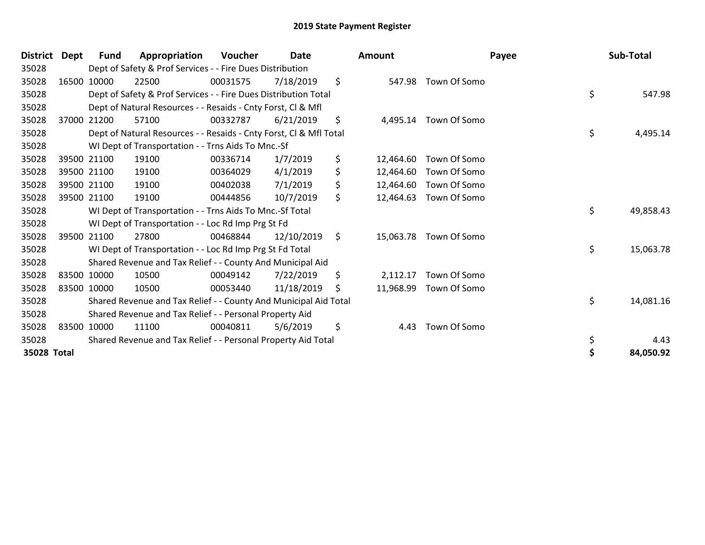| <b>District</b> | <b>Dept</b> | <b>Fund</b> | Appropriation                                                      | <b>Voucher</b> | Date       | <b>Amount</b>   | Payee                 | Sub-Total       |
|-----------------|-------------|-------------|--------------------------------------------------------------------|----------------|------------|-----------------|-----------------------|-----------------|
| 35028           |             |             | Dept of Safety & Prof Services - - Fire Dues Distribution          |                |            |                 |                       |                 |
| 35028           |             | 16500 10000 | 22500                                                              | 00031575       | 7/18/2019  | \$              | 547.98 Town Of Somo   |                 |
| 35028           |             |             | Dept of Safety & Prof Services - - Fire Dues Distribution Total    |                |            |                 |                       | \$<br>547.98    |
| 35028           |             |             | Dept of Natural Resources - - Resaids - Cnty Forst, CI & Mfl       |                |            |                 |                       |                 |
| 35028           |             | 37000 21200 | 57100                                                              | 00332787       | 6/21/2019  | \$              | 4,495.14 Town Of Somo |                 |
| 35028           |             |             | Dept of Natural Resources - - Resaids - Cnty Forst, Cl & Mfl Total |                |            |                 |                       | \$<br>4,495.14  |
| 35028           |             |             | WI Dept of Transportation - - Trns Aids To Mnc.-Sf                 |                |            |                 |                       |                 |
| 35028           |             | 39500 21100 | 19100                                                              | 00336714       | 1/7/2019   | \$<br>12,464.60 | Town Of Somo          |                 |
| 35028           |             | 39500 21100 | 19100                                                              | 00364029       | 4/1/2019   | \$<br>12,464.60 | Town Of Somo          |                 |
| 35028           |             | 39500 21100 | 19100                                                              | 00402038       | 7/1/2019   | \$<br>12,464.60 | Town Of Somo          |                 |
| 35028           |             | 39500 21100 | 19100                                                              | 00444856       | 10/7/2019  | \$<br>12,464.63 | Town Of Somo          |                 |
| 35028           |             |             | WI Dept of Transportation - - Trns Aids To Mnc.-Sf Total           |                |            |                 |                       | \$<br>49,858.43 |
| 35028           |             |             | WI Dept of Transportation - - Loc Rd Imp Prg St Fd                 |                |            |                 |                       |                 |
| 35028           |             | 39500 21100 | 27800                                                              | 00468844       | 12/10/2019 | \$<br>15,063.78 | Town Of Somo          |                 |
| 35028           |             |             | WI Dept of Transportation - - Loc Rd Imp Prg St Fd Total           |                |            |                 |                       | \$<br>15,063.78 |
| 35028           |             |             | Shared Revenue and Tax Relief - - County And Municipal Aid         |                |            |                 |                       |                 |
| 35028           |             | 83500 10000 | 10500                                                              | 00049142       | 7/22/2019  | \$<br>2,112.17  | Town Of Somo          |                 |
| 35028           |             | 83500 10000 | 10500                                                              | 00053440       | 11/18/2019 | \$<br>11,968.99 | Town Of Somo          |                 |
| 35028           |             |             | Shared Revenue and Tax Relief - - County And Municipal Aid Total   |                |            |                 |                       | \$<br>14,081.16 |
| 35028           |             |             | Shared Revenue and Tax Relief - - Personal Property Aid            |                |            |                 |                       |                 |
| 35028           |             | 83500 10000 | 11100                                                              | 00040811       | 5/6/2019   | \$<br>4.43      | Town Of Somo          |                 |
| 35028           |             |             | Shared Revenue and Tax Relief - - Personal Property Aid Total      |                |            |                 |                       | \$<br>4.43      |
| 35028 Total     |             |             |                                                                    |                |            |                 |                       | 84,050.92       |
|                 |             |             |                                                                    |                |            |                 |                       |                 |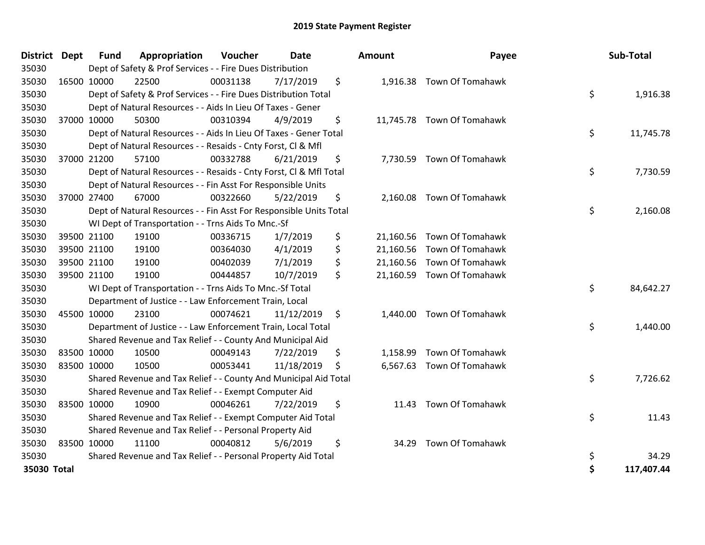| District Dept | <b>Fund</b> | Appropriation                                                      | Voucher  | <b>Date</b> | <b>Amount</b>   | Payee                      | Sub-Total        |
|---------------|-------------|--------------------------------------------------------------------|----------|-------------|-----------------|----------------------------|------------------|
| 35030         |             | Dept of Safety & Prof Services - - Fire Dues Distribution          |          |             |                 |                            |                  |
| 35030         | 16500 10000 | 22500                                                              | 00031138 | 7/17/2019   | \$              | 1,916.38 Town Of Tomahawk  |                  |
| 35030         |             | Dept of Safety & Prof Services - - Fire Dues Distribution Total    |          |             |                 |                            | \$<br>1,916.38   |
| 35030         |             | Dept of Natural Resources - - Aids In Lieu Of Taxes - Gener        |          |             |                 |                            |                  |
| 35030         | 37000 10000 | 50300                                                              | 00310394 | 4/9/2019    | \$              | 11,745.78 Town Of Tomahawk |                  |
| 35030         |             | Dept of Natural Resources - - Aids In Lieu Of Taxes - Gener Total  |          |             |                 |                            | \$<br>11,745.78  |
| 35030         |             | Dept of Natural Resources - - Resaids - Cnty Forst, Cl & Mfl       |          |             |                 |                            |                  |
| 35030         | 37000 21200 | 57100                                                              | 00332788 | 6/21/2019   | \$              | 7,730.59 Town Of Tomahawk  |                  |
| 35030         |             | Dept of Natural Resources - - Resaids - Cnty Forst, Cl & Mfl Total |          |             |                 |                            | \$<br>7,730.59   |
| 35030         |             | Dept of Natural Resources - - Fin Asst For Responsible Units       |          |             |                 |                            |                  |
| 35030         | 37000 27400 | 67000                                                              | 00322660 | 5/22/2019   | \$<br>2,160.08  | Town Of Tomahawk           |                  |
| 35030         |             | Dept of Natural Resources - - Fin Asst For Responsible Units Total |          |             |                 |                            | \$<br>2,160.08   |
| 35030         |             | WI Dept of Transportation - - Trns Aids To Mnc.-Sf                 |          |             |                 |                            |                  |
| 35030         | 39500 21100 | 19100                                                              | 00336715 | 1/7/2019    | \$<br>21,160.56 | Town Of Tomahawk           |                  |
| 35030         | 39500 21100 | 19100                                                              | 00364030 | 4/1/2019    | \$<br>21,160.56 | Town Of Tomahawk           |                  |
| 35030         | 39500 21100 | 19100                                                              | 00402039 | 7/1/2019    | \$              | 21,160.56 Town Of Tomahawk |                  |
| 35030         | 39500 21100 | 19100                                                              | 00444857 | 10/7/2019   | \$<br>21,160.59 | Town Of Tomahawk           |                  |
| 35030         |             | WI Dept of Transportation - - Trns Aids To Mnc.-Sf Total           |          |             |                 |                            | \$<br>84,642.27  |
| 35030         |             | Department of Justice - - Law Enforcement Train, Local             |          |             |                 |                            |                  |
| 35030         | 45500 10000 | 23100                                                              | 00074621 | 11/12/2019  | \$<br>1,440.00  | Town Of Tomahawk           |                  |
| 35030         |             | Department of Justice - - Law Enforcement Train, Local Total       |          |             |                 |                            | \$<br>1,440.00   |
| 35030         |             | Shared Revenue and Tax Relief - - County And Municipal Aid         |          |             |                 |                            |                  |
| 35030         | 83500 10000 | 10500                                                              | 00049143 | 7/22/2019   | \$<br>1,158.99  | <b>Town Of Tomahawk</b>    |                  |
| 35030         | 83500 10000 | 10500                                                              | 00053441 | 11/18/2019  | \$<br>6,567.63  | Town Of Tomahawk           |                  |
| 35030         |             | Shared Revenue and Tax Relief - - County And Municipal Aid Total   |          |             |                 |                            | \$<br>7,726.62   |
| 35030         |             | Shared Revenue and Tax Relief - - Exempt Computer Aid              |          |             |                 |                            |                  |
| 35030         | 83500 10000 | 10900                                                              | 00046261 | 7/22/2019   | \$<br>11.43     | Town Of Tomahawk           |                  |
| 35030         |             | Shared Revenue and Tax Relief - - Exempt Computer Aid Total        |          |             |                 |                            | \$<br>11.43      |
| 35030         |             | Shared Revenue and Tax Relief - - Personal Property Aid            |          |             |                 |                            |                  |
| 35030         | 83500 10000 | 11100                                                              | 00040812 | 5/6/2019    | \$<br>34.29     | Town Of Tomahawk           |                  |
| 35030         |             | Shared Revenue and Tax Relief - - Personal Property Aid Total      |          |             |                 |                            | \$<br>34.29      |
| 35030 Total   |             |                                                                    |          |             |                 |                            | \$<br>117,407.44 |

| District Dept | <b>Fund</b> | Appropriation                                                      | Voucher  | Date       |    | <b>Amount</b> | Payee                      | Sub-Total        |
|---------------|-------------|--------------------------------------------------------------------|----------|------------|----|---------------|----------------------------|------------------|
| 35030         |             | Dept of Safety & Prof Services - - Fire Dues Distribution          |          |            |    |               |                            |                  |
| 35030         | 16500 10000 | 22500                                                              | 00031138 | 7/17/2019  | \$ |               | 1,916.38 Town Of Tomahawk  |                  |
| 35030         |             | Dept of Safety & Prof Services - - Fire Dues Distribution Total    |          |            |    |               |                            | \$<br>1,916.38   |
| 35030         |             | Dept of Natural Resources - - Aids In Lieu Of Taxes - Gener        |          |            |    |               |                            |                  |
| 35030         | 37000 10000 | 50300                                                              | 00310394 | 4/9/2019   | \$ |               | 11,745.78 Town Of Tomahawk |                  |
| 35030         |             | Dept of Natural Resources - - Aids In Lieu Of Taxes - Gener Total  |          |            |    |               |                            | \$<br>11,745.78  |
| 35030         |             | Dept of Natural Resources - - Resaids - Cnty Forst, Cl & Mfl       |          |            |    |               |                            |                  |
| 35030         | 37000 21200 | 57100                                                              | 00332788 | 6/21/2019  | \$ |               | 7,730.59 Town Of Tomahawk  |                  |
| 35030         |             | Dept of Natural Resources - - Resaids - Cnty Forst, Cl & Mfl Total |          |            |    |               |                            | \$<br>7,730.59   |
| 35030         |             | Dept of Natural Resources - - Fin Asst For Responsible Units       |          |            |    |               |                            |                  |
| 35030         | 37000 27400 | 67000                                                              | 00322660 | 5/22/2019  | \$ |               | 2,160.08 Town Of Tomahawk  |                  |
| 35030         |             | Dept of Natural Resources - - Fin Asst For Responsible Units Total |          |            |    |               |                            | \$<br>2,160.08   |
| 35030         |             | WI Dept of Transportation - - Trns Aids To Mnc.-Sf                 |          |            |    |               |                            |                  |
| 35030         | 39500 21100 | 19100                                                              | 00336715 | 1/7/2019   | \$ | 21,160.56     | Town Of Tomahawk           |                  |
| 35030         | 39500 21100 | 19100                                                              | 00364030 | 4/1/2019   | \$ | 21,160.56     | Town Of Tomahawk           |                  |
| 35030         | 39500 21100 | 19100                                                              | 00402039 | 7/1/2019   | \$ | 21,160.56     | Town Of Tomahawk           |                  |
| 35030         | 39500 21100 | 19100                                                              | 00444857 | 10/7/2019  | \$ | 21,160.59     | Town Of Tomahawk           |                  |
| 35030         |             | WI Dept of Transportation - - Trns Aids To Mnc.-Sf Total           |          |            |    |               |                            | \$<br>84,642.27  |
| 35030         |             | Department of Justice - - Law Enforcement Train, Local             |          |            |    |               |                            |                  |
| 35030         | 45500 10000 | 23100                                                              | 00074621 | 11/12/2019 | \$ | 1,440.00      | Town Of Tomahawk           |                  |
| 35030         |             | Department of Justice - - Law Enforcement Train, Local Total       |          |            |    |               |                            | \$<br>1,440.00   |
| 35030         |             | Shared Revenue and Tax Relief - - County And Municipal Aid         |          |            |    |               |                            |                  |
| 35030         | 83500 10000 | 10500                                                              | 00049143 | 7/22/2019  | \$ | 1,158.99      | Town Of Tomahawk           |                  |
| 35030         | 83500 10000 | 10500                                                              | 00053441 | 11/18/2019 | S  | 6,567.63      | Town Of Tomahawk           |                  |
| 35030         |             | Shared Revenue and Tax Relief - - County And Municipal Aid Total   |          |            |    |               |                            | \$<br>7,726.62   |
| 35030         |             | Shared Revenue and Tax Relief - - Exempt Computer Aid              |          |            |    |               |                            |                  |
| 35030         | 83500 10000 | 10900                                                              | 00046261 | 7/22/2019  | \$ | 11.43         | Town Of Tomahawk           |                  |
| 35030         |             | Shared Revenue and Tax Relief - - Exempt Computer Aid Total        |          |            |    |               |                            | \$<br>11.43      |
| 35030         |             | Shared Revenue and Tax Relief - - Personal Property Aid            |          |            |    |               |                            |                  |
| 35030         | 83500 10000 | 11100                                                              | 00040812 | 5/6/2019   | \$ | 34.29         | Town Of Tomahawk           |                  |
| 35030         |             | Shared Revenue and Tax Relief - - Personal Property Aid Total      |          |            |    |               |                            | \$<br>34.29      |
| 35030 Total   |             |                                                                    |          |            |    |               |                            | \$<br>117,407.44 |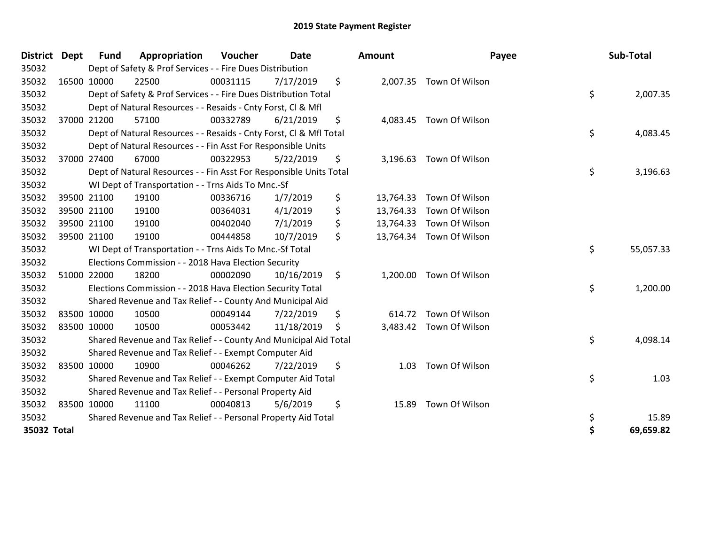| <b>District</b> | <b>Dept</b> | <b>Fund</b> | Appropriation                                                      | Voucher  | <b>Date</b> |     | Amount    | Payee                    |    | Sub-Total |  |
|-----------------|-------------|-------------|--------------------------------------------------------------------|----------|-------------|-----|-----------|--------------------------|----|-----------|--|
| 35032           |             |             | Dept of Safety & Prof Services - - Fire Dues Distribution          |          |             |     |           |                          |    |           |  |
| 35032           |             | 16500 10000 | 22500                                                              | 00031115 | 7/17/2019   | \$  |           | 2,007.35 Town Of Wilson  |    |           |  |
| 35032           |             |             | Dept of Safety & Prof Services - - Fire Dues Distribution Total    |          |             |     |           |                          | \$ | 2,007.35  |  |
| 35032           |             |             | Dept of Natural Resources - - Resaids - Cnty Forst, Cl & Mfl       |          |             |     |           |                          |    |           |  |
| 35032           |             | 37000 21200 | 57100                                                              | 00332789 | 6/21/2019   | \$  |           | 4,083.45 Town Of Wilson  |    |           |  |
| 35032           |             |             | Dept of Natural Resources - - Resaids - Cnty Forst, Cl & Mfl Total |          |             |     |           |                          | \$ | 4,083.45  |  |
| 35032           |             |             | Dept of Natural Resources - - Fin Asst For Responsible Units       |          |             |     |           |                          |    |           |  |
| 35032           |             | 37000 27400 | 67000                                                              | 00322953 | 5/22/2019   | \$  |           | 3,196.63 Town Of Wilson  |    |           |  |
| 35032           |             |             | Dept of Natural Resources - - Fin Asst For Responsible Units Total |          |             |     |           |                          |    |           |  |
| 35032           |             |             | WI Dept of Transportation - - Trns Aids To Mnc.-Sf                 |          |             |     |           |                          |    |           |  |
| 35032           |             | 39500 21100 | 19100                                                              | 00336716 | 1/7/2019    | \$  | 13,764.33 | Town Of Wilson           |    |           |  |
| 35032           |             | 39500 21100 | 19100                                                              | 00364031 | 4/1/2019    | \$  | 13,764.33 | Town Of Wilson           |    |           |  |
| 35032           |             | 39500 21100 | 19100                                                              | 00402040 | 7/1/2019    | \$  |           | 13,764.33 Town Of Wilson |    |           |  |
| 35032           |             | 39500 21100 | 19100                                                              | 00444858 | 10/7/2019   | \$  |           | 13,764.34 Town Of Wilson |    |           |  |
| 35032           |             |             | WI Dept of Transportation - - Trns Aids To Mnc.-Sf Total           | \$       | 55,057.33   |     |           |                          |    |           |  |
| 35032           |             |             | Elections Commission - - 2018 Hava Election Security               |          |             |     |           |                          |    |           |  |
| 35032           |             | 51000 22000 | 18200                                                              | 00002090 | 10/16/2019  | \$  |           | 1,200.00 Town Of Wilson  |    |           |  |
| 35032           |             |             | Elections Commission - - 2018 Hava Election Security Total         |          |             |     |           |                          | \$ | 1,200.00  |  |
| 35032           |             |             | Shared Revenue and Tax Relief - - County And Municipal Aid         |          |             |     |           |                          |    |           |  |
| 35032           |             | 83500 10000 | 10500                                                              | 00049144 | 7/22/2019   | \$  |           | 614.72 Town Of Wilson    |    |           |  |
| 35032           | 83500 10000 |             | 10500                                                              | 00053442 | 11/18/2019  | \$. |           | 3,483.42 Town Of Wilson  |    |           |  |
| 35032           |             |             | Shared Revenue and Tax Relief - - County And Municipal Aid Total   |          |             |     |           |                          | \$ | 4,098.14  |  |
| 35032           |             |             | Shared Revenue and Tax Relief - - Exempt Computer Aid              |          |             |     |           |                          |    |           |  |
| 35032           |             | 83500 10000 | 10900                                                              | 00046262 | 7/22/2019   | \$  | 1.03      | Town Of Wilson           |    |           |  |
| 35032           |             |             | Shared Revenue and Tax Relief - - Exempt Computer Aid Total        |          |             |     |           |                          | \$ | 1.03      |  |
| 35032           |             |             | Shared Revenue and Tax Relief - - Personal Property Aid            |          |             |     |           |                          |    |           |  |
| 35032           |             | 83500 10000 | 11100                                                              | 00040813 | 5/6/2019    | \$  | 15.89     | Town Of Wilson           |    |           |  |
| 35032           |             |             | Shared Revenue and Tax Relief - - Personal Property Aid Total      |          |             |     |           |                          | \$ | 15.89     |  |
| 35032 Total     |             |             |                                                                    |          |             |     |           |                          | Ś  | 69,659.82 |  |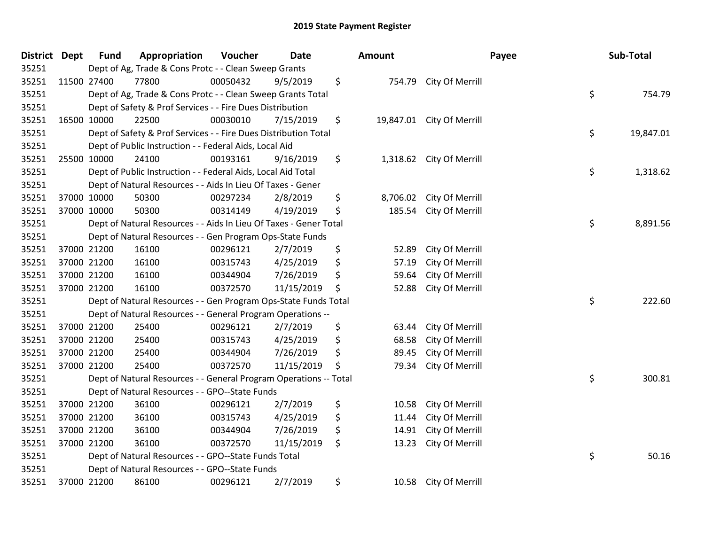| District Dept | <b>Fund</b> | Appropriation                                                     | Voucher  | <b>Date</b> | <b>Amount</b>   |                 | Payee | Sub-Total |
|---------------|-------------|-------------------------------------------------------------------|----------|-------------|-----------------|-----------------|-------|-----------|
| 35251         |             | Dept of Ag, Trade & Cons Protc - - Clean Sweep Grants             |          |             |                 |                 |       |           |
| 35251         | 11500 27400 | 77800                                                             | 00050432 | 9/5/2019    | \$<br>754.79    | City Of Merrill |       |           |
| 35251         |             | Dept of Ag, Trade & Cons Protc - - Clean Sweep Grants Total       |          |             |                 |                 | \$    | 754.79    |
| 35251         |             | Dept of Safety & Prof Services - - Fire Dues Distribution         |          |             |                 |                 |       |           |
| 35251         | 16500 10000 | 22500                                                             | 00030010 | 7/15/2019   | \$<br>19,847.01 | City Of Merrill |       |           |
| 35251         |             | Dept of Safety & Prof Services - - Fire Dues Distribution Total   |          |             |                 |                 | \$    | 19,847.01 |
| 35251         |             | Dept of Public Instruction - - Federal Aids, Local Aid            |          |             |                 |                 |       |           |
| 35251         | 25500 10000 | 24100                                                             | 00193161 | 9/16/2019   | \$<br>1,318.62  | City Of Merrill |       |           |
| 35251         |             | Dept of Public Instruction - - Federal Aids, Local Aid Total      |          |             |                 |                 | \$    | 1,318.62  |
| 35251         |             | Dept of Natural Resources - - Aids In Lieu Of Taxes - Gener       |          |             |                 |                 |       |           |
| 35251         | 37000 10000 | 50300                                                             | 00297234 | 2/8/2019    | \$<br>8,706.02  | City Of Merrill |       |           |
| 35251         | 37000 10000 | 50300                                                             | 00314149 | 4/19/2019   | \$<br>185.54    | City Of Merrill |       |           |
| 35251         |             | Dept of Natural Resources - - Aids In Lieu Of Taxes - Gener Total |          |             |                 |                 | \$    | 8,891.56  |
| 35251         |             | Dept of Natural Resources - - Gen Program Ops-State Funds         |          |             |                 |                 |       |           |
| 35251         | 37000 21200 | 16100                                                             | 00296121 | 2/7/2019    | \$<br>52.89     | City Of Merrill |       |           |
| 35251         | 37000 21200 | 16100                                                             | 00315743 | 4/25/2019   | \$<br>57.19     | City Of Merrill |       |           |
| 35251         | 37000 21200 | 16100                                                             | 00344904 | 7/26/2019   | \$<br>59.64     | City Of Merrill |       |           |
| 35251         | 37000 21200 | 16100                                                             | 00372570 | 11/15/2019  | \$<br>52.88     | City Of Merrill |       |           |
| 35251         |             | Dept of Natural Resources - - Gen Program Ops-State Funds Total   |          |             |                 |                 | \$    | 222.60    |
| 35251         |             | Dept of Natural Resources - - General Program Operations --       |          |             |                 |                 |       |           |
| 35251         | 37000 21200 | 25400                                                             | 00296121 | 2/7/2019    | \$<br>63.44     | City Of Merrill |       |           |
| 35251         | 37000 21200 | 25400                                                             | 00315743 | 4/25/2019   | \$<br>68.58     | City Of Merrill |       |           |
| 35251         | 37000 21200 | 25400                                                             | 00344904 | 7/26/2019   | \$<br>89.45     | City Of Merrill |       |           |
| 35251         | 37000 21200 | 25400                                                             | 00372570 | 11/15/2019  | \$<br>79.34     | City Of Merrill |       |           |
| 35251         |             | Dept of Natural Resources - - General Program Operations -- Total |          |             |                 |                 | \$    | 300.81    |
| 35251         |             | Dept of Natural Resources - - GPO--State Funds                    |          |             |                 |                 |       |           |
| 35251         | 37000 21200 | 36100                                                             | 00296121 | 2/7/2019    | \$<br>10.58     | City Of Merrill |       |           |
| 35251         | 37000 21200 | 36100                                                             | 00315743 | 4/25/2019   | \$<br>11.44     | City Of Merrill |       |           |
| 35251         | 37000 21200 | 36100                                                             | 00344904 | 7/26/2019   | \$<br>14.91     | City Of Merrill |       |           |
| 35251         | 37000 21200 | 36100                                                             | 00372570 | 11/15/2019  | \$<br>13.23     | City Of Merrill |       |           |
| 35251         |             | Dept of Natural Resources - - GPO--State Funds Total              |          |             |                 |                 | \$    | 50.16     |
| 35251         |             | Dept of Natural Resources - - GPO--State Funds                    |          |             |                 |                 |       |           |
| 35251         | 37000 21200 | 86100                                                             | 00296121 | 2/7/2019    | \$<br>10.58     | City Of Merrill |       |           |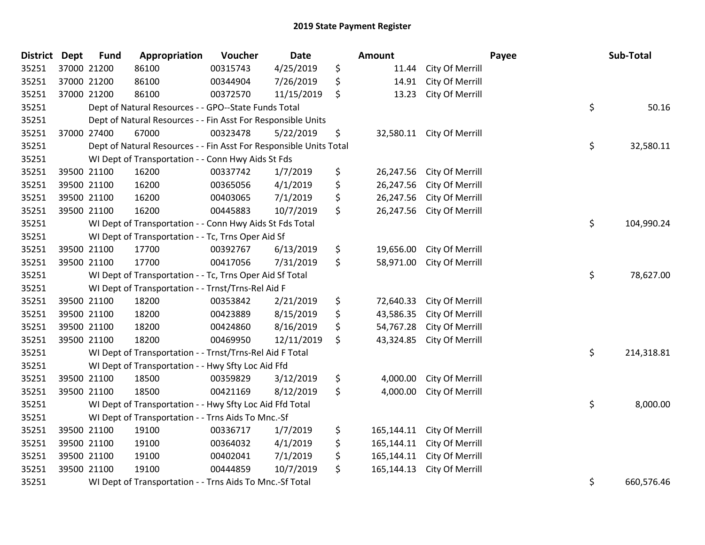| <b>District</b> | <b>Dept</b> | <b>Fund</b> | Appropriation                                                      | Voucher  | Date       | Amount           |                 | Payee | Sub-Total  |
|-----------------|-------------|-------------|--------------------------------------------------------------------|----------|------------|------------------|-----------------|-------|------------|
| 35251           |             | 37000 21200 | 86100                                                              | 00315743 | 4/25/2019  | \$<br>11.44      | City Of Merrill |       |            |
| 35251           | 37000 21200 |             | 86100                                                              | 00344904 | 7/26/2019  | \$<br>14.91      | City Of Merrill |       |            |
| 35251           |             | 37000 21200 | 86100                                                              | 00372570 | 11/15/2019 | \$<br>13.23      | City Of Merrill |       |            |
| 35251           |             |             | Dept of Natural Resources - - GPO--State Funds Total               |          |            |                  |                 | \$    | 50.16      |
| 35251           |             |             | Dept of Natural Resources - - Fin Asst For Responsible Units       |          |            |                  |                 |       |            |
| 35251           |             | 37000 27400 | 67000                                                              | 00323478 | 5/22/2019  | \$<br>32,580.11  | City Of Merrill |       |            |
| 35251           |             |             | Dept of Natural Resources - - Fin Asst For Responsible Units Total |          |            |                  |                 | \$    | 32,580.11  |
| 35251           |             |             | WI Dept of Transportation - - Conn Hwy Aids St Fds                 |          |            |                  |                 |       |            |
| 35251           |             | 39500 21100 | 16200                                                              | 00337742 | 1/7/2019   | \$<br>26,247.56  | City Of Merrill |       |            |
| 35251           |             | 39500 21100 | 16200                                                              | 00365056 | 4/1/2019   | \$<br>26,247.56  | City Of Merrill |       |            |
| 35251           |             | 39500 21100 | 16200                                                              | 00403065 | 7/1/2019   | \$<br>26,247.56  | City Of Merrill |       |            |
| 35251           |             | 39500 21100 | 16200                                                              | 00445883 | 10/7/2019  | \$<br>26,247.56  | City Of Merrill |       |            |
| 35251           |             |             | WI Dept of Transportation - - Conn Hwy Aids St Fds Total           |          |            |                  |                 | \$    | 104,990.24 |
| 35251           |             |             | WI Dept of Transportation - - Tc, Trns Oper Aid Sf                 |          |            |                  |                 |       |            |
| 35251           |             | 39500 21100 | 17700                                                              | 00392767 | 6/13/2019  | \$<br>19,656.00  | City Of Merrill |       |            |
| 35251           |             | 39500 21100 | 17700                                                              | 00417056 | 7/31/2019  | \$<br>58,971.00  | City Of Merrill |       |            |
| 35251           |             |             | WI Dept of Transportation - - Tc, Trns Oper Aid Sf Total           |          |            |                  |                 | \$    | 78,627.00  |
| 35251           |             |             | WI Dept of Transportation - - Trnst/Trns-Rel Aid F                 |          |            |                  |                 |       |            |
| 35251           |             | 39500 21100 | 18200                                                              | 00353842 | 2/21/2019  | \$<br>72,640.33  | City Of Merrill |       |            |
| 35251           |             | 39500 21100 | 18200                                                              | 00423889 | 8/15/2019  | \$<br>43,586.35  | City Of Merrill |       |            |
| 35251           |             | 39500 21100 | 18200                                                              | 00424860 | 8/16/2019  | \$<br>54,767.28  | City Of Merrill |       |            |
| 35251           |             | 39500 21100 | 18200                                                              | 00469950 | 12/11/2019 | \$<br>43,324.85  | City Of Merrill |       |            |
| 35251           |             |             | WI Dept of Transportation - - Trnst/Trns-Rel Aid F Total           |          |            |                  |                 | \$    | 214,318.81 |
| 35251           |             |             | WI Dept of Transportation - - Hwy Sfty Loc Aid Ffd                 |          |            |                  |                 |       |            |
| 35251           |             | 39500 21100 | 18500                                                              | 00359829 | 3/12/2019  | \$<br>4,000.00   | City Of Merrill |       |            |
| 35251           |             | 39500 21100 | 18500                                                              | 00421169 | 8/12/2019  | \$<br>4,000.00   | City Of Merrill |       |            |
| 35251           |             |             | WI Dept of Transportation - - Hwy Sfty Loc Aid Ffd Total           |          |            |                  |                 | \$    | 8,000.00   |
| 35251           |             |             | WI Dept of Transportation - - Trns Aids To Mnc.-Sf                 |          |            |                  |                 |       |            |
| 35251           |             | 39500 21100 | 19100                                                              | 00336717 | 1/7/2019   | \$<br>165,144.11 | City Of Merrill |       |            |
| 35251           |             | 39500 21100 | 19100                                                              | 00364032 | 4/1/2019   | \$<br>165,144.11 | City Of Merrill |       |            |
| 35251           |             | 39500 21100 | 19100                                                              | 00402041 | 7/1/2019   | \$<br>165,144.11 | City Of Merrill |       |            |
| 35251           |             | 39500 21100 | 19100                                                              | 00444859 | 10/7/2019  | \$<br>165,144.13 | City Of Merrill |       |            |
| 35251           |             |             | WI Dept of Transportation - - Trns Aids To Mnc.-Sf Total           |          |            |                  |                 | \$    | 660,576.46 |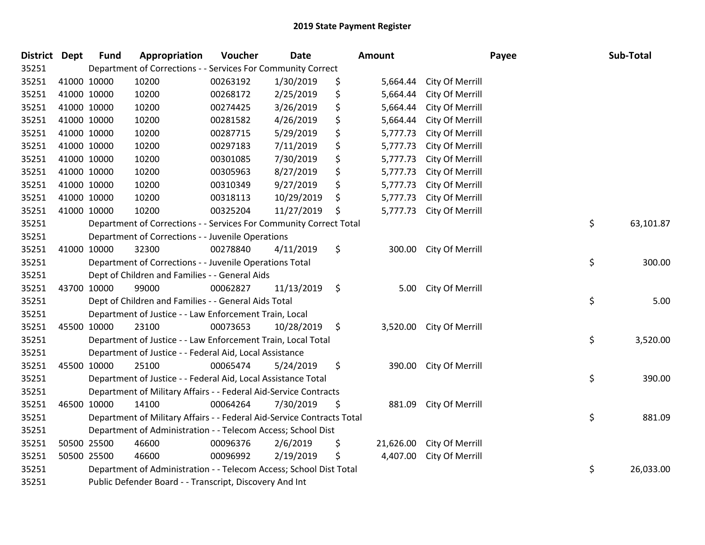| District Dept |             | <b>Fund</b> | Appropriation                                                          | Voucher  | <b>Date</b> |    | Amount    |                          | Payee | Sub-Total |
|---------------|-------------|-------------|------------------------------------------------------------------------|----------|-------------|----|-----------|--------------------------|-------|-----------|
| 35251         |             |             | Department of Corrections - - Services For Community Correct           |          |             |    |           |                          |       |           |
| 35251         | 41000 10000 |             | 10200                                                                  | 00263192 | 1/30/2019   | \$ | 5,664.44  | City Of Merrill          |       |           |
| 35251         | 41000 10000 |             | 10200                                                                  | 00268172 | 2/25/2019   | \$ | 5,664.44  | City Of Merrill          |       |           |
| 35251         | 41000 10000 |             | 10200                                                                  | 00274425 | 3/26/2019   | \$ | 5,664.44  | City Of Merrill          |       |           |
| 35251         | 41000 10000 |             | 10200                                                                  | 00281582 | 4/26/2019   | \$ | 5,664.44  | City Of Merrill          |       |           |
| 35251         | 41000 10000 |             | 10200                                                                  | 00287715 | 5/29/2019   | \$ | 5,777.73  | City Of Merrill          |       |           |
| 35251         | 41000 10000 |             | 10200                                                                  | 00297183 | 7/11/2019   | \$ | 5,777.73  | City Of Merrill          |       |           |
| 35251         | 41000 10000 |             | 10200                                                                  | 00301085 | 7/30/2019   | \$ | 5,777.73  | City Of Merrill          |       |           |
| 35251         | 41000 10000 |             | 10200                                                                  | 00305963 | 8/27/2019   | \$ | 5,777.73  | City Of Merrill          |       |           |
| 35251         | 41000 10000 |             | 10200                                                                  | 00310349 | 9/27/2019   | \$ | 5,777.73  | City Of Merrill          |       |           |
| 35251         | 41000 10000 |             | 10200                                                                  | 00318113 | 10/29/2019  | \$ | 5,777.73  | City Of Merrill          |       |           |
| 35251         | 41000 10000 |             | 10200                                                                  | 00325204 | 11/27/2019  | \$ | 5,777.73  | City Of Merrill          |       |           |
| 35251         |             |             | Department of Corrections - - Services For Community Correct Total     |          |             |    |           |                          | \$    | 63,101.87 |
| 35251         |             |             | Department of Corrections - - Juvenile Operations                      |          |             |    |           |                          |       |           |
| 35251         | 41000 10000 |             | 32300                                                                  | 00278840 | 4/11/2019   | \$ | 300.00    | City Of Merrill          |       |           |
| 35251         |             |             | Department of Corrections - - Juvenile Operations Total                |          |             |    |           |                          |       | 300.00    |
| 35251         |             |             | Dept of Children and Families - - General Aids                         |          |             |    |           |                          |       |           |
| 35251         | 43700 10000 |             | 99000                                                                  | 00062827 | 11/13/2019  | \$ | 5.00      | City Of Merrill          |       |           |
| 35251         |             |             | Dept of Children and Families - - General Aids Total                   |          |             |    |           |                          | \$    | 5.00      |
| 35251         |             |             | Department of Justice - - Law Enforcement Train, Local                 |          |             |    |           |                          |       |           |
| 35251         | 45500 10000 |             | 23100                                                                  | 00073653 | 10/28/2019  | \$ |           | 3,520.00 City Of Merrill |       |           |
| 35251         |             |             | Department of Justice - - Law Enforcement Train, Local Total           |          |             |    |           |                          | \$    | 3,520.00  |
| 35251         |             |             | Department of Justice - - Federal Aid, Local Assistance                |          |             |    |           |                          |       |           |
| 35251         | 45500 10000 |             | 25100                                                                  | 00065474 | 5/24/2019   | \$ | 390.00    | City Of Merrill          |       |           |
| 35251         |             |             | Department of Justice - - Federal Aid, Local Assistance Total          |          |             |    |           |                          | \$    | 390.00    |
| 35251         |             |             | Department of Military Affairs - - Federal Aid-Service Contracts       |          |             |    |           |                          |       |           |
| 35251         |             | 46500 10000 | 14100                                                                  | 00064264 | 7/30/2019   | \$ | 881.09    | City Of Merrill          |       |           |
| 35251         |             |             | Department of Military Affairs - - Federal Aid-Service Contracts Total |          |             |    |           |                          | \$    | 881.09    |
| 35251         |             |             | Department of Administration - - Telecom Access; School Dist           |          |             |    |           |                          |       |           |
| 35251         |             | 50500 25500 | 46600                                                                  | 00096376 | 2/6/2019    | \$ | 21,626.00 | City Of Merrill          |       |           |
| 35251         | 50500 25500 |             | 46600                                                                  | 00096992 | 2/19/2019   | \$ | 4,407.00  | City Of Merrill          |       |           |
| 35251         |             |             | Department of Administration - - Telecom Access; School Dist Total     |          |             |    |           |                          | \$    | 26,033.00 |
| 35251         |             |             | Public Defender Board - - Transcript, Discovery And Int                |          |             |    |           |                          |       |           |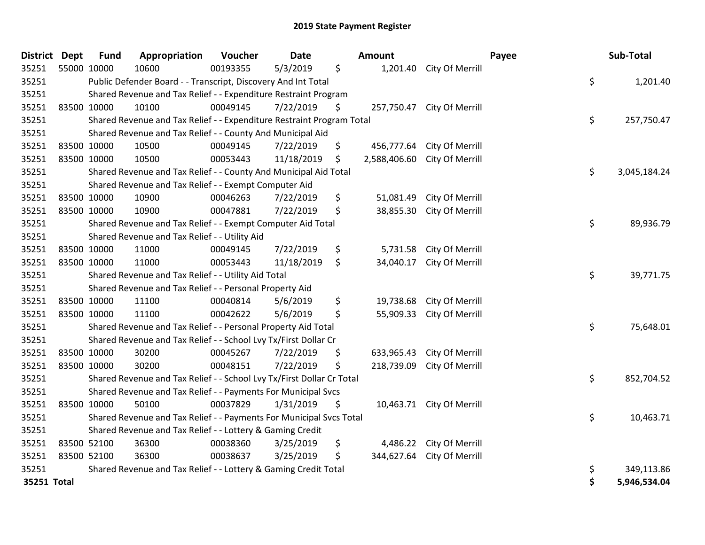| District    | <b>Dept</b> | <b>Fund</b> | Appropriation                                                         | Voucher  | Date       |    | Amount       |                            | Payee | Sub-Total    |  |  |
|-------------|-------------|-------------|-----------------------------------------------------------------------|----------|------------|----|--------------|----------------------------|-------|--------------|--|--|
| 35251       | 55000 10000 |             | 10600                                                                 | 00193355 | 5/3/2019   | \$ |              | 1,201.40 City Of Merrill   |       |              |  |  |
| 35251       |             |             | Public Defender Board - - Transcript, Discovery And Int Total         |          |            |    |              |                            | \$    | 1,201.40     |  |  |
| 35251       |             |             | Shared Revenue and Tax Relief - - Expenditure Restraint Program       |          |            |    |              |                            |       |              |  |  |
| 35251       |             | 83500 10000 | 10100                                                                 | 00049145 | 7/22/2019  | \$ |              | 257,750.47 City Of Merrill |       |              |  |  |
| 35251       |             |             | Shared Revenue and Tax Relief - - Expenditure Restraint Program Total |          |            |    |              |                            | \$    | 257,750.47   |  |  |
| 35251       |             |             | Shared Revenue and Tax Relief - - County And Municipal Aid            |          |            |    |              |                            |       |              |  |  |
| 35251       |             | 83500 10000 | 10500                                                                 | 00049145 | 7/22/2019  | \$ | 456,777.64   | City Of Merrill            |       |              |  |  |
| 35251       |             | 83500 10000 | 10500                                                                 | 00053443 | 11/18/2019 | \$ | 2,588,406.60 | City Of Merrill            |       |              |  |  |
| 35251       |             |             | Shared Revenue and Tax Relief - - County And Municipal Aid Total      |          |            |    |              |                            | \$    | 3,045,184.24 |  |  |
| 35251       |             |             | Shared Revenue and Tax Relief - - Exempt Computer Aid                 |          |            |    |              |                            |       |              |  |  |
| 35251       |             | 83500 10000 | 10900                                                                 | 00046263 | 7/22/2019  | \$ | 51,081.49    | City Of Merrill            |       |              |  |  |
| 35251       |             | 83500 10000 | 10900                                                                 | 00047881 | 7/22/2019  | \$ | 38,855.30    | City Of Merrill            |       |              |  |  |
| 35251       |             |             | Shared Revenue and Tax Relief - - Exempt Computer Aid Total           |          |            |    |              |                            | \$    | 89,936.79    |  |  |
| 35251       |             |             | Shared Revenue and Tax Relief - - Utility Aid                         |          |            |    |              |                            |       |              |  |  |
| 35251       |             | 83500 10000 | 11000                                                                 | 00049145 | 7/22/2019  | \$ | 5,731.58     | City Of Merrill            |       |              |  |  |
| 35251       |             | 83500 10000 | 11000                                                                 | 00053443 | 11/18/2019 | \$ | 34,040.17    | City Of Merrill            |       |              |  |  |
| 35251       |             |             | Shared Revenue and Tax Relief - - Utility Aid Total                   |          |            |    |              |                            | \$    | 39,771.75    |  |  |
| 35251       |             |             | Shared Revenue and Tax Relief - - Personal Property Aid               |          |            |    |              |                            |       |              |  |  |
| 35251       |             | 83500 10000 | 11100                                                                 | 00040814 | 5/6/2019   | \$ | 19,738.68    | City Of Merrill            |       |              |  |  |
| 35251       |             | 83500 10000 | 11100                                                                 | 00042622 | 5/6/2019   | \$ | 55,909.33    | City Of Merrill            |       |              |  |  |
| 35251       |             |             | Shared Revenue and Tax Relief - - Personal Property Aid Total         |          |            |    |              |                            | \$    | 75,648.01    |  |  |
| 35251       |             |             | Shared Revenue and Tax Relief - - School Lvy Tx/First Dollar Cr       |          |            |    |              |                            |       |              |  |  |
| 35251       |             | 83500 10000 | 30200                                                                 | 00045267 | 7/22/2019  | \$ | 633,965.43   | City Of Merrill            |       |              |  |  |
| 35251       |             | 83500 10000 | 30200                                                                 | 00048151 | 7/22/2019  | \$ | 218,739.09   | City Of Merrill            |       |              |  |  |
| 35251       |             |             | Shared Revenue and Tax Relief - - School Lvy Tx/First Dollar Cr Total |          |            |    |              |                            | \$    | 852,704.52   |  |  |
| 35251       |             |             | Shared Revenue and Tax Relief - - Payments For Municipal Svcs         |          |            |    |              |                            |       |              |  |  |
| 35251       |             | 83500 10000 | 50100                                                                 | 00037829 | 1/31/2019  | \$ |              | 10,463.71 City Of Merrill  |       |              |  |  |
| 35251       |             |             | Shared Revenue and Tax Relief - - Payments For Municipal Svcs Total   |          |            |    |              |                            | \$    | 10,463.71    |  |  |
| 35251       |             |             | Shared Revenue and Tax Relief - - Lottery & Gaming Credit             |          |            |    |              |                            |       |              |  |  |
| 35251       |             | 83500 52100 | 36300                                                                 | 00038360 | 3/25/2019  | \$ |              | 4,486.22 City Of Merrill   |       |              |  |  |
| 35251       |             | 83500 52100 | 36300                                                                 | 00038637 | 3/25/2019  | \$ | 344,627.64   | City Of Merrill            |       |              |  |  |
| 35251       |             |             | Shared Revenue and Tax Relief - - Lottery & Gaming Credit Total       |          |            |    |              |                            | \$    | 349,113.86   |  |  |
| 35251 Total |             |             |                                                                       |          |            |    |              |                            | Ś     | 5,946,534.04 |  |  |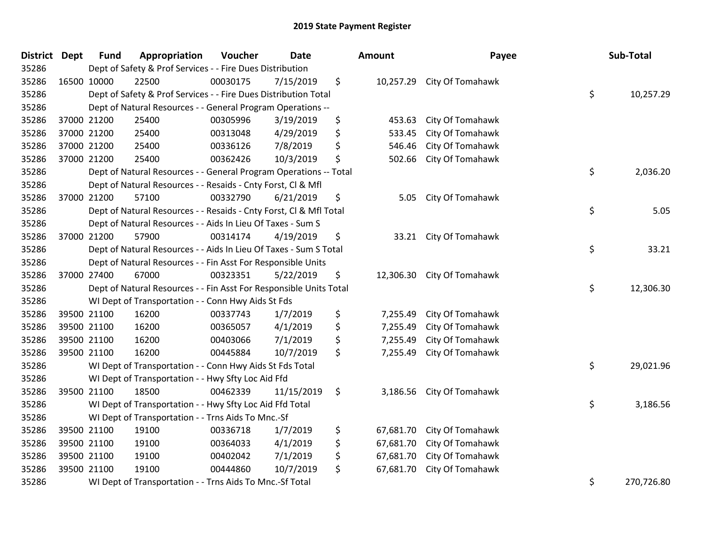| District | <b>Dept</b> | <b>Fund</b> | Appropriation                                                           | Voucher  | <b>Date</b> |    | <b>Amount</b> | Payee                      |    | Sub-Total  |  |  |
|----------|-------------|-------------|-------------------------------------------------------------------------|----------|-------------|----|---------------|----------------------------|----|------------|--|--|
| 35286    |             |             | Dept of Safety & Prof Services - - Fire Dues Distribution               |          |             |    |               |                            |    |            |  |  |
| 35286    |             | 16500 10000 | 22500                                                                   | 00030175 | 7/15/2019   | \$ |               | 10,257.29 City Of Tomahawk |    |            |  |  |
| 35286    |             |             | Dept of Safety & Prof Services - - Fire Dues Distribution Total         |          |             |    |               |                            | \$ | 10,257.29  |  |  |
| 35286    |             |             | Dept of Natural Resources - - General Program Operations --             |          |             |    |               |                            |    |            |  |  |
| 35286    |             | 37000 21200 | 25400                                                                   | 00305996 | 3/19/2019   | \$ | 453.63        | City Of Tomahawk           |    |            |  |  |
| 35286    |             | 37000 21200 | 25400                                                                   | 00313048 | 4/29/2019   | \$ | 533.45        | City Of Tomahawk           |    |            |  |  |
| 35286    |             | 37000 21200 | 25400                                                                   | 00336126 | 7/8/2019    | \$ | 546.46        | City Of Tomahawk           |    |            |  |  |
| 35286    |             | 37000 21200 | 25400                                                                   | 00362426 | 10/3/2019   | \$ | 502.66        | City Of Tomahawk           |    |            |  |  |
| 35286    |             |             | Dept of Natural Resources - - General Program Operations -- Total       |          |             |    |               |                            | \$ | 2,036.20   |  |  |
| 35286    |             |             | Dept of Natural Resources - - Resaids - Cnty Forst, Cl & Mfl            |          |             |    |               |                            |    |            |  |  |
| 35286    |             | 37000 21200 | 57100                                                                   | 00332790 | 6/21/2019   | \$ | 5.05          | City Of Tomahawk           |    |            |  |  |
| 35286    |             |             | Dept of Natural Resources - - Resaids - Cnty Forst, CI & Mfl Total      |          |             |    |               |                            | \$ | 5.05       |  |  |
| 35286    |             |             | Dept of Natural Resources - - Aids In Lieu Of Taxes - Sum S             |          |             |    |               |                            |    |            |  |  |
| 35286    |             | 37000 21200 | 57900                                                                   | 00314174 | 4/19/2019   | \$ |               | 33.21 City Of Tomahawk     |    |            |  |  |
| 35286    |             |             | \$<br>Dept of Natural Resources - - Aids In Lieu Of Taxes - Sum S Total |          |             |    |               |                            |    |            |  |  |
| 35286    |             |             | Dept of Natural Resources - - Fin Asst For Responsible Units            |          |             |    |               |                            |    |            |  |  |
| 35286    |             | 37000 27400 | 67000                                                                   | 00323351 | 5/22/2019   | \$ | 12,306.30     | City Of Tomahawk           |    |            |  |  |
| 35286    |             |             | Dept of Natural Resources - - Fin Asst For Responsible Units Total      |          |             |    |               |                            | \$ | 12,306.30  |  |  |
| 35286    |             |             | WI Dept of Transportation - - Conn Hwy Aids St Fds                      |          |             |    |               |                            |    |            |  |  |
| 35286    |             | 39500 21100 | 16200                                                                   | 00337743 | 1/7/2019    | \$ | 7,255.49      | City Of Tomahawk           |    |            |  |  |
| 35286    |             | 39500 21100 | 16200                                                                   | 00365057 | 4/1/2019    | \$ | 7,255.49      | City Of Tomahawk           |    |            |  |  |
| 35286    |             | 39500 21100 | 16200                                                                   | 00403066 | 7/1/2019    | \$ | 7,255.49      | City Of Tomahawk           |    |            |  |  |
| 35286    |             | 39500 21100 | 16200                                                                   | 00445884 | 10/7/2019   | \$ | 7,255.49      | City Of Tomahawk           |    |            |  |  |
| 35286    |             |             | WI Dept of Transportation - - Conn Hwy Aids St Fds Total                |          |             |    |               |                            | \$ | 29,021.96  |  |  |
| 35286    |             |             | WI Dept of Transportation - - Hwy Sfty Loc Aid Ffd                      |          |             |    |               |                            |    |            |  |  |
| 35286    |             | 39500 21100 | 18500                                                                   | 00462339 | 11/15/2019  | \$ | 3,186.56      | City Of Tomahawk           |    |            |  |  |
| 35286    |             |             | WI Dept of Transportation - - Hwy Sfty Loc Aid Ffd Total                |          |             |    |               |                            | \$ | 3,186.56   |  |  |
| 35286    |             |             | WI Dept of Transportation - - Trns Aids To Mnc.-Sf                      |          |             |    |               |                            |    |            |  |  |
| 35286    |             | 39500 21100 | 19100                                                                   | 00336718 | 1/7/2019    | \$ | 67,681.70     | City Of Tomahawk           |    |            |  |  |
| 35286    |             | 39500 21100 | 19100                                                                   | 00364033 | 4/1/2019    | \$ | 67,681.70     | City Of Tomahawk           |    |            |  |  |
| 35286    |             | 39500 21100 | 19100                                                                   | 00402042 | 7/1/2019    | \$ | 67,681.70     | City Of Tomahawk           |    |            |  |  |
| 35286    |             | 39500 21100 | 19100                                                                   | 00444860 | 10/7/2019   | \$ | 67,681.70     | City Of Tomahawk           |    |            |  |  |
| 35286    |             |             | WI Dept of Transportation - - Trns Aids To Mnc.-Sf Total                |          |             |    |               |                            | \$ | 270,726.80 |  |  |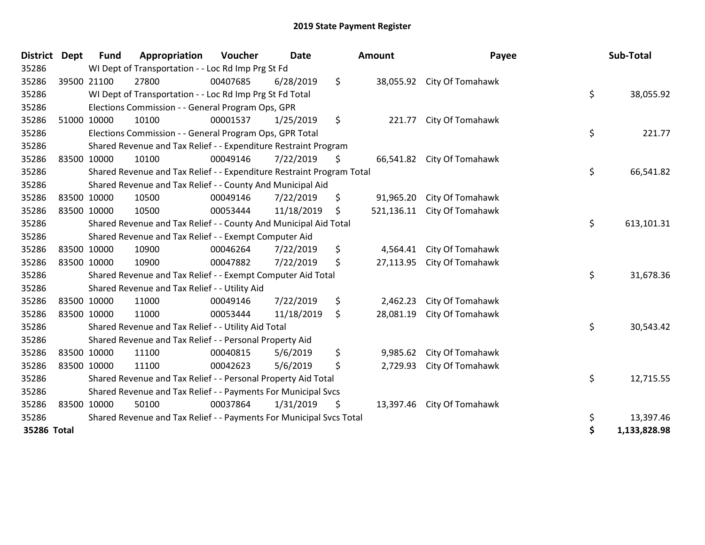| <b>District</b> | <b>Dept</b> | <b>Fund</b> | Appropriation                                                         | Voucher  | Date       |         | Amount     | Payee                      |    | Sub-Total    |  |  |
|-----------------|-------------|-------------|-----------------------------------------------------------------------|----------|------------|---------|------------|----------------------------|----|--------------|--|--|
| 35286           |             |             | WI Dept of Transportation - - Loc Rd Imp Prg St Fd                    |          |            |         |            |                            |    |              |  |  |
| 35286           |             | 39500 21100 | 27800                                                                 | 00407685 | 6/28/2019  | $\zeta$ |            | 38,055.92 City Of Tomahawk |    |              |  |  |
| 35286           |             |             | WI Dept of Transportation - - Loc Rd Imp Prg St Fd Total              |          |            |         |            |                            | \$ | 38,055.92    |  |  |
| 35286           |             |             | Elections Commission - - General Program Ops, GPR                     |          |            |         |            |                            |    |              |  |  |
| 35286           |             | 51000 10000 | 10100                                                                 | 00001537 | 1/25/2019  | \$      | 221.77     | City Of Tomahawk           |    |              |  |  |
| 35286           |             |             | Elections Commission - - General Program Ops, GPR Total               |          |            |         |            |                            | \$ | 221.77       |  |  |
| 35286           |             |             | Shared Revenue and Tax Relief - - Expenditure Restraint Program       |          |            |         |            |                            |    |              |  |  |
| 35286           | 83500 10000 |             | 10100                                                                 | 00049146 | 7/22/2019  | \$      |            | 66,541.82 City Of Tomahawk |    |              |  |  |
| 35286           |             |             | Shared Revenue and Tax Relief - - Expenditure Restraint Program Total |          |            |         |            |                            | \$ | 66,541.82    |  |  |
| 35286           |             |             | Shared Revenue and Tax Relief - - County And Municipal Aid            |          |            |         |            |                            |    |              |  |  |
| 35286           |             | 83500 10000 | 10500                                                                 | 00049146 | 7/22/2019  | \$      | 91,965.20  | City Of Tomahawk           |    |              |  |  |
| 35286           | 83500 10000 |             | 10500                                                                 | 00053444 | 11/18/2019 | \$      | 521,136.11 | City Of Tomahawk           |    |              |  |  |
| 35286           |             |             | Shared Revenue and Tax Relief - - County And Municipal Aid Total      |          |            |         |            |                            |    |              |  |  |
| 35286           |             |             | Shared Revenue and Tax Relief - - Exempt Computer Aid                 |          |            |         |            |                            |    |              |  |  |
| 35286           |             | 83500 10000 | 10900                                                                 | 00046264 | 7/22/2019  | \$      | 4,564.41   | City Of Tomahawk           |    |              |  |  |
| 35286           | 83500 10000 |             | 10900                                                                 | 00047882 | 7/22/2019  | \$      | 27,113.95  | City Of Tomahawk           |    |              |  |  |
| 35286           |             |             | Shared Revenue and Tax Relief - - Exempt Computer Aid Total           |          |            |         |            |                            | \$ | 31,678.36    |  |  |
| 35286           |             |             | Shared Revenue and Tax Relief - - Utility Aid                         |          |            |         |            |                            |    |              |  |  |
| 35286           |             | 83500 10000 | 11000                                                                 | 00049146 | 7/22/2019  | \$      | 2,462.23   | City Of Tomahawk           |    |              |  |  |
| 35286           | 83500 10000 |             | 11000                                                                 | 00053444 | 11/18/2019 | \$      | 28,081.19  | City Of Tomahawk           |    |              |  |  |
| 35286           |             |             | Shared Revenue and Tax Relief - - Utility Aid Total                   |          |            |         |            |                            | \$ | 30,543.42    |  |  |
| 35286           |             |             | Shared Revenue and Tax Relief - - Personal Property Aid               |          |            |         |            |                            |    |              |  |  |
| 35286           |             | 83500 10000 | 11100                                                                 | 00040815 | 5/6/2019   | \$      | 9,985.62   | City Of Tomahawk           |    |              |  |  |
| 35286           | 83500 10000 |             | 11100                                                                 | 00042623 | 5/6/2019   | \$      | 2,729.93   | City Of Tomahawk           |    |              |  |  |
| 35286           |             |             | Shared Revenue and Tax Relief - - Personal Property Aid Total         |          |            |         |            |                            | \$ | 12,715.55    |  |  |
| 35286           |             |             | Shared Revenue and Tax Relief - - Payments For Municipal Svcs         |          |            |         |            |                            |    |              |  |  |
| 35286           | 83500 10000 |             | 50100                                                                 | 00037864 | 1/31/2019  | \$      | 13,397.46  | City Of Tomahawk           |    |              |  |  |
| 35286           |             |             | Shared Revenue and Tax Relief - - Payments For Municipal Svcs Total   |          |            |         |            |                            | \$ | 13,397.46    |  |  |
| 35286 Total     |             |             |                                                                       |          |            |         |            |                            | \$ | 1,133,828.98 |  |  |